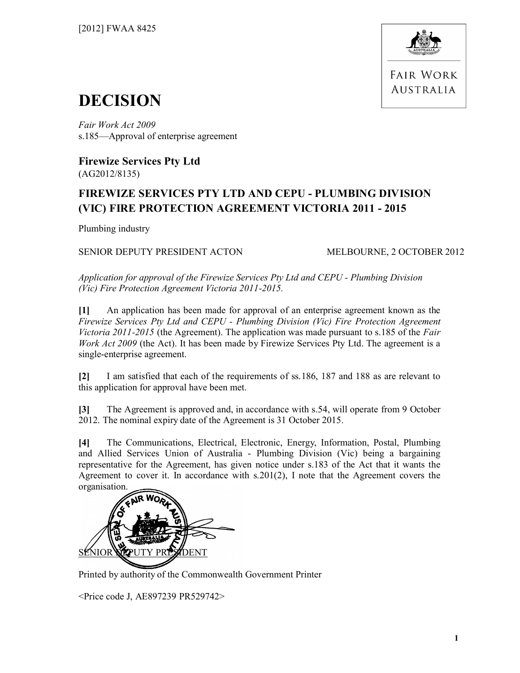

**FAIR WORK AUSTRALIA** 

## **DECISION**

*Fair Work Act 2009*  s.185—Approval of enterprise agreement

**Firewize Services Pty Ltd** (AG2012/8135)

### **FIREWIZE SERVICES PTY LTD AND CEPU - PLUMBING DIVISION (VIC) FIRE PROTECTION AGREEMENT VICTORIA 2011 - 2015**

Plumbing industry

#### SENIOR DEPUTY PRESIDENT ACTON MELBOURNE, 2 OCTOBER 2012

*Application for approval of the Firewize Services Pty Ltd and CEPU - Plumbing Division (Vic) Fire Protection Agreement Victoria 2011-2015.*

**[1]** An application has been made for approval of an enterprise agreement known as the *Firewize Services Pty Ltd and CEPU - Plumbing Division (Vic) Fire Protection Agreement Victoria 2011-2015* (the Agreement). The application was made pursuant to s.185 of the *Fair Work Act 2009* (the Act). It has been made by Firewize Services Pty Ltd. The agreement is a single-enterprise agreement.

**[2]** I am satisfied that each of the requirements of ss.186, 187 and 188 as are relevant to this application for approval have been met.

**[3]** The Agreement is approved and, in accordance with s.54, will operate from 9 October 2012. The nominal expiry date of the Agreement is 31 October 2015.

**[4]** The Communications, Electrical, Electronic, Energy, Information, Postal, Plumbing and Allied Services Union of Australia - Plumbing Division (Vic) being a bargaining representative for the Agreement, has given notice under s.183 of the Act that it wants the Agreement to cover it. In accordance with s.201(2), I note that the Agreement covers the organisation.



Printed by authority of the Commonwealth Government Printer

<Price code J, AE897239 PR529742>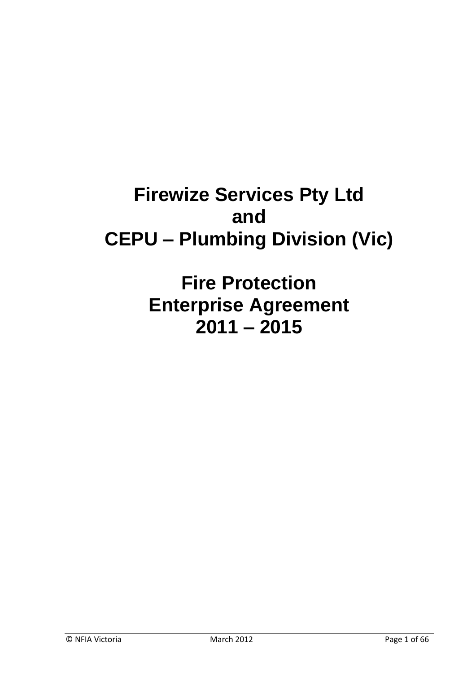# **Firewize Services Pty Ltd and CEPU – Plumbing Division (Vic)**

**Fire Protection Enterprise Agreement 2011 – 2015**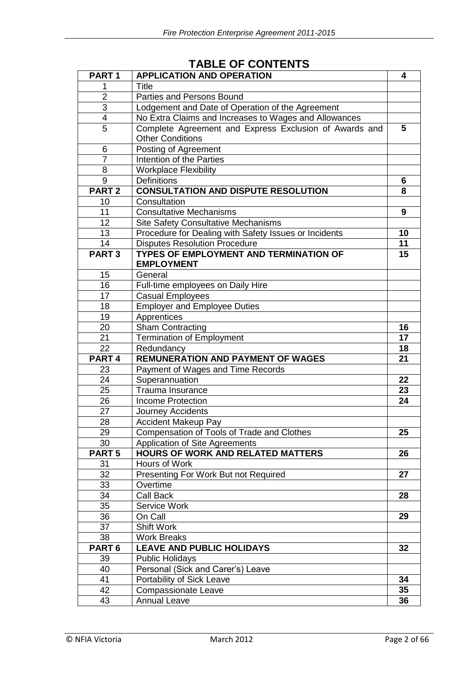| PART <sub>1</sub>       | <b>APPLICATION AND OPERATION</b>                       | 4               |
|-------------------------|--------------------------------------------------------|-----------------|
| 1                       | <b>Title</b>                                           |                 |
| $\overline{2}$          | Parties and Persons Bound                              |                 |
| $\mathsf 3$             | Lodgement and Date of Operation of the Agreement       |                 |
| $\overline{\mathbf{4}}$ | No Extra Claims and Increases to Wages and Allowances  |                 |
| 5                       | Complete Agreement and Express Exclusion of Awards and | 5               |
|                         | <b>Other Conditions</b>                                |                 |
| 6                       | Posting of Agreement                                   |                 |
| $\overline{7}$          | Intention of the Parties                               |                 |
| 8                       | <b>Workplace Flexibility</b>                           |                 |
| 9                       | <b>Definitions</b>                                     | 6               |
| PART <sub>2</sub>       | <b>CONSULTATION AND DISPUTE RESOLUTION</b>             | 8               |
| 10                      | Consultation                                           |                 |
| 11                      | <b>Consultative Mechanisms</b>                         | 9               |
| 12                      | <b>Site Safety Consultative Mechanisms</b>             |                 |
| 13                      | Procedure for Dealing with Safety Issues or Incidents  | 10              |
| 14                      | <b>Disputes Resolution Procedure</b>                   | 11              |
| <b>PART3</b>            | <b>TYPES OF EMPLOYMENT AND TERMINATION OF</b>          | 15              |
|                         | <b>EMPLOYMENT</b>                                      |                 |
| 15                      | General                                                |                 |
| 16                      | Full-time employees on Daily Hire                      |                 |
| 17                      | <b>Casual Employees</b>                                |                 |
| 18                      | <b>Employer and Employee Duties</b>                    |                 |
| 19                      | Apprentices                                            |                 |
| 20                      | <b>Sham Contracting</b>                                | 16              |
| 21                      | <b>Termination of Employment</b>                       | 17              |
| 22                      | Redundancy                                             | 18              |
| PART <sub>4</sub>       | <b>REMUNERATION AND PAYMENT OF WAGES</b>               | 21              |
| 23                      | Payment of Wages and Time Records                      |                 |
| 24                      | Superannuation                                         | 22              |
| 25                      | Trauma Insurance                                       | 23              |
| 26                      | <b>Income Protection</b>                               | 24              |
| 27                      | Journey Accidents                                      |                 |
| 28                      | <b>Accident Makeup Pay</b>                             |                 |
| 29                      | Compensation of Tools of Trade and Clothes             | $\overline{25}$ |
| 30                      | Application of Site Agreements                         |                 |
| PART <sub>5</sub>       | <b>HOURS OF WORK AND RELATED MATTERS</b>               | 26              |
| 31                      | Hours of Work                                          |                 |
| 32                      | Presenting For Work But not Required                   | 27              |
| 33                      | Overtime                                               |                 |
| 34                      | <b>Call Back</b>                                       | 28              |
| 35                      | Service Work                                           |                 |
| 36                      | On Call                                                | 29              |
| 37                      | <b>Shift Work</b>                                      |                 |
| 38                      | <b>Work Breaks</b>                                     |                 |
| PART <sub>6</sub>       | <b>LEAVE AND PUBLIC HOLIDAYS</b>                       | 32              |
| 39                      | <b>Public Holidays</b>                                 |                 |
| 40                      | Personal (Sick and Carer's) Leave                      |                 |
| 41                      | Portability of Sick Leave                              | 34              |
| 42                      | <b>Compassionate Leave</b>                             | 35              |
| 43                      | <b>Annual Leave</b>                                    | 36              |

## **TABLE OF CONTENTS**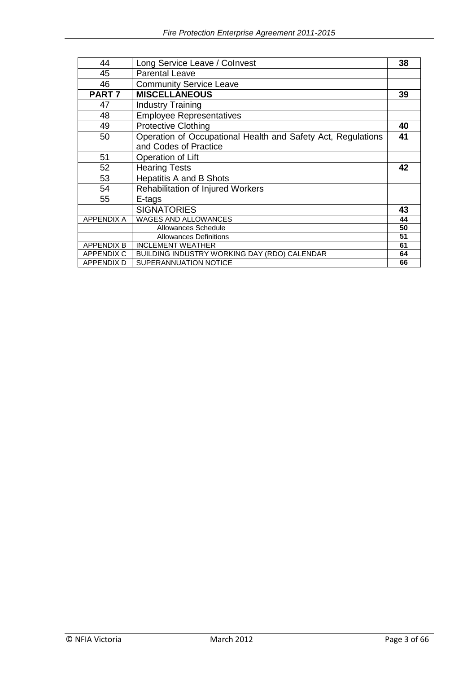| 44                | Long Service Leave / Colnvest                                | 38 |
|-------------------|--------------------------------------------------------------|----|
| 45                | <b>Parental Leave</b>                                        |    |
| 46                | <b>Community Service Leave</b>                               |    |
| PART <sub>7</sub> | <b>MISCELLANEOUS</b>                                         | 39 |
| 47                | <b>Industry Training</b>                                     |    |
| 48                | <b>Employee Representatives</b>                              |    |
| 49                | <b>Protective Clothing</b>                                   | 40 |
| 50                | Operation of Occupational Health and Safety Act, Regulations | 41 |
|                   | and Codes of Practice                                        |    |
| 51                | Operation of Lift                                            |    |
| 52                | <b>Hearing Tests</b>                                         | 42 |
| 53                | <b>Hepatitis A and B Shots</b>                               |    |
| 54                | <b>Rehabilitation of Injured Workers</b>                     |    |
| 55                | E-tags                                                       |    |
|                   | <b>SIGNATORIES</b>                                           | 43 |
| <b>APPENDIX A</b> | <b>WAGES AND ALLOWANCES</b>                                  | 44 |
|                   | Allowances Schedule                                          | 50 |
|                   | <b>Allowances Definitions</b>                                | 51 |
| <b>APPENDIX B</b> | <b>INCLEMENT WEATHER</b>                                     | 61 |
| <b>APPENDIX C</b> | BUILDING INDUSTRY WORKING DAY (RDO) CALENDAR                 | 64 |
| APPENDIX D        | SUPERANNUATION NOTICE                                        | 66 |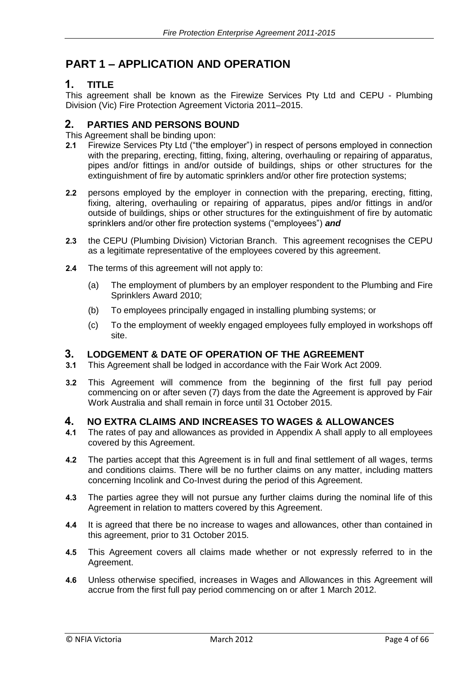### **PART 1 – APPLICATION AND OPERATION**

### **1. TITLE**

This agreement shall be known as the Firewize Services Pty Ltd and CEPU - Plumbing Division (Vic) Fire Protection Agreement Victoria 2011–2015.

#### **2. PARTIES AND PERSONS BOUND**

This Agreement shall be binding upon:

- **2.1** Firewize Services Pty Ltd ("the employer") in respect of persons employed in connection with the preparing, erecting, fitting, fixing, altering, overhauling or repairing of apparatus, pipes and/or fittings in and/or outside of buildings, ships or other structures for the extinguishment of fire by automatic sprinklers and/or other fire protection systems;
- **2.2** persons employed by the employer in connection with the preparing, erecting, fitting, fixing, altering, overhauling or repairing of apparatus, pipes and/or fittings in and/or outside of buildings, ships or other structures for the extinguishment of fire by automatic sprinklers and/or other fire protection systems ("employees") *and*
- **2.3** the CEPU (Plumbing Division) Victorian Branch. This agreement recognises the CEPU as a legitimate representative of the employees covered by this agreement.
- **2.4** The terms of this agreement will not apply to:
	- (a) The employment of plumbers by an employer respondent to the Plumbing and Fire Sprinklers Award 2010;
	- (b) To employees principally engaged in installing plumbing systems; or
	- (c) To the employment of weekly engaged employees fully employed in workshops off site.

## **3. LODGEMENT & DATE OF OPERATION OF THE AGREEMENT**

- **3.1** This Agreement shall be lodged in accordance with the Fair Work Act 2009.
- **3.2** This Agreement will commence from the beginning of the first full pay period commencing on or after seven (7) days from the date the Agreement is approved by Fair Work Australia and shall remain in force until 31 October 2015.

#### **4. NO EXTRA CLAIMS AND INCREASES TO WAGES & ALLOWANCES**

- **4.1** The rates of pay and allowances as provided in Appendix A shall apply to all employees covered by this Agreement.
- **4.2** The parties accept that this Agreement is in full and final settlement of all wages, terms and conditions claims. There will be no further claims on any matter, including matters concerning Incolink and Co-Invest during the period of this Agreement.
- **4.3** The parties agree they will not pursue any further claims during the nominal life of this Agreement in relation to matters covered by this Agreement.
- **4.4** It is agreed that there be no increase to wages and allowances, other than contained in this agreement, prior to 31 October 2015.
- **4.5** This Agreement covers all claims made whether or not expressly referred to in the Agreement.
- **4.6** Unless otherwise specified, increases in Wages and Allowances in this Agreement will accrue from the first full pay period commencing on or after 1 March 2012.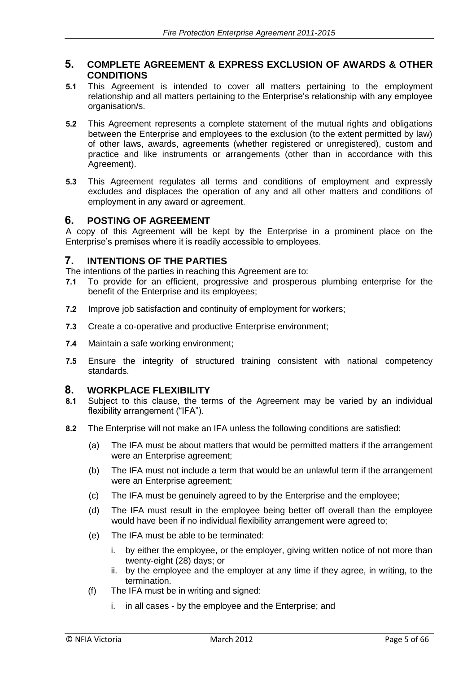#### **5. COMPLETE AGREEMENT & EXPRESS EXCLUSION OF AWARDS & OTHER CONDITIONS**

- **5.1** This Agreement is intended to cover all matters pertaining to the employment relationship and all matters pertaining to the Enterprise's relationship with any employee organisation/s.
- **5.2** This Agreement represents a complete statement of the mutual rights and obligations between the Enterprise and employees to the exclusion (to the extent permitted by law) of other laws, awards, agreements (whether registered or unregistered), custom and practice and like instruments or arrangements (other than in accordance with this Agreement).
- **5.3** This Agreement regulates all terms and conditions of employment and expressly excludes and displaces the operation of any and all other matters and conditions of employment in any award or agreement.

### **6. POSTING OF AGREEMENT**

A copy of this Agreement will be kept by the Enterprise in a prominent place on the Enterprise's premises where it is readily accessible to employees.

#### **7. INTENTIONS OF THE PARTIES**

The intentions of the parties in reaching this Agreement are to:

- **7.1** To provide for an efficient, progressive and prosperous plumbing enterprise for the benefit of the Enterprise and its employees;
- **7.2** Improve job satisfaction and continuity of employment for workers;
- **7.3** Create a co-operative and productive Enterprise environment;
- **7.4** Maintain a safe working environment;
- **7.5** Ensure the integrity of structured training consistent with national competency standards.

#### **8. WORKPLACE FLEXIBILITY**

- **8.1** Subject to this clause, the terms of the Agreement may be varied by an individual flexibility arrangement ("IFA").
- **8.2** The Enterprise will not make an IFA unless the following conditions are satisfied:
	- (a) The IFA must be about matters that would be permitted matters if the arrangement were an Enterprise agreement;
	- (b) The IFA must not include a term that would be an unlawful term if the arrangement were an Enterprise agreement;
	- (c) The IFA must be genuinely agreed to by the Enterprise and the employee;
	- (d) The IFA must result in the employee being better off overall than the employee would have been if no individual flexibility arrangement were agreed to;
	- (e) The IFA must be able to be terminated:
		- i. by either the employee, or the employer, giving written notice of not more than twenty-eight (28) days; or
		- ii. by the employee and the employer at any time if they agree, in writing, to the termination.
	- (f) The IFA must be in writing and signed:
		- i. in all cases by the employee and the Enterprise; and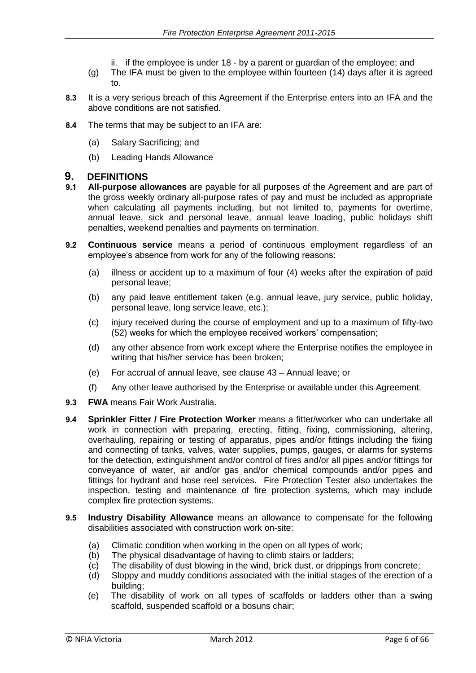- ii. if the employee is under 18 by a parent or guardian of the employee; and
- (g) The IFA must be given to the employee within fourteen (14) days after it is agreed to.
- **8.3** It is a very serious breach of this Agreement if the Enterprise enters into an IFA and the above conditions are not satisfied.
- **8.4** The terms that may be subject to an IFA are:
	- (a) Salary Sacrificing; and
	- (b) Leading Hands Allowance

#### **9. DEFINITIONS**

- **9.1 All-purpose allowances** are payable for all purposes of the Agreement and are part of the gross weekly ordinary all-purpose rates of pay and must be included as appropriate when calculating all payments including, but not limited to, payments for overtime, annual leave, sick and personal leave, annual leave loading, public holidays shift penalties, weekend penalties and payments on termination.
- **9.2 Continuous service** means a period of continuous employment regardless of an employee's absence from work for any of the following reasons:
	- (a) illness or accident up to a maximum of four (4) weeks after the expiration of paid personal leave;
	- (b) any paid leave entitlement taken (e.g. annual leave, jury service, public holiday, personal leave, long service leave, etc.);
	- (c) injury received during the course of employment and up to a maximum of fifty-two (52) weeks for which the employee received workers' compensation;
	- (d) any other absence from work except where the Enterprise notifies the employee in writing that his/her service has been broken;
	- (e) For accrual of annual leave, see clause 43 Annual leave; or
	- (f) Any other leave authorised by the Enterprise or available under this Agreement.
- **9.3 FWA** means Fair Work Australia.
- **9.4 Sprinkler Fitter / Fire Protection Worker** means a fitter/worker who can undertake all work in connection with preparing, erecting, fitting, fixing, commissioning, altering, overhauling, repairing or testing of apparatus, pipes and/or fittings including the fixing and connecting of tanks, valves, water supplies, pumps, gauges, or alarms for systems for the detection, extinguishment and/or control of fires and/or all pipes and/or fittings for conveyance of water, air and/or gas and/or chemical compounds and/or pipes and fittings for hydrant and hose reel services. Fire Protection Tester also undertakes the inspection, testing and maintenance of fire protection systems, which may include complex fire protection systems.
- **9.5 Industry Disability Allowance** means an allowance to compensate for the following disabilities associated with construction work on-site:
	- (a) Climatic condition when working in the open on all types of work;
	- (b) The physical disadvantage of having to climb stairs or ladders;
	- (c) The disability of dust blowing in the wind, brick dust, or drippings from concrete;
	- (d) Sloppy and muddy conditions associated with the initial stages of the erection of a building;
	- (e) The disability of work on all types of scaffolds or ladders other than a swing scaffold, suspended scaffold or a bosuns chair;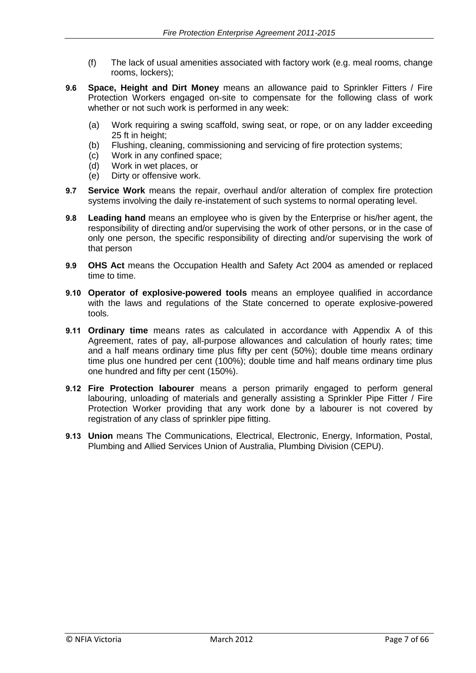- (f) The lack of usual amenities associated with factory work (e.g. meal rooms, change rooms, lockers);
- **9.6 Space, Height and Dirt Money** means an allowance paid to Sprinkler Fitters / Fire Protection Workers engaged on-site to compensate for the following class of work whether or not such work is performed in any week:
	- (a) Work requiring a swing scaffold, swing seat, or rope, or on any ladder exceeding 25 ft in height;
	- (b) Flushing, cleaning, commissioning and servicing of fire protection systems;
	- (c) Work in any confined space;
	- (d) Work in wet places, or
	- (e) Dirty or offensive work.
- **9.7 Service Work** means the repair, overhaul and/or alteration of complex fire protection systems involving the daily re-instatement of such systems to normal operating level.
- **9.8 Leading hand** means an employee who is given by the Enterprise or his/her agent, the responsibility of directing and/or supervising the work of other persons, or in the case of only one person, the specific responsibility of directing and/or supervising the work of that person
- **9.9 OHS Act** means the Occupation Health and Safety Act 2004 as amended or replaced time to time.
- **9.10 Operator of explosive-powered tools** means an employee qualified in accordance with the laws and regulations of the State concerned to operate explosive-powered tools.
- **9.11 Ordinary time** means rates as calculated in accordance with Appendix A of this Agreement, rates of pay, all-purpose allowances and calculation of hourly rates; time and a half means ordinary time plus fifty per cent (50%); double time means ordinary time plus one hundred per cent (100%); double time and half means ordinary time plus one hundred and fifty per cent (150%).
- **9.12 Fire Protection labourer** means a person primarily engaged to perform general labouring, unloading of materials and generally assisting a Sprinkler Pipe Fitter / Fire Protection Worker providing that any work done by a labourer is not covered by registration of any class of sprinkler pipe fitting.
- **9.13 Union** means The Communications, Electrical, Electronic, Energy, Information, Postal, Plumbing and Allied Services Union of Australia, Plumbing Division (CEPU).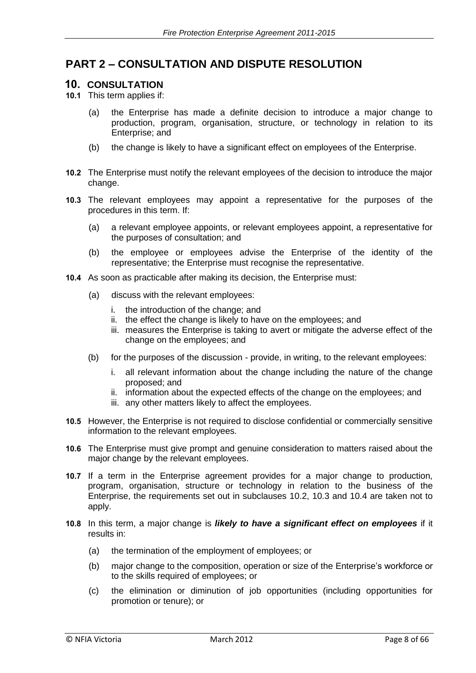### **PART 2 – CONSULTATION AND DISPUTE RESOLUTION**

#### **10. CONSULTATION**

**10.1** This term applies if:

- (a) the Enterprise has made a definite decision to introduce a major change to production, program, organisation, structure, or technology in relation to its Enterprise; and
- (b) the change is likely to have a significant effect on employees of the Enterprise.
- **10.2** The Enterprise must notify the relevant employees of the decision to introduce the major change.
- **10.3** The relevant employees may appoint a representative for the purposes of the procedures in this term. If:
	- (a) a relevant employee appoints, or relevant employees appoint, a representative for the purposes of consultation; and
	- (b) the employee or employees advise the Enterprise of the identity of the representative; the Enterprise must recognise the representative.
- **10.4** As soon as practicable after making its decision, the Enterprise must:
	- (a) discuss with the relevant employees:
		- i. the introduction of the change; and
		- ii. the effect the change is likely to have on the employees; and
		- iii. measures the Enterprise is taking to avert or mitigate the adverse effect of the change on the employees; and
	- (b) for the purposes of the discussion provide, in writing, to the relevant employees:
		- i. all relevant information about the change including the nature of the change proposed; and
		- ii. information about the expected effects of the change on the employees; and
		- iii. any other matters likely to affect the employees.
- **10.5** However, the Enterprise is not required to disclose confidential or commercially sensitive information to the relevant employees.
- **10.6** The Enterprise must give prompt and genuine consideration to matters raised about the major change by the relevant employees.
- **10.7** If a term in the Enterprise agreement provides for a major change to production, program, organisation, structure or technology in relation to the business of the Enterprise, the requirements set out in subclauses 10.2, 10.3 and 10.4 are taken not to apply.
- **10.8** In this term, a major change is *likely to have a significant effect on employees* if it results in:
	- (a) the termination of the employment of employees; or
	- (b) major change to the composition, operation or size of the Enterprise's workforce or to the skills required of employees; or
	- (c) the elimination or diminution of job opportunities (including opportunities for promotion or tenure); or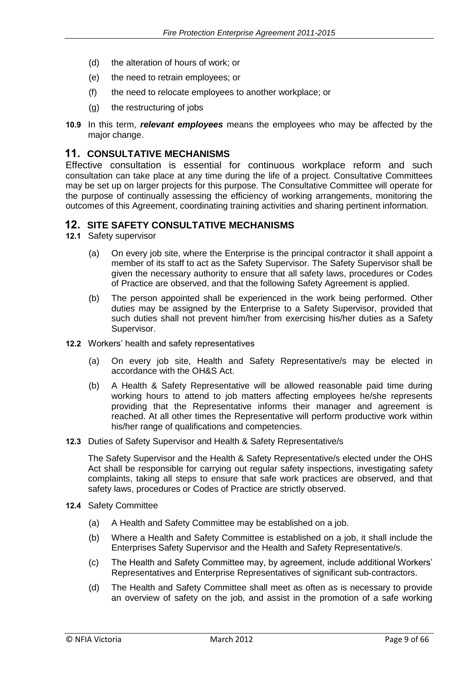- (d) the alteration of hours of work; or
- (e) the need to retrain employees; or
- (f) the need to relocate employees to another workplace; or
- (g) the restructuring of jobs
- **10.9** In this term, *relevant employees* means the employees who may be affected by the major change.

#### **11. CONSULTATIVE MECHANISMS**

Effective consultation is essential for continuous workplace reform and such consultation can take place at any time during the life of a project. Consultative Committees may be set up on larger projects for this purpose. The Consultative Committee will operate for the purpose of continually assessing the efficiency of working arrangements, monitoring the outcomes of this Agreement, coordinating training activities and sharing pertinent information.

#### **12. SITE SAFETY CONSULTATIVE MECHANISMS**

**12.1** Safety supervisor

- (a) On every job site, where the Enterprise is the principal contractor it shall appoint a member of its staff to act as the Safety Supervisor. The Safety Supervisor shall be given the necessary authority to ensure that all safety laws, procedures or Codes of Practice are observed, and that the following Safety Agreement is applied.
- (b) The person appointed shall be experienced in the work being performed. Other duties may be assigned by the Enterprise to a Safety Supervisor, provided that such duties shall not prevent him/her from exercising his/her duties as a Safety Supervisor.
- **12.2** Workers' health and safety representatives
	- (a) On every job site, Health and Safety Representative/s may be elected in accordance with the OH&S Act.
	- (b) A Health & Safety Representative will be allowed reasonable paid time during working hours to attend to job matters affecting employees he/she represents providing that the Representative informs their manager and agreement is reached. At all other times the Representative will perform productive work within his/her range of qualifications and competencies.
- **12.3** Duties of Safety Supervisor and Health & Safety Representative/s

The Safety Supervisor and the Health & Safety Representative/s elected under the OHS Act shall be responsible for carrying out regular safety inspections, investigating safety complaints, taking all steps to ensure that safe work practices are observed, and that safety laws, procedures or Codes of Practice are strictly observed.

- **12.4** Safety Committee
	- (a) A Health and Safety Committee may be established on a job.
	- (b) Where a Health and Safety Committee is established on a job, it shall include the Enterprises Safety Supervisor and the Health and Safety Representative/s.
	- (c) The Health and Safety Committee may, by agreement, include additional Workers' Representatives and Enterprise Representatives of significant sub-contractors.
	- (d) The Health and Safety Committee shall meet as often as is necessary to provide an overview of safety on the job, and assist in the promotion of a safe working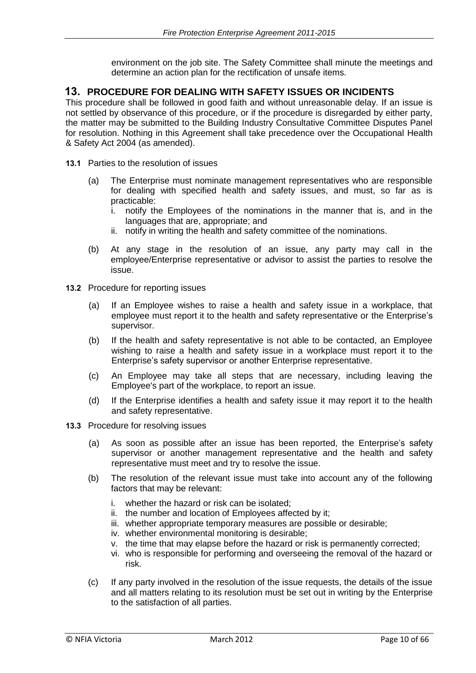environment on the job site. The Safety Committee shall minute the meetings and determine an action plan for the rectification of unsafe items.

### **13. PROCEDURE FOR DEALING WITH SAFETY ISSUES OR INCIDENTS**

This procedure shall be followed in good faith and without unreasonable delay. If an issue is not settled by observance of this procedure, or if the procedure is disregarded by either party, the matter may be submitted to the Building Industry Consultative Committee Disputes Panel for resolution. Nothing in this Agreement shall take precedence over the Occupational Health & Safety Act 2004 (as amended).

- **13.1** Parties to the resolution of issues
	- (a) The Enterprise must nominate management representatives who are responsible for dealing with specified health and safety issues, and must, so far as is practicable:
		- i. notify the Employees of the nominations in the manner that is, and in the languages that are, appropriate; and
		- ii. notify in writing the health and safety committee of the nominations.
	- (b) At any stage in the resolution of an issue, any party may call in the employee/Enterprise representative or advisor to assist the parties to resolve the issue.
- **13.2** Procedure for reporting issues
	- (a) If an Employee wishes to raise a health and safety issue in a workplace, that employee must report it to the health and safety representative or the Enterprise's supervisor.
	- (b) If the health and safety representative is not able to be contacted, an Employee wishing to raise a health and safety issue in a workplace must report it to the Enterprise's safety supervisor or another Enterprise representative.
	- (c) An Employee may take all steps that are necessary, including leaving the Employee's part of the workplace, to report an issue.
	- (d) If the Enterprise identifies a health and safety issue it may report it to the health and safety representative.
- **13.3** Procedure for resolving issues
	- (a) As soon as possible after an issue has been reported, the Enterprise's safety supervisor or another management representative and the health and safety representative must meet and try to resolve the issue.
	- (b) The resolution of the relevant issue must take into account any of the following factors that may be relevant:
		- i. whether the hazard or risk can be isolated;
		- ii. the number and location of Employees affected by it;
		- iii. whether appropriate temporary measures are possible or desirable;
		- iv. whether environmental monitoring is desirable;
		- v. the time that may elapse before the hazard or risk is permanently corrected;
		- vi. who is responsible for performing and overseeing the removal of the hazard or risk.
	- (c) If any party involved in the resolution of the issue requests, the details of the issue and all matters relating to its resolution must be set out in writing by the Enterprise to the satisfaction of all parties.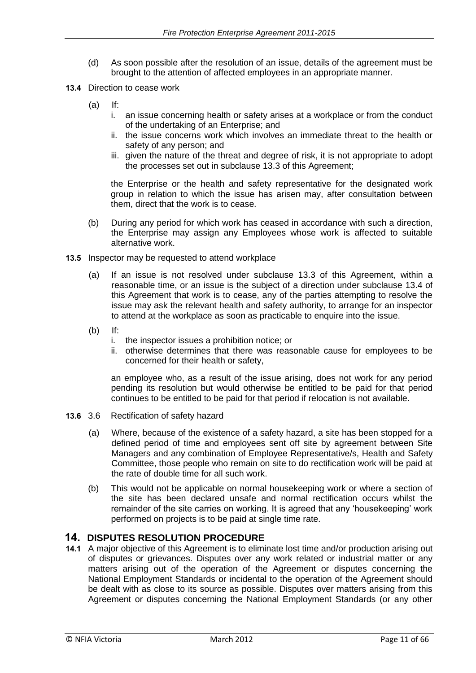- (d) As soon possible after the resolution of an issue, details of the agreement must be brought to the attention of affected employees in an appropriate manner.
- **13.4** Direction to cease work
	- $(a)$  If:
		- i. an issue concerning health or safety arises at a workplace or from the conduct of the undertaking of an Enterprise; and
		- ii. the issue concerns work which involves an immediate threat to the health or safety of any person; and
		- iii. given the nature of the threat and degree of risk, it is not appropriate to adopt the processes set out in subclause 13.3 of this Agreement;

the Enterprise or the health and safety representative for the designated work group in relation to which the issue has arisen may, after consultation between them, direct that the work is to cease.

- (b) During any period for which work has ceased in accordance with such a direction, the Enterprise may assign any Employees whose work is affected to suitable alternative work.
- **13.5** Inspector may be requested to attend workplace
	- (a) If an issue is not resolved under subclause 13.3 of this Agreement, within a reasonable time, or an issue is the subject of a direction under subclause 13.4 of this Agreement that work is to cease, any of the parties attempting to resolve the issue may ask the relevant health and safety authority, to arrange for an inspector to attend at the workplace as soon as practicable to enquire into the issue.
	- (b) If:
		- i. the inspector issues a prohibition notice; or
		- ii. otherwise determines that there was reasonable cause for employees to be concerned for their health or safety,

an employee who, as a result of the issue arising, does not work for any period pending its resolution but would otherwise be entitled to be paid for that period continues to be entitled to be paid for that period if relocation is not available.

- **13.6** 3.6 Rectification of safety hazard
	- (a) Where, because of the existence of a safety hazard, a site has been stopped for a defined period of time and employees sent off site by agreement between Site Managers and any combination of Employee Representative/s, Health and Safety Committee, those people who remain on site to do rectification work will be paid at the rate of double time for all such work.
	- (b) This would not be applicable on normal housekeeping work or where a section of the site has been declared unsafe and normal rectification occurs whilst the remainder of the site carries on working. It is agreed that any 'housekeeping' work performed on projects is to be paid at single time rate.

### **14. DISPUTES RESOLUTION PROCEDURE**

**14.1** A major objective of this Agreement is to eliminate lost time and/or production arising out of disputes or grievances. Disputes over any work related or industrial matter or any matters arising out of the operation of the Agreement or disputes concerning the National Employment Standards or incidental to the operation of the Agreement should be dealt with as close to its source as possible. Disputes over matters arising from this Agreement or disputes concerning the National Employment Standards (or any other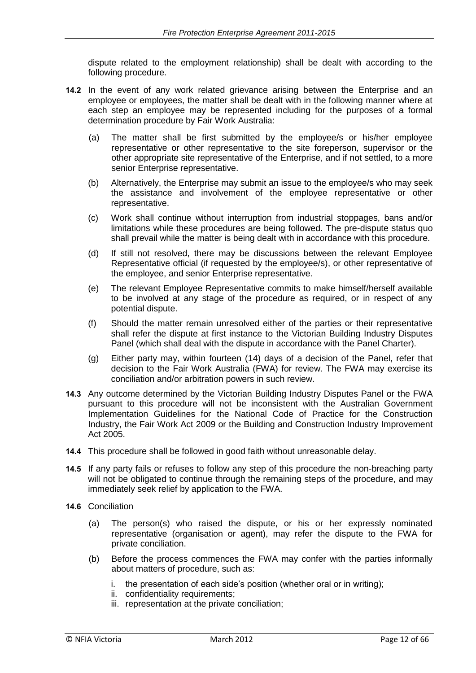dispute related to the employment relationship) shall be dealt with according to the following procedure.

- **14.2** In the event of any work related grievance arising between the Enterprise and an employee or employees, the matter shall be dealt with in the following manner where at each step an employee may be represented including for the purposes of a formal determination procedure by Fair Work Australia:
	- (a) The matter shall be first submitted by the employee/s or his/her employee representative or other representative to the site foreperson, supervisor or the other appropriate site representative of the Enterprise, and if not settled, to a more senior Enterprise representative.
	- (b) Alternatively, the Enterprise may submit an issue to the employee/s who may seek the assistance and involvement of the employee representative or other representative.
	- (c) Work shall continue without interruption from industrial stoppages, bans and/or limitations while these procedures are being followed. The pre-dispute status quo shall prevail while the matter is being dealt with in accordance with this procedure.
	- (d) If still not resolved, there may be discussions between the relevant Employee Representative official (if requested by the employee/s), or other representative of the employee, and senior Enterprise representative.
	- (e) The relevant Employee Representative commits to make himself/herself available to be involved at any stage of the procedure as required, or in respect of any potential dispute.
	- (f) Should the matter remain unresolved either of the parties or their representative shall refer the dispute at first instance to the Victorian Building Industry Disputes Panel (which shall deal with the dispute in accordance with the Panel Charter).
	- (g) Either party may, within fourteen (14) days of a decision of the Panel, refer that decision to the Fair Work Australia (FWA) for review. The FWA may exercise its conciliation and/or arbitration powers in such review.
- **14.3** Any outcome determined by the Victorian Building Industry Disputes Panel or the FWA pursuant to this procedure will not be inconsistent with the Australian Government Implementation Guidelines for the National Code of Practice for the Construction Industry, the Fair Work Act 2009 or the Building and Construction Industry Improvement Act 2005.
- **14.4** This procedure shall be followed in good faith without unreasonable delay.
- **14.5** If any party fails or refuses to follow any step of this procedure the non-breaching party will not be obligated to continue through the remaining steps of the procedure, and may immediately seek relief by application to the FWA.
- **14.6** Conciliation
	- (a) The person(s) who raised the dispute, or his or her expressly nominated representative (organisation or agent), may refer the dispute to the FWA for private conciliation.
	- (b) Before the process commences the FWA may confer with the parties informally about matters of procedure, such as:
		- i. the presentation of each side's position (whether oral or in writing);
		- ii. confidentiality requirements;
		- iii. representation at the private conciliation;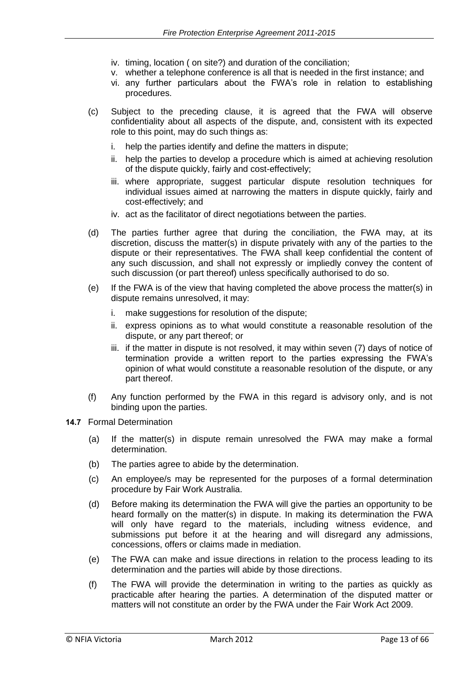- iv. timing, location ( on site?) and duration of the conciliation;
- v. whether a telephone conference is all that is needed in the first instance; and
- vi. any further particulars about the FWA's role in relation to establishing procedures.
- (c) Subject to the preceding clause, it is agreed that the FWA will observe confidentiality about all aspects of the dispute, and, consistent with its expected role to this point, may do such things as:
	- i. help the parties identify and define the matters in dispute;
	- ii. help the parties to develop a procedure which is aimed at achieving resolution of the dispute quickly, fairly and cost-effectively;
	- iii. where appropriate, suggest particular dispute resolution techniques for individual issues aimed at narrowing the matters in dispute quickly, fairly and cost-effectively; and
	- iv. act as the facilitator of direct negotiations between the parties.
- (d) The parties further agree that during the conciliation, the FWA may, at its discretion, discuss the matter(s) in dispute privately with any of the parties to the dispute or their representatives. The FWA shall keep confidential the content of any such discussion, and shall not expressly or impliedly convey the content of such discussion (or part thereof) unless specifically authorised to do so.
- (e) If the FWA is of the view that having completed the above process the matter(s) in dispute remains unresolved, it may:
	- i. make suggestions for resolution of the dispute;
	- ii. express opinions as to what would constitute a reasonable resolution of the dispute, or any part thereof; or
	- iii. if the matter in dispute is not resolved, it may within seven (7) days of notice of termination provide a written report to the parties expressing the FWA's opinion of what would constitute a reasonable resolution of the dispute, or any part thereof.
- (f) Any function performed by the FWA in this regard is advisory only, and is not binding upon the parties.
- **14.7** Formal Determination
	- (a) If the matter(s) in dispute remain unresolved the FWA may make a formal determination.
	- (b) The parties agree to abide by the determination.
	- (c) An employee/s may be represented for the purposes of a formal determination procedure by Fair Work Australia.
	- (d) Before making its determination the FWA will give the parties an opportunity to be heard formally on the matter(s) in dispute. In making its determination the FWA will only have regard to the materials, including witness evidence, and submissions put before it at the hearing and will disregard any admissions, concessions, offers or claims made in mediation.
	- (e) The FWA can make and issue directions in relation to the process leading to its determination and the parties will abide by those directions.
	- (f) The FWA will provide the determination in writing to the parties as quickly as practicable after hearing the parties. A determination of the disputed matter or matters will not constitute an order by the FWA under the Fair Work Act 2009.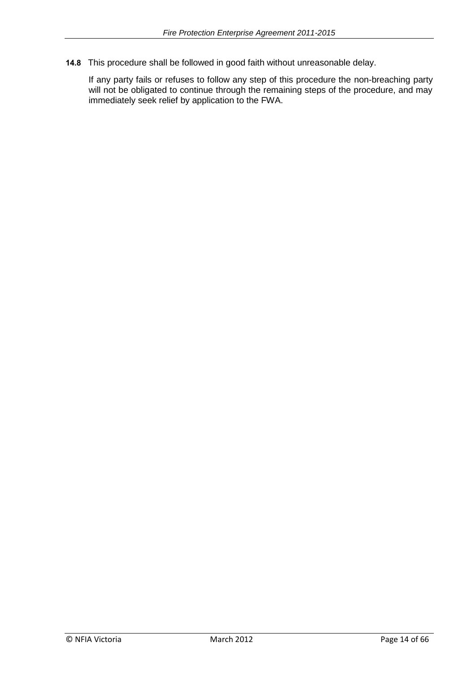**14.8** This procedure shall be followed in good faith without unreasonable delay.

If any party fails or refuses to follow any step of this procedure the non-breaching party will not be obligated to continue through the remaining steps of the procedure, and may immediately seek relief by application to the FWA.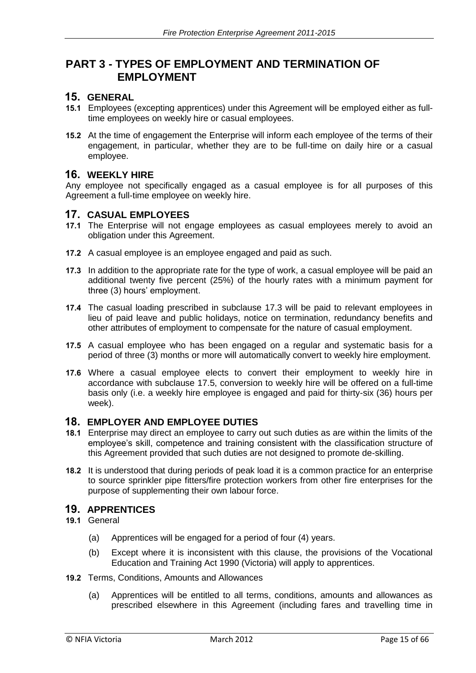### **PART 3 - TYPES OF EMPLOYMENT AND TERMINATION OF EMPLOYMENT**

### **15. GENERAL**

- **15.1** Employees (excepting apprentices) under this Agreement will be employed either as fulltime employees on weekly hire or casual employees.
- **15.2** At the time of engagement the Enterprise will inform each employee of the terms of their engagement, in particular, whether they are to be full-time on daily hire or a casual employee.

#### **16. WEEKLY HIRE**

Any employee not specifically engaged as a casual employee is for all purposes of this Agreement a full-time employee on weekly hire.

#### **17. CASUAL EMPLOYEES**

- **17.1** The Enterprise will not engage employees as casual employees merely to avoid an obligation under this Agreement.
- **17.2** A casual employee is an employee engaged and paid as such.
- **17.3** In addition to the appropriate rate for the type of work, a casual employee will be paid an additional twenty five percent (25%) of the hourly rates with a minimum payment for three (3) hours' employment.
- **17.4** The casual loading prescribed in subclause 17.3 will be paid to relevant employees in lieu of paid leave and public holidays, notice on termination, redundancy benefits and other attributes of employment to compensate for the nature of casual employment.
- **17.5** A casual employee who has been engaged on a regular and systematic basis for a period of three (3) months or more will automatically convert to weekly hire employment.
- **17.6** Where a casual employee elects to convert their employment to weekly hire in accordance with subclause 17.5, conversion to weekly hire will be offered on a full-time basis only (i.e. a weekly hire employee is engaged and paid for thirty-six (36) hours per week).

#### **18. EMPLOYER AND EMPLOYEE DUTIES**

- **18.1** Enterprise may direct an employee to carry out such duties as are within the limits of the employee's skill, competence and training consistent with the classification structure of this Agreement provided that such duties are not designed to promote de-skilling.
- **18.2** It is understood that during periods of peak load it is a common practice for an enterprise to source sprinkler pipe fitters/fire protection workers from other fire enterprises for the purpose of supplementing their own labour force.

#### **19. APPRENTICES**

- **19.1** General
	- (a) Apprentices will be engaged for a period of four (4) years.
	- (b) Except where it is inconsistent with this clause, the provisions of the Vocational Education and Training Act 1990 (Victoria) will apply to apprentices.
- **19.2** Terms, Conditions, Amounts and Allowances
	- (a) Apprentices will be entitled to all terms, conditions, amounts and allowances as prescribed elsewhere in this Agreement (including fares and travelling time in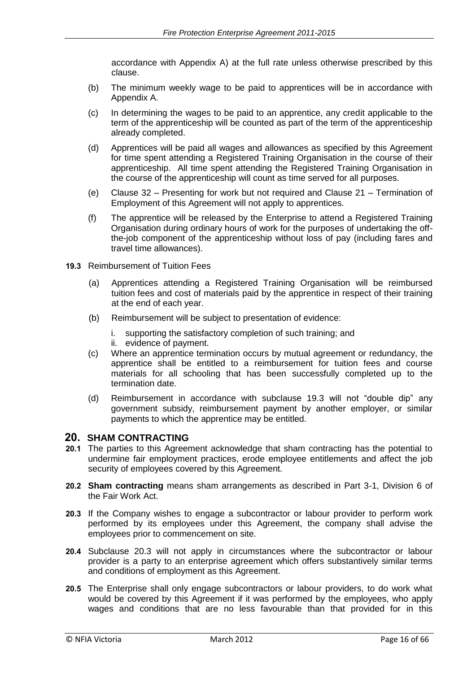accordance with Appendix A) at the full rate unless otherwise prescribed by this clause.

- (b) The minimum weekly wage to be paid to apprentices will be in accordance with Appendix A.
- (c) In determining the wages to be paid to an apprentice, any credit applicable to the term of the apprenticeship will be counted as part of the term of the apprenticeship already completed.
- (d) Apprentices will be paid all wages and allowances as specified by this Agreement for time spent attending a Registered Training Organisation in the course of their apprenticeship. All time spent attending the Registered Training Organisation in the course of the apprenticeship will count as time served for all purposes.
- (e) Clause 32 Presenting for work but not required and Clause 21 Termination of Employment of this Agreement will not apply to apprentices.
- (f) The apprentice will be released by the Enterprise to attend a Registered Training Organisation during ordinary hours of work for the purposes of undertaking the offthe-job component of the apprenticeship without loss of pay (including fares and travel time allowances).
- **19.3** Reimbursement of Tuition Fees
	- (a) Apprentices attending a Registered Training Organisation will be reimbursed tuition fees and cost of materials paid by the apprentice in respect of their training at the end of each year.
	- (b) Reimbursement will be subject to presentation of evidence:
		- i. supporting the satisfactory completion of such training; and
		- ii. evidence of payment.
	- (c) Where an apprentice termination occurs by mutual agreement or redundancy, the apprentice shall be entitled to a reimbursement for tuition fees and course materials for all schooling that has been successfully completed up to the termination date.
	- (d) Reimbursement in accordance with subclause 19.3 will not "double dip" any government subsidy, reimbursement payment by another employer, or similar payments to which the apprentice may be entitled.

### **20. SHAM CONTRACTING**

- **20.1** The parties to this Agreement acknowledge that sham contracting has the potential to undermine fair employment practices, erode employee entitlements and affect the job security of employees covered by this Agreement.
- **20.2 Sham contracting** means sham arrangements as described in Part 3-1, Division 6 of the Fair Work Act.
- **20.3** If the Company wishes to engage a subcontractor or labour provider to perform work performed by its employees under this Agreement, the company shall advise the employees prior to commencement on site.
- **20.4** Subclause 20.3 will not apply in circumstances where the subcontractor or labour provider is a party to an enterprise agreement which offers substantively similar terms and conditions of employment as this Agreement.
- **20.5** The Enterprise shall only engage subcontractors or labour providers, to do work what would be covered by this Agreement if it was performed by the employees, who apply wages and conditions that are no less favourable than that provided for in this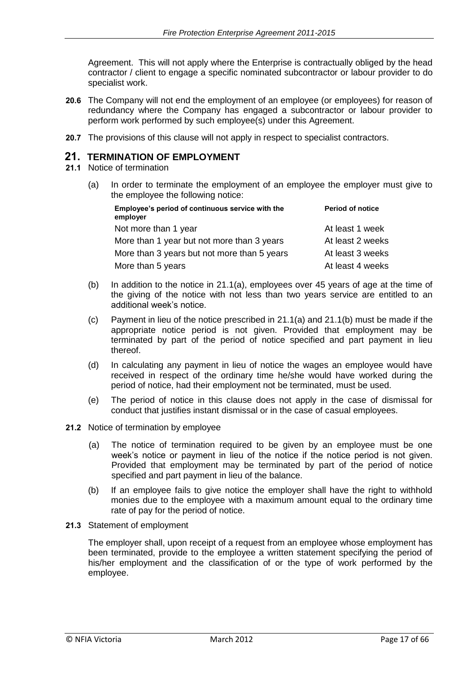Agreement. This will not apply where the Enterprise is contractually obliged by the head contractor / client to engage a specific nominated subcontractor or labour provider to do specialist work.

- **20.6** The Company will not end the employment of an employee (or employees) for reason of redundancy where the Company has engaged a subcontractor or labour provider to perform work performed by such employee(s) under this Agreement.
- **20.7** The provisions of this clause will not apply in respect to specialist contractors.

#### **21. TERMINATION OF EMPLOYMENT**

- **21.1** Notice of termination
	- (a) In order to terminate the employment of an employee the employer must give to the employee the following notice:

| Employee's period of continuous service with the<br>employer | <b>Period of notice</b> |
|--------------------------------------------------------------|-------------------------|
| Not more than 1 year                                         | At least 1 week         |
| More than 1 year but not more than 3 years                   | At least 2 weeks        |
| More than 3 years but not more than 5 years                  | At least 3 weeks        |
| More than 5 years                                            | At least 4 weeks        |

- (b) In addition to the notice in 21.1(a), employees over 45 years of age at the time of the giving of the notice with not less than two years service are entitled to an additional week's notice.
- (c) Payment in lieu of the notice prescribed in 21.1(a) and 21.1(b) must be made if the appropriate notice period is not given. Provided that employment may be terminated by part of the period of notice specified and part payment in lieu thereof.
- (d) In calculating any payment in lieu of notice the wages an employee would have received in respect of the ordinary time he/she would have worked during the period of notice, had their employment not be terminated, must be used.
- (e) The period of notice in this clause does not apply in the case of dismissal for conduct that justifies instant dismissal or in the case of casual employees.
- **21.2** Notice of termination by employee
	- (a) The notice of termination required to be given by an employee must be one week's notice or payment in lieu of the notice if the notice period is not given. Provided that employment may be terminated by part of the period of notice specified and part payment in lieu of the balance.
	- (b) If an employee fails to give notice the employer shall have the right to withhold monies due to the employee with a maximum amount equal to the ordinary time rate of pay for the period of notice.
- **21.3** Statement of employment

The employer shall, upon receipt of a request from an employee whose employment has been terminated, provide to the employee a written statement specifying the period of his/her employment and the classification of or the type of work performed by the employee.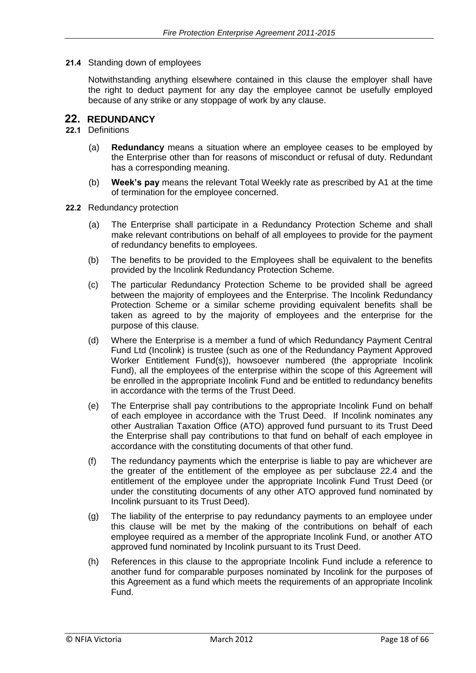**21.4** Standing down of employees

Notwithstanding anything elsewhere contained in this clause the employer shall have the right to deduct payment for any day the employee cannot be usefully employed because of any strike or any stoppage of work by any clause.

#### **22. REDUNDANCY**

#### **22.1** Definitions

- (a) **Redundancy** means a situation where an employee ceases to be employed by the Enterprise other than for reasons of misconduct or refusal of duty. Redundant has a corresponding meaning.
- (b) **Week's pay** means the relevant Total Weekly rate as prescribed by A1 at the time of termination for the employee concerned.
- **22.2** Redundancy protection
	- (a) The Enterprise shall participate in a Redundancy Protection Scheme and shall make relevant contributions on behalf of all employees to provide for the payment of redundancy benefits to employees.
	- (b) The benefits to be provided to the Employees shall be equivalent to the benefits provided by the Incolink Redundancy Protection Scheme.
	- (c) The particular Redundancy Protection Scheme to be provided shall be agreed between the majority of employees and the Enterprise. The Incolink Redundancy Protection Scheme or a similar scheme providing equivalent benefits shall be taken as agreed to by the majority of employees and the enterprise for the purpose of this clause.
	- (d) Where the Enterprise is a member a fund of which Redundancy Payment Central Fund Ltd (Incolink) is trustee (such as one of the Redundancy Payment Approved Worker Entitlement Fund(s)), howsoever numbered (the appropriate Incolink Fund), all the employees of the enterprise within the scope of this Agreement will be enrolled in the appropriate Incolink Fund and be entitled to redundancy benefits in accordance with the terms of the Trust Deed.
	- (e) The Enterprise shall pay contributions to the appropriate Incolink Fund on behalf of each employee in accordance with the Trust Deed. If Incolink nominates any other Australian Taxation Office (ATO) approved fund pursuant to its Trust Deed the Enterprise shall pay contributions to that fund on behalf of each employee in accordance with the constituting documents of that other fund.
	- (f) The redundancy payments which the enterprise is liable to pay are whichever are the greater of the entitlement of the employee as per subclause 22.4 and the entitlement of the employee under the appropriate Incolink Fund Trust Deed (or under the constituting documents of any other ATO approved fund nominated by Incolink pursuant to its Trust Deed).
	- (g) The liability of the enterprise to pay redundancy payments to an employee under this clause will be met by the making of the contributions on behalf of each employee required as a member of the appropriate Incolink Fund, or another ATO approved fund nominated by Incolink pursuant to its Trust Deed.
	- (h) References in this clause to the appropriate Incolink Fund include a reference to another fund for comparable purposes nominated by Incolink for the purposes of this Agreement as a fund which meets the requirements of an appropriate Incolink Fund.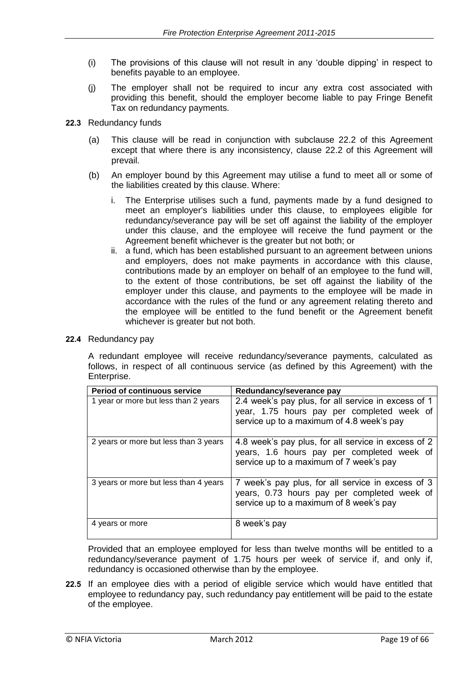- (i) The provisions of this clause will not result in any 'double dipping' in respect to benefits payable to an employee.
- (j) The employer shall not be required to incur any extra cost associated with providing this benefit, should the employer become liable to pay Fringe Benefit Tax on redundancy payments.
- **22.3** Redundancy funds
	- (a) This clause will be read in conjunction with subclause 22.2 of this Agreement except that where there is any inconsistency, clause 22.2 of this Agreement will prevail.
	- (b) An employer bound by this Agreement may utilise a fund to meet all or some of the liabilities created by this clause. Where:
		- i. The Enterprise utilises such a fund, payments made by a fund designed to meet an employer's liabilities under this clause, to employees eligible for redundancy/severance pay will be set off against the liability of the employer under this clause, and the employee will receive the fund payment or the Agreement benefit whichever is the greater but not both; or
		- ii. a fund, which has been established pursuant to an agreement between unions and employers, does not make payments in accordance with this clause, contributions made by an employer on behalf of an employee to the fund will, to the extent of those contributions, be set off against the liability of the employer under this clause, and payments to the employee will be made in accordance with the rules of the fund or any agreement relating thereto and the employee will be entitled to the fund benefit or the Agreement benefit whichever is greater but not both.

#### **22.4** Redundancy pay

A redundant employee will receive redundancy/severance payments, calculated as follows, in respect of all continuous service (as defined by this Agreement) with the Enterprise.

| <b>Period of continuous service</b>   | Redundancy/severance pay                                                                                                                       |  |  |  |
|---------------------------------------|------------------------------------------------------------------------------------------------------------------------------------------------|--|--|--|
| 1 year or more but less than 2 years  | 2.4 week's pay plus, for all service in excess of 1<br>year, 1.75 hours pay per completed week of<br>service up to a maximum of 4.8 week's pay |  |  |  |
| 2 years or more but less than 3 years | 4.8 week's pay plus, for all service in excess of 2<br>years, 1.6 hours pay per completed week of<br>service up to a maximum of 7 week's pay   |  |  |  |
| 3 years or more but less than 4 years | 7 week's pay plus, for all service in excess of 3<br>years, 0.73 hours pay per completed week of<br>service up to a maximum of 8 week's pay    |  |  |  |
| 4 years or more                       | 8 week's pay                                                                                                                                   |  |  |  |

Provided that an employee employed for less than twelve months will be entitled to a redundancy/severance payment of 1.75 hours per week of service if, and only if, redundancy is occasioned otherwise than by the employee.

**22.5** If an employee dies with a period of eligible service which would have entitled that employee to redundancy pay, such redundancy pay entitlement will be paid to the estate of the employee.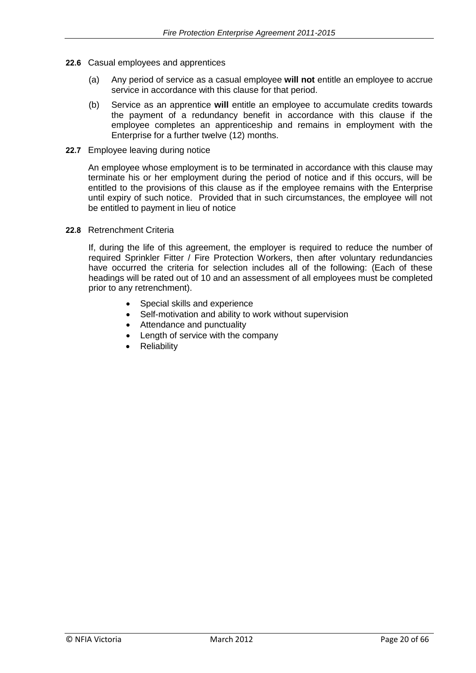- **22.6** Casual employees and apprentices
	- (a) Any period of service as a casual employee **will not** entitle an employee to accrue service in accordance with this clause for that period.
	- (b) Service as an apprentice **will** entitle an employee to accumulate credits towards the payment of a redundancy benefit in accordance with this clause if the employee completes an apprenticeship and remains in employment with the Enterprise for a further twelve (12) months.
- **22.7** Employee leaving during notice

An employee whose employment is to be terminated in accordance with this clause may terminate his or her employment during the period of notice and if this occurs, will be entitled to the provisions of this clause as if the employee remains with the Enterprise until expiry of such notice. Provided that in such circumstances, the employee will not be entitled to payment in lieu of notice

#### **22.8** Retrenchment Criteria

If, during the life of this agreement, the employer is required to reduce the number of required Sprinkler Fitter / Fire Protection Workers, then after voluntary redundancies have occurred the criteria for selection includes all of the following: (Each of these headings will be rated out of 10 and an assessment of all employees must be completed prior to any retrenchment).

- Special skills and experience
- Self-motivation and ability to work without supervision
- Attendance and punctuality
- Length of service with the company
- **Reliability**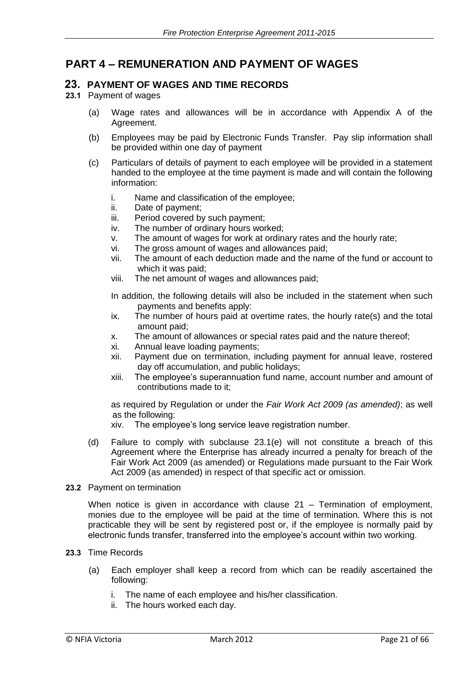### **PART 4 – REMUNERATION AND PAYMENT OF WAGES**

#### **23. PAYMENT OF WAGES AND TIME RECORDS**

#### **23.1** Payment of wages

- (a) Wage rates and allowances will be in accordance with Appendix A of the Agreement.
- (b) Employees may be paid by Electronic Funds Transfer. Pay slip information shall be provided within one day of payment
- (c) Particulars of details of payment to each employee will be provided in a statement handed to the employee at the time payment is made and will contain the following information:
	- i. Name and classification of the employee;
	- ii. Date of payment;
	- iii. Period covered by such payment;
	- iv. The number of ordinary hours worked;
	- v. The amount of wages for work at ordinary rates and the hourly rate;
	- vi. The gross amount of wages and allowances paid;
	- vii. The amount of each deduction made and the name of the fund or account to which it was paid;
	- viii. The net amount of wages and allowances paid;

In addition, the following details will also be included in the statement when such payments and benefits apply:

- ix. The number of hours paid at overtime rates, the hourly rate(s) and the total amount paid;
- x. The amount of allowances or special rates paid and the nature thereof;
- xi. Annual leave loading payments;
- xii. Payment due on termination, including payment for annual leave, rostered day off accumulation, and public holidays;
- xiii. The employee's superannuation fund name, account number and amount of contributions made to it;

as required by Regulation or under the *Fair Work Act 2009 (as amended)*; as well as the following:

xiv. The employee's long service leave registration number.

- (d) Failure to comply with subclause 23.1(e) will not constitute a breach of this Agreement where the Enterprise has already incurred a penalty for breach of the Fair Work Act 2009 (as amended) or Regulations made pursuant to the Fair Work Act 2009 (as amended) in respect of that specific act or omission.
- **23.2** Payment on termination

When notice is given in accordance with clause 21 – Termination of employment, monies due to the employee will be paid at the time of termination. Where this is not practicable they will be sent by registered post or, if the employee is normally paid by electronic funds transfer, transferred into the employee's account within two working.

- **23.3** Time Records
	- (a) Each employer shall keep a record from which can be readily ascertained the following:
		- i. The name of each employee and his/her classification.
		- ii. The hours worked each day.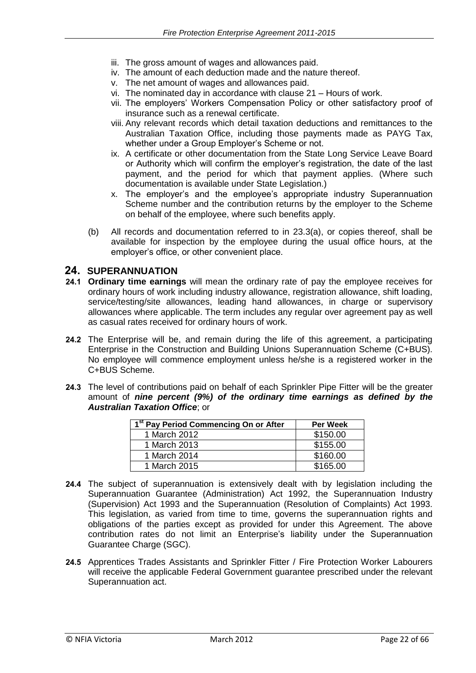- iii. The gross amount of wages and allowances paid.
- iv. The amount of each deduction made and the nature thereof.
- v. The net amount of wages and allowances paid.
- vi. The nominated day in accordance with clause 21 Hours of work.
- vii. The employers' Workers Compensation Policy or other satisfactory proof of insurance such as a renewal certificate.
- viii. Any relevant records which detail taxation deductions and remittances to the Australian Taxation Office, including those payments made as PAYG Tax, whether under a Group Employer's Scheme or not.
- ix. A certificate or other documentation from the State Long Service Leave Board or Authority which will confirm the employer's registration, the date of the last payment, and the period for which that payment applies. (Where such documentation is available under State Legislation.)
- x. The employer's and the employee's appropriate industry Superannuation Scheme number and the contribution returns by the employer to the Scheme on behalf of the employee, where such benefits apply.
- (b) All records and documentation referred to in 23.3(a), or copies thereof, shall be available for inspection by the employee during the usual office hours, at the employer's office, or other convenient place.

#### **24. SUPERANNUATION**

- **24.1 Ordinary time earnings** will mean the ordinary rate of pay the employee receives for ordinary hours of work including industry allowance, registration allowance, shift loading, service/testing/site allowances, leading hand allowances, in charge or supervisory allowances where applicable. The term includes any regular over agreement pay as well as casual rates received for ordinary hours of work.
- **24.2** The Enterprise will be, and remain during the life of this agreement, a participating Enterprise in the Construction and Building Unions Superannuation Scheme (C+BUS). No employee will commence employment unless he/she is a registered worker in the C+BUS Scheme.
- **24.3** The level of contributions paid on behalf of each Sprinkler Pipe Fitter will be the greater amount of *nine percent (9%) of the ordinary time earnings as defined by the Australian Taxation Office*; or

| 1 <sup>st</sup> Pay Period Commencing On or After | <b>Per Week</b> |
|---------------------------------------------------|-----------------|
| 1 March 2012                                      | \$150.00        |
| 1 March 2013                                      | \$155.00        |
| 1 March 2014                                      | \$160.00        |
| 1 March 2015                                      | \$165.00        |

- **24.4** The subject of superannuation is extensively dealt with by legislation including the Superannuation Guarantee (Administration) Act 1992, the Superannuation Industry (Supervision) Act 1993 and the Superannuation (Resolution of Complaints) Act 1993. This legislation, as varied from time to time, governs the superannuation rights and obligations of the parties except as provided for under this Agreement. The above contribution rates do not limit an Enterprise's liability under the Superannuation Guarantee Charge (SGC).
- **24.5** Apprentices Trades Assistants and Sprinkler Fitter / Fire Protection Worker Labourers will receive the applicable Federal Government guarantee prescribed under the relevant Superannuation act.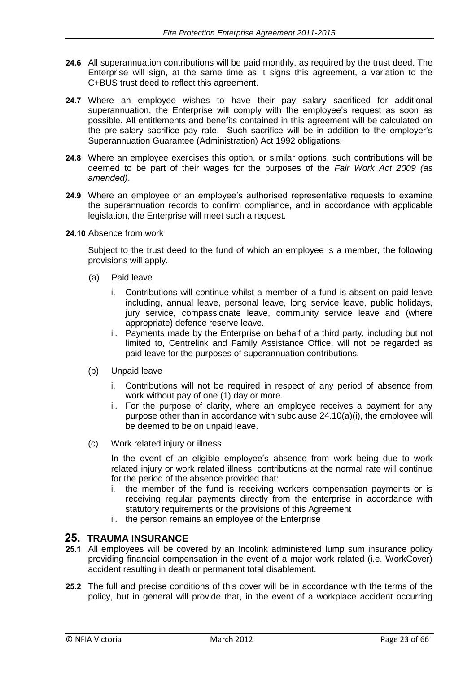- **24.6** All superannuation contributions will be paid monthly, as required by the trust deed. The Enterprise will sign, at the same time as it signs this agreement, a variation to the C+BUS trust deed to reflect this agreement.
- **24.7** Where an employee wishes to have their pay salary sacrificed for additional superannuation, the Enterprise will comply with the employee's request as soon as possible. All entitlements and benefits contained in this agreement will be calculated on the pre-salary sacrifice pay rate. Such sacrifice will be in addition to the employer's Superannuation Guarantee (Administration) Act 1992 obligations.
- **24.8** Where an employee exercises this option, or similar options, such contributions will be deemed to be part of their wages for the purposes of the *Fair Work Act 2009 (as amended)*.
- **24.9** Where an employee or an employee's authorised representative requests to examine the superannuation records to confirm compliance, and in accordance with applicable legislation, the Enterprise will meet such a request.
- **24.10** Absence from work

Subject to the trust deed to the fund of which an employee is a member, the following provisions will apply.

- (a) Paid leave
	- i. Contributions will continue whilst a member of a fund is absent on paid leave including, annual leave, personal leave, long service leave, public holidays, jury service, compassionate leave, community service leave and (where appropriate) defence reserve leave.
	- ii. Payments made by the Enterprise on behalf of a third party, including but not limited to, Centrelink and Family Assistance Office, will not be regarded as paid leave for the purposes of superannuation contributions.
- (b) Unpaid leave
	- i. Contributions will not be required in respect of any period of absence from work without pay of one (1) day or more.
	- ii. For the purpose of clarity, where an employee receives a payment for any purpose other than in accordance with subclause 24.10(a)(i), the employee will be deemed to be on unpaid leave.
- (c) Work related injury or illness

In the event of an eligible employee's absence from work being due to work related injury or work related illness, contributions at the normal rate will continue for the period of the absence provided that:

- i. the member of the fund is receiving workers compensation payments or is receiving regular payments directly from the enterprise in accordance with statutory requirements or the provisions of this Agreement
- ii. the person remains an employee of the Enterprise

#### **25. TRAUMA INSURANCE**

- **25.1** All employees will be covered by an Incolink administered lump sum insurance policy providing financial compensation in the event of a major work related (i.e. WorkCover) accident resulting in death or permanent total disablement.
- **25.2** The full and precise conditions of this cover will be in accordance with the terms of the policy, but in general will provide that, in the event of a workplace accident occurring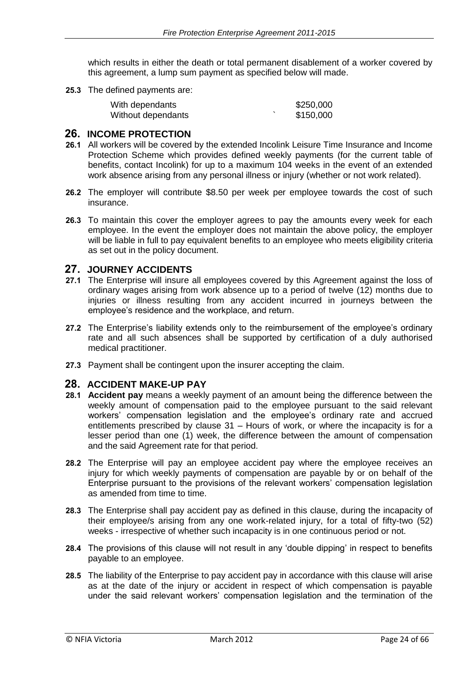which results in either the death or total permanent disablement of a worker covered by this agreement, a lump sum payment as specified below will made.

**25.3** The defined payments are:

| With dependants    | \$250,000 |
|--------------------|-----------|
| Without dependants | \$150,000 |

#### **26. INCOME PROTECTION**

- **26.1** All workers will be covered by the extended Incolink Leisure Time Insurance and Income Protection Scheme which provides defined weekly payments (for the current table of benefits, contact Incolink) for up to a maximum 104 weeks in the event of an extended work absence arising from any personal illness or injury (whether or not work related).
- **26.2** The employer will contribute \$8.50 per week per employee towards the cost of such insurance.
- **26.3** To maintain this cover the employer agrees to pay the amounts every week for each employee. In the event the employer does not maintain the above policy, the employer will be liable in full to pay equivalent benefits to an employee who meets eligibility criteria as set out in the policy document.

#### **27. JOURNEY ACCIDENTS**

- **27.1** The Enterprise will insure all employees covered by this Agreement against the loss of ordinary wages arising from work absence up to a period of twelve (12) months due to injuries or illness resulting from any accident incurred in journeys between the employee's residence and the workplace, and return.
- **27.2** The Enterprise's liability extends only to the reimbursement of the employee's ordinary rate and all such absences shall be supported by certification of a duly authorised medical practitioner.
- **27.3** Payment shall be contingent upon the insurer accepting the claim.

#### **28. ACCIDENT MAKE-UP PAY**

- **28.1 Accident pay** means a weekly payment of an amount being the difference between the weekly amount of compensation paid to the employee pursuant to the said relevant workers' compensation legislation and the employee's ordinary rate and accrued entitlements prescribed by clause 31 – Hours of work, or where the incapacity is for a lesser period than one (1) week, the difference between the amount of compensation and the said Agreement rate for that period.
- **28.2** The Enterprise will pay an employee accident pay where the employee receives an injury for which weekly payments of compensation are payable by or on behalf of the Enterprise pursuant to the provisions of the relevant workers' compensation legislation as amended from time to time.
- **28.3** The Enterprise shall pay accident pay as defined in this clause, during the incapacity of their employee/s arising from any one work-related injury, for a total of fifty-two (52) weeks - irrespective of whether such incapacity is in one continuous period or not.
- **28.4** The provisions of this clause will not result in any 'double dipping' in respect to benefits payable to an employee.
- **28.5** The liability of the Enterprise to pay accident pay in accordance with this clause will arise as at the date of the injury or accident in respect of which compensation is payable under the said relevant workers' compensation legislation and the termination of the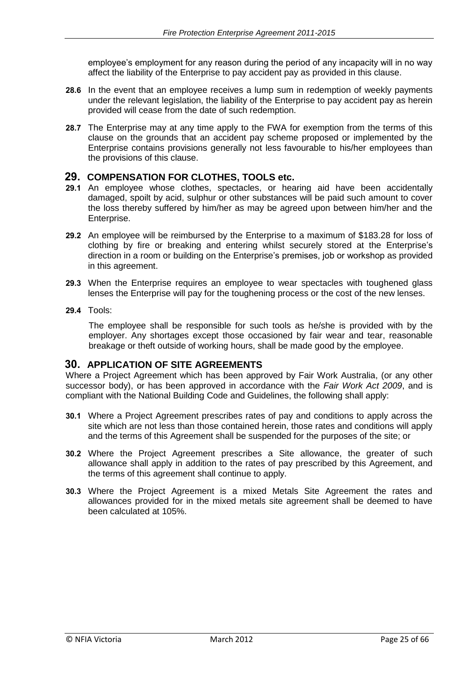employee's employment for any reason during the period of any incapacity will in no way affect the liability of the Enterprise to pay accident pay as provided in this clause.

- **28.6** In the event that an employee receives a lump sum in redemption of weekly payments under the relevant legislation, the liability of the Enterprise to pay accident pay as herein provided will cease from the date of such redemption.
- **28.7** The Enterprise may at any time apply to the FWA for exemption from the terms of this clause on the grounds that an accident pay scheme proposed or implemented by the Enterprise contains provisions generally not less favourable to his/her employees than the provisions of this clause.

#### **29. COMPENSATION FOR CLOTHES, TOOLS etc.**

- **29.1** An employee whose clothes, spectacles, or hearing aid have been accidentally damaged, spoilt by acid, sulphur or other substances will be paid such amount to cover the loss thereby suffered by him/her as may be agreed upon between him/her and the Enterprise.
- **29.2** An employee will be reimbursed by the Enterprise to a maximum of \$183.28 for loss of clothing by fire or breaking and entering whilst securely stored at the Enterprise's direction in a room or building on the Enterprise's premises, job or workshop as provided in this agreement.
- **29.3** When the Enterprise requires an employee to wear spectacles with toughened glass lenses the Enterprise will pay for the toughening process or the cost of the new lenses.
- **29.4** Tools:

The employee shall be responsible for such tools as he/she is provided with by the employer. Any shortages except those occasioned by fair wear and tear, reasonable breakage or theft outside of working hours, shall be made good by the employee.

#### **30. APPLICATION OF SITE AGREEMENTS**

Where a Project Agreement which has been approved by Fair Work Australia, (or any other successor body), or has been approved in accordance with the *Fair Work Act 2009*, and is compliant with the National Building Code and Guidelines, the following shall apply:

- **30.1** Where a Project Agreement prescribes rates of pay and conditions to apply across the site which are not less than those contained herein, those rates and conditions will apply and the terms of this Agreement shall be suspended for the purposes of the site; or
- **30.2** Where the Project Agreement prescribes a Site allowance, the greater of such allowance shall apply in addition to the rates of pay prescribed by this Agreement, and the terms of this agreement shall continue to apply.
- **30.3** Where the Project Agreement is a mixed Metals Site Agreement the rates and allowances provided for in the mixed metals site agreement shall be deemed to have been calculated at 105%.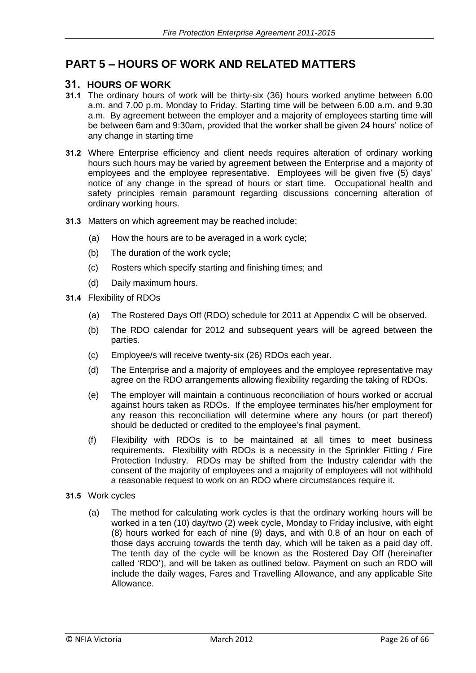### **PART 5 – HOURS OF WORK AND RELATED MATTERS**

### **31. HOURS OF WORK**

- **31.1** The ordinary hours of work will be thirty-six (36) hours worked anytime between 6.00 a.m. and 7.00 p.m. Monday to Friday. Starting time will be between 6.00 a.m. and 9.30 a.m. By agreement between the employer and a majority of employees starting time will be between 6am and 9:30am, provided that the worker shall be given 24 hours' notice of any change in starting time
- **31.2** Where Enterprise efficiency and client needs requires alteration of ordinary working hours such hours may be varied by agreement between the Enterprise and a majority of employees and the employee representative. Employees will be given five (5) days' notice of any change in the spread of hours or start time. Occupational health and safety principles remain paramount regarding discussions concerning alteration of ordinary working hours.
- **31.3** Matters on which agreement may be reached include:
	- (a) How the hours are to be averaged in a work cycle;
	- (b) The duration of the work cycle;
	- (c) Rosters which specify starting and finishing times; and
	- (d) Daily maximum hours.
- **31.4** Flexibility of RDOs
	- (a) The Rostered Days Off (RDO) schedule for 2011 at Appendix C will be observed.
	- (b) The RDO calendar for 2012 and subsequent years will be agreed between the parties.
	- (c) Employee/s will receive twenty-six (26) RDOs each year.
	- (d) The Enterprise and a majority of employees and the employee representative may agree on the RDO arrangements allowing flexibility regarding the taking of RDOs.
	- (e) The employer will maintain a continuous reconciliation of hours worked or accrual against hours taken as RDOs. If the employee terminates his/her employment for any reason this reconciliation will determine where any hours (or part thereof) should be deducted or credited to the employee's final payment.
	- (f) Flexibility with RDOs is to be maintained at all times to meet business requirements. Flexibility with RDOs is a necessity in the Sprinkler Fitting / Fire Protection Industry. RDOs may be shifted from the Industry calendar with the consent of the majority of employees and a majority of employees will not withhold a reasonable request to work on an RDO where circumstances require it.
- **31.5** Work cycles
	- (a) The method for calculating work cycles is that the ordinary working hours will be worked in a ten (10) day/two (2) week cycle, Monday to Friday inclusive, with eight (8) hours worked for each of nine (9) days, and with 0.8 of an hour on each of those days accruing towards the tenth day, which will be taken as a paid day off. The tenth day of the cycle will be known as the Rostered Day Off (hereinafter called 'RDO'), and will be taken as outlined below. Payment on such an RDO will include the daily wages, Fares and Travelling Allowance, and any applicable Site Allowance.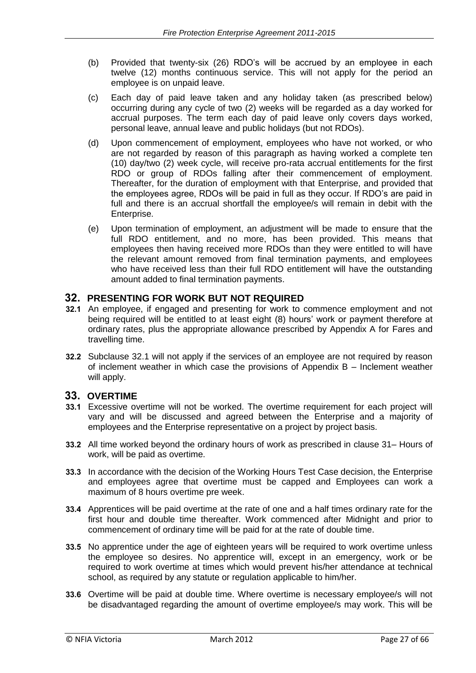- (b) Provided that twenty-six (26) RDO's will be accrued by an employee in each twelve (12) months continuous service. This will not apply for the period an employee is on unpaid leave.
- (c) Each day of paid leave taken and any holiday taken (as prescribed below) occurring during any cycle of two (2) weeks will be regarded as a day worked for accrual purposes. The term each day of paid leave only covers days worked, personal leave, annual leave and public holidays (but not RDOs).
- (d) Upon commencement of employment, employees who have not worked, or who are not regarded by reason of this paragraph as having worked a complete ten (10) day/two (2) week cycle, will receive pro-rata accrual entitlements for the first RDO or group of RDOs falling after their commencement of employment. Thereafter, for the duration of employment with that Enterprise, and provided that the employees agree, RDOs will be paid in full as they occur. If RDO's are paid in full and there is an accrual shortfall the employee/s will remain in debit with the Enterprise.
- (e) Upon termination of employment, an adjustment will be made to ensure that the full RDO entitlement, and no more, has been provided. This means that employees then having received more RDOs than they were entitled to will have the relevant amount removed from final termination payments, and employees who have received less than their full RDO entitlement will have the outstanding amount added to final termination payments.

#### **32. PRESENTING FOR WORK BUT NOT REQUIRED**

- **32.1** An employee, if engaged and presenting for work to commence employment and not being required will be entitled to at least eight (8) hours' work or payment therefore at ordinary rates, plus the appropriate allowance prescribed by Appendix A for Fares and travelling time.
- **32.2** Subclause 32.1 will not apply if the services of an employee are not required by reason of inclement weather in which case the provisions of Appendix B – Inclement weather will apply.

#### **33. OVERTIME**

- **33.1** Excessive overtime will not be worked. The overtime requirement for each project will vary and will be discussed and agreed between the Enterprise and a majority of employees and the Enterprise representative on a project by project basis.
- **33.2** All time worked beyond the ordinary hours of work as prescribed in clause 31– Hours of work, will be paid as overtime.
- **33.3** In accordance with the decision of the Working Hours Test Case decision, the Enterprise and employees agree that overtime must be capped and Employees can work a maximum of 8 hours overtime pre week.
- **33.4** Apprentices will be paid overtime at the rate of one and a half times ordinary rate for the first hour and double time thereafter. Work commenced after Midnight and prior to commencement of ordinary time will be paid for at the rate of double time.
- **33.5** No apprentice under the age of eighteen years will be required to work overtime unless the employee so desires. No apprentice will, except in an emergency, work or be required to work overtime at times which would prevent his/her attendance at technical school, as required by any statute or regulation applicable to him/her.
- **33.6** Overtime will be paid at double time. Where overtime is necessary employee/s will not be disadvantaged regarding the amount of overtime employee/s may work. This will be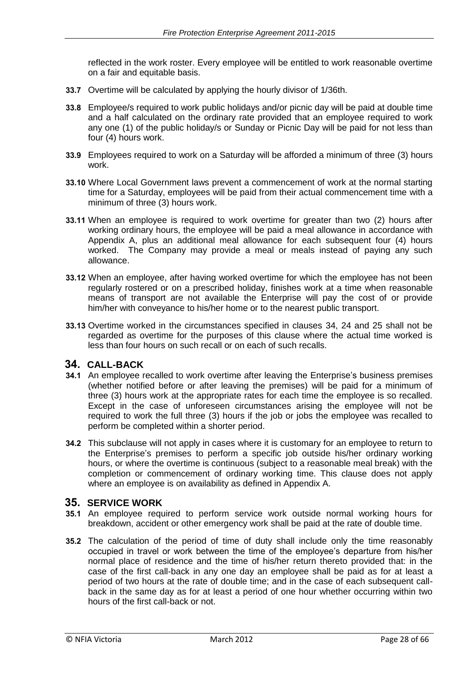reflected in the work roster. Every employee will be entitled to work reasonable overtime on a fair and equitable basis.

- **33.7** Overtime will be calculated by applying the hourly divisor of 1/36th.
- **33.8** Employee/s required to work public holidays and/or picnic day will be paid at double time and a half calculated on the ordinary rate provided that an employee required to work any one (1) of the public holiday/s or Sunday or Picnic Day will be paid for not less than four (4) hours work.
- **33.9** Employees required to work on a Saturday will be afforded a minimum of three (3) hours work.
- **33.10** Where Local Government laws prevent a commencement of work at the normal starting time for a Saturday, employees will be paid from their actual commencement time with a minimum of three (3) hours work.
- **33.11** When an employee is required to work overtime for greater than two (2) hours after working ordinary hours, the employee will be paid a meal allowance in accordance with Appendix A, plus an additional meal allowance for each subsequent four (4) hours worked. The Company may provide a meal or meals instead of paying any such allowance.
- **33.12** When an employee, after having worked overtime for which the employee has not been regularly rostered or on a prescribed holiday, finishes work at a time when reasonable means of transport are not available the Enterprise will pay the cost of or provide him/her with conveyance to his/her home or to the nearest public transport.
- **33.13** Overtime worked in the circumstances specified in clauses 34, 24 and 25 shall not be regarded as overtime for the purposes of this clause where the actual time worked is less than four hours on such recall or on each of such recalls.

#### **34. CALL-BACK**

- **34.1** An employee recalled to work overtime after leaving the Enterprise's business premises (whether notified before or after leaving the premises) will be paid for a minimum of three (3) hours work at the appropriate rates for each time the employee is so recalled. Except in the case of unforeseen circumstances arising the employee will not be required to work the full three (3) hours if the job or jobs the employee was recalled to perform be completed within a shorter period.
- **34.2** This subclause will not apply in cases where it is customary for an employee to return to the Enterprise's premises to perform a specific job outside his/her ordinary working hours, or where the overtime is continuous (subject to a reasonable meal break) with the completion or commencement of ordinary working time. This clause does not apply where an employee is on availability as defined in Appendix A.

#### **35. SERVICE WORK**

- **35.1** An employee required to perform service work outside normal working hours for breakdown, accident or other emergency work shall be paid at the rate of double time.
- **35.2** The calculation of the period of time of duty shall include only the time reasonably occupied in travel or work between the time of the employee's departure from his/her normal place of residence and the time of his/her return thereto provided that: in the case of the first call-back in any one day an employee shall be paid as for at least a period of two hours at the rate of double time; and in the case of each subsequent callback in the same day as for at least a period of one hour whether occurring within two hours of the first call-back or not.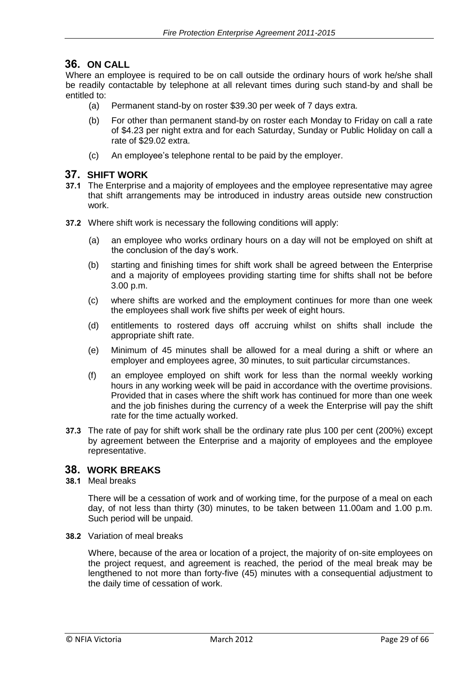### **36. ON CALL**

Where an employee is required to be on call outside the ordinary hours of work he/she shall be readily contactable by telephone at all relevant times during such stand-by and shall be entitled to:

- (a) Permanent stand-by on roster \$39.30 per week of 7 days extra.
- (b) For other than permanent stand-by on roster each Monday to Friday on call a rate of \$4.23 per night extra and for each Saturday, Sunday or Public Holiday on call a rate of \$29.02 extra.
- (c) An employee's telephone rental to be paid by the employer.

#### **37. SHIFT WORK**

- **37.1** The Enterprise and a majority of employees and the employee representative may agree that shift arrangements may be introduced in industry areas outside new construction work.
- **37.2** Where shift work is necessary the following conditions will apply:
	- (a) an employee who works ordinary hours on a day will not be employed on shift at the conclusion of the day's work.
	- (b) starting and finishing times for shift work shall be agreed between the Enterprise and a majority of employees providing starting time for shifts shall not be before 3.00 p.m.
	- (c) where shifts are worked and the employment continues for more than one week the employees shall work five shifts per week of eight hours.
	- (d) entitlements to rostered days off accruing whilst on shifts shall include the appropriate shift rate.
	- (e) Minimum of 45 minutes shall be allowed for a meal during a shift or where an employer and employees agree, 30 minutes, to suit particular circumstances.
	- (f) an employee employed on shift work for less than the normal weekly working hours in any working week will be paid in accordance with the overtime provisions. Provided that in cases where the shift work has continued for more than one week and the job finishes during the currency of a week the Enterprise will pay the shift rate for the time actually worked.
- **37.3** The rate of pay for shift work shall be the ordinary rate plus 100 per cent (200%) except by agreement between the Enterprise and a majority of employees and the employee representative.

### **38. WORK BREAKS**

**38.1** Meal breaks

There will be a cessation of work and of working time, for the purpose of a meal on each day, of not less than thirty (30) minutes, to be taken between 11.00am and 1.00 p.m. Such period will be unpaid.

**38.2** Variation of meal breaks

Where, because of the area or location of a project, the majority of on-site employees on the project request, and agreement is reached, the period of the meal break may be lengthened to not more than forty-five (45) minutes with a consequential adjustment to the daily time of cessation of work.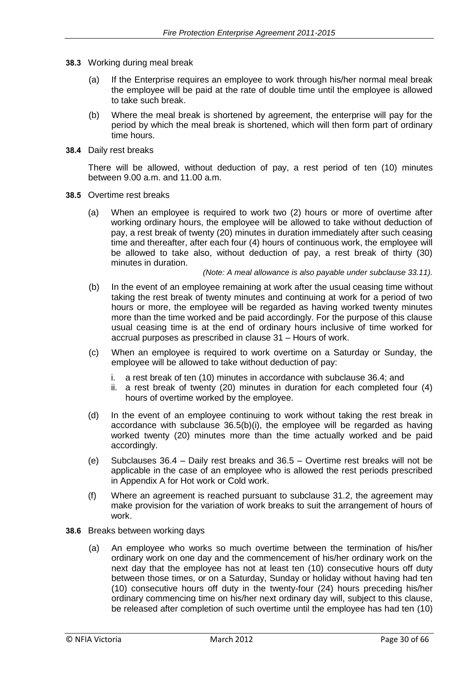- **38.3** Working during meal break
	- (a) If the Enterprise requires an employee to work through his/her normal meal break the employee will be paid at the rate of double time until the employee is allowed to take such break.
	- (b) Where the meal break is shortened by agreement, the enterprise will pay for the period by which the meal break is shortened, which will then form part of ordinary time hours.
- **38.4** Daily rest breaks

There will be allowed, without deduction of pay, a rest period of ten (10) minutes between 9.00 a.m. and 11.00 a.m.

- **38.5** Overtime rest breaks
	- (a) When an employee is required to work two (2) hours or more of overtime after working ordinary hours, the employee will be allowed to take without deduction of pay, a rest break of twenty (20) minutes in duration immediately after such ceasing time and thereafter, after each four (4) hours of continuous work, the employee will be allowed to take also, without deduction of pay, a rest break of thirty (30) minutes in duration.

*(Note: A meal allowance is also payable under subclause 33.11).* 

- (b) In the event of an employee remaining at work after the usual ceasing time without taking the rest break of twenty minutes and continuing at work for a period of two hours or more, the employee will be regarded as having worked twenty minutes more than the time worked and be paid accordingly. For the purpose of this clause usual ceasing time is at the end of ordinary hours inclusive of time worked for accrual purposes as prescribed in clause 31 – Hours of work.
- (c) When an employee is required to work overtime on a Saturday or Sunday, the employee will be allowed to take without deduction of pay:
	- i. a rest break of ten (10) minutes in accordance with subclause 36.4; and
	- ii. a rest break of twenty (20) minutes in duration for each completed four (4) hours of overtime worked by the employee.
- (d) In the event of an employee continuing to work without taking the rest break in accordance with subclause 36.5(b)(i), the employee will be regarded as having worked twenty (20) minutes more than the time actually worked and be paid accordingly.
- (e) Subclauses 36.4 Daily rest breaks and 36.5 Overtime rest breaks will not be applicable in the case of an employee who is allowed the rest periods prescribed in Appendix A for Hot work or Cold work.
- (f) Where an agreement is reached pursuant to subclause 31.2, the agreement may make provision for the variation of work breaks to suit the arrangement of hours of work.
- **38.6** Breaks between working days
	- (a) An employee who works so much overtime between the termination of his/her ordinary work on one day and the commencement of his/her ordinary work on the next day that the employee has not at least ten (10) consecutive hours off duty between those times, or on a Saturday, Sunday or holiday without having had ten (10) consecutive hours off duty in the twenty-four (24) hours preceding his/her ordinary commencing time on his/her next ordinary day will, subject to this clause, be released after completion of such overtime until the employee has had ten (10)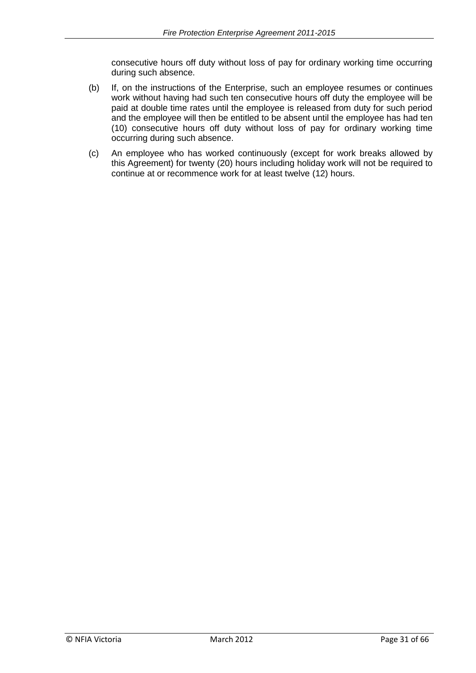consecutive hours off duty without loss of pay for ordinary working time occurring during such absence.

- (b) If, on the instructions of the Enterprise, such an employee resumes or continues work without having had such ten consecutive hours off duty the employee will be paid at double time rates until the employee is released from duty for such period and the employee will then be entitled to be absent until the employee has had ten (10) consecutive hours off duty without loss of pay for ordinary working time occurring during such absence.
- (c) An employee who has worked continuously (except for work breaks allowed by this Agreement) for twenty (20) hours including holiday work will not be required to continue at or recommence work for at least twelve (12) hours.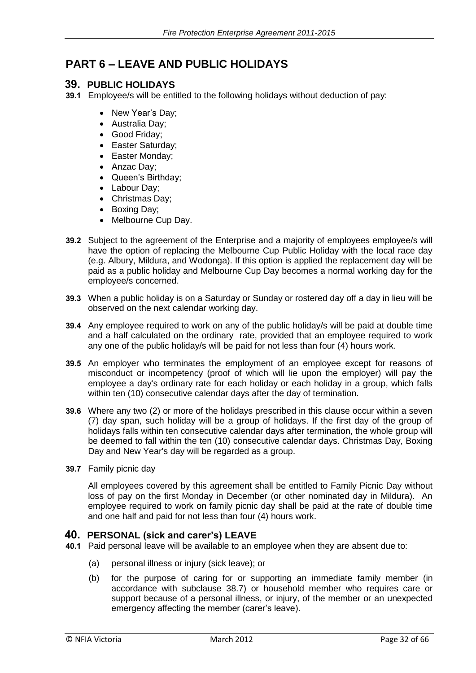### **PART 6 – LEAVE AND PUBLIC HOLIDAYS**

#### **39. PUBLIC HOLIDAYS**

**39.1** Employee/s will be entitled to the following holidays without deduction of pay:

- New Year's Day;
- Australia Day;
- Good Friday;
- Easter Saturday;
- Easter Monday;
- Anzac Day;
- Queen's Birthday;
- Labour Day;
- Christmas Day;
- Boxing Day;
- Melbourne Cup Day.
- **39.2** Subject to the agreement of the Enterprise and a majority of employees employee/s will have the option of replacing the Melbourne Cup Public Holiday with the local race day (e.g. Albury, Mildura, and Wodonga). If this option is applied the replacement day will be paid as a public holiday and Melbourne Cup Day becomes a normal working day for the employee/s concerned.
- **39.3** When a public holiday is on a Saturday or Sunday or rostered day off a day in lieu will be observed on the next calendar working day.
- **39.4** Any employee required to work on any of the public holiday/s will be paid at double time and a half calculated on the ordinary rate, provided that an employee required to work any one of the public holiday/s will be paid for not less than four (4) hours work.
- **39.5** An employer who terminates the employment of an employee except for reasons of misconduct or incompetency (proof of which will lie upon the employer) will pay the employee a day's ordinary rate for each holiday or each holiday in a group, which falls within ten (10) consecutive calendar days after the day of termination.
- **39.6** Where any two (2) or more of the holidays prescribed in this clause occur within a seven (7) day span, such holiday will be a group of holidays. If the first day of the group of holidays falls within ten consecutive calendar days after termination, the whole group will be deemed to fall within the ten (10) consecutive calendar days. Christmas Day, Boxing Day and New Year's day will be regarded as a group.
- **39.7** Family picnic day

All employees covered by this agreement shall be entitled to Family Picnic Day without loss of pay on the first Monday in December (or other nominated day in Mildura). An employee required to work on family picnic day shall be paid at the rate of double time and one half and paid for not less than four (4) hours work.

#### **40. PERSONAL (sick and carer's) LEAVE**

- **40.1** Paid personal leave will be available to an employee when they are absent due to:
	- (a) personal illness or injury (sick leave); or
	- (b) for the purpose of caring for or supporting an immediate family member (in accordance with subclause 38.7) or household member who requires care or support because of a personal illness, or injury, of the member or an unexpected emergency affecting the member (carer's leave).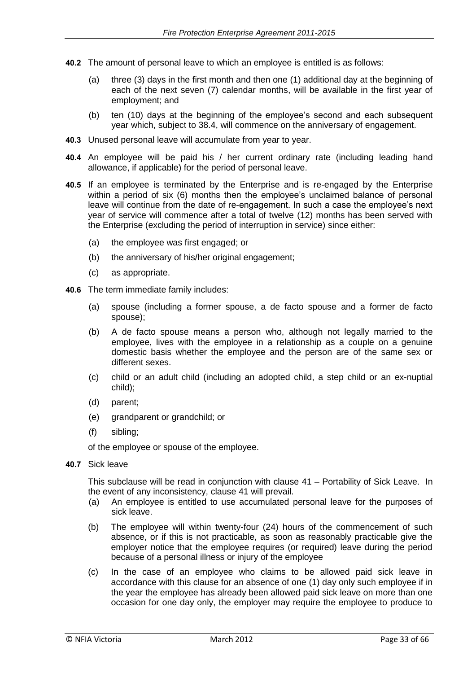- **40.2** The amount of personal leave to which an employee is entitled is as follows:
	- (a) three (3) days in the first month and then one (1) additional day at the beginning of each of the next seven (7) calendar months, will be available in the first year of employment; and
	- (b) ten (10) days at the beginning of the employee's second and each subsequent year which, subject to 38.4, will commence on the anniversary of engagement.
- **40.3** Unused personal leave will accumulate from year to year.
- **40.4** An employee will be paid his / her current ordinary rate (including leading hand allowance, if applicable) for the period of personal leave.
- **40.5** If an employee is terminated by the Enterprise and is re-engaged by the Enterprise within a period of six (6) months then the employee's unclaimed balance of personal leave will continue from the date of re-engagement. In such a case the employee's next year of service will commence after a total of twelve (12) months has been served with the Enterprise (excluding the period of interruption in service) since either:
	- (a) the employee was first engaged; or
	- (b) the anniversary of his/her original engagement;
	- (c) as appropriate.
- **40.6** The term immediate family includes:
	- (a) spouse (including a former spouse, a de facto spouse and a former de facto spouse);
	- (b) A de facto spouse means a person who, although not legally married to the employee, lives with the employee in a relationship as a couple on a genuine domestic basis whether the employee and the person are of the same sex or different sexes.
	- (c) child or an adult child (including an adopted child, a step child or an ex-nuptial child);
	- (d) parent;
	- (e) grandparent or grandchild; or
	- (f) sibling;

of the employee or spouse of the employee.

**40.7** Sick leave

This subclause will be read in conjunction with clause 41 – Portability of Sick Leave. In the event of any inconsistency, clause 41 will prevail.

- (a) An employee is entitled to use accumulated personal leave for the purposes of sick leave.
- (b) The employee will within twenty-four (24) hours of the commencement of such absence, or if this is not practicable, as soon as reasonably practicable give the employer notice that the employee requires (or required) leave during the period because of a personal illness or injury of the employee
- (c) In the case of an employee who claims to be allowed paid sick leave in accordance with this clause for an absence of one (1) day only such employee if in the year the employee has already been allowed paid sick leave on more than one occasion for one day only, the employer may require the employee to produce to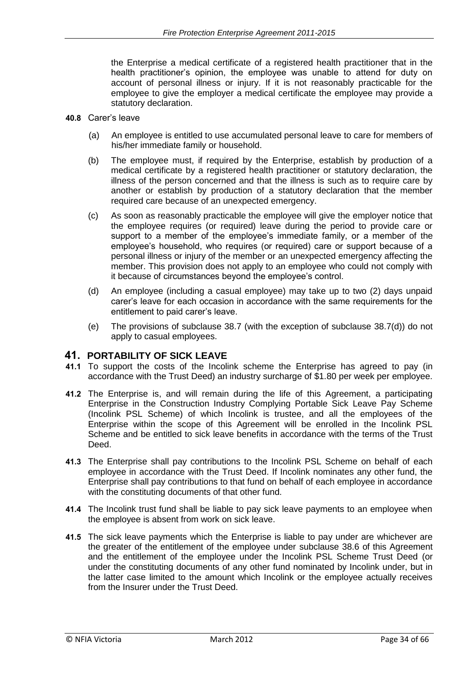the Enterprise a medical certificate of a registered health practitioner that in the health practitioner's opinion, the employee was unable to attend for duty on account of personal illness or injury. If it is not reasonably practicable for the employee to give the employer a medical certificate the employee may provide a statutory declaration.

- **40.8** Carer's leave
	- (a) An employee is entitled to use accumulated personal leave to care for members of his/her immediate family or household.
	- (b) The employee must, if required by the Enterprise, establish by production of a medical certificate by a registered health practitioner or statutory declaration, the illness of the person concerned and that the illness is such as to require care by another or establish by production of a statutory declaration that the member required care because of an unexpected emergency.
	- (c) As soon as reasonably practicable the employee will give the employer notice that the employee requires (or required) leave during the period to provide care or support to a member of the employee's immediate family, or a member of the employee's household, who requires (or required) care or support because of a personal illness or injury of the member or an unexpected emergency affecting the member. This provision does not apply to an employee who could not comply with it because of circumstances beyond the employee's control.
	- (d) An employee (including a casual employee) may take up to two (2) days unpaid carer's leave for each occasion in accordance with the same requirements for the entitlement to paid carer's leave.
	- (e) The provisions of subclause 38.7 (with the exception of subclause 38.7(d)) do not apply to casual employees.

#### **41. PORTABILITY OF SICK LEAVE**

- **41.1** To support the costs of the Incolink scheme the Enterprise has agreed to pay (in accordance with the Trust Deed) an industry surcharge of \$1.80 per week per employee.
- **41.2** The Enterprise is, and will remain during the life of this Agreement, a participating Enterprise in the Construction Industry Complying Portable Sick Leave Pay Scheme (Incolink PSL Scheme) of which Incolink is trustee, and all the employees of the Enterprise within the scope of this Agreement will be enrolled in the Incolink PSL Scheme and be entitled to sick leave benefits in accordance with the terms of the Trust Deed.
- **41.3** The Enterprise shall pay contributions to the Incolink PSL Scheme on behalf of each employee in accordance with the Trust Deed. If Incolink nominates any other fund, the Enterprise shall pay contributions to that fund on behalf of each employee in accordance with the constituting documents of that other fund.
- **41.4** The Incolink trust fund shall be liable to pay sick leave payments to an employee when the employee is absent from work on sick leave.
- **41.5** The sick leave payments which the Enterprise is liable to pay under are whichever are the greater of the entitlement of the employee under subclause 38.6 of this Agreement and the entitlement of the employee under the Incolink PSL Scheme Trust Deed (or under the constituting documents of any other fund nominated by Incolink under, but in the latter case limited to the amount which Incolink or the employee actually receives from the Insurer under the Trust Deed.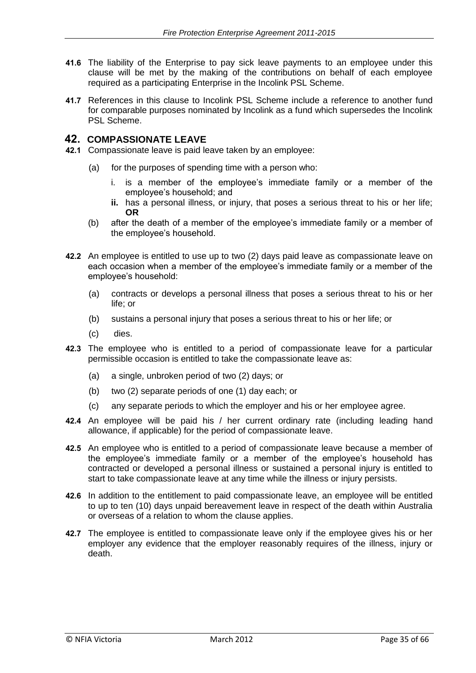- **41.6** The liability of the Enterprise to pay sick leave payments to an employee under this clause will be met by the making of the contributions on behalf of each employee required as a participating Enterprise in the Incolink PSL Scheme.
- **41.7** References in this clause to Incolink PSL Scheme include a reference to another fund for comparable purposes nominated by Incolink as a fund which supersedes the Incolink PSL Scheme.

#### **42. COMPASSIONATE LEAVE**

- **42.1** Compassionate leave is paid leave taken by an employee:
	- (a) for the purposes of spending time with a person who:
		- i. is a member of the employee's immediate family or a member of the employee's household; and
		- **ii.** has a personal illness, or injury, that poses a serious threat to his or her life; **OR**
	- (b) after the death of a member of the employee's immediate family or a member of the employee's household.
- **42.2** An employee is entitled to use up to two (2) days paid leave as compassionate leave on each occasion when a member of the employee's immediate family or a member of the employee's household:
	- (a) contracts or develops a personal illness that poses a serious threat to his or her life; or
	- (b) sustains a personal injury that poses a serious threat to his or her life; or
	- (c) dies.
- **42.3** The employee who is entitled to a period of compassionate leave for a particular permissible occasion is entitled to take the compassionate leave as:
	- (a) a single, unbroken period of two (2) days; or
	- (b) two (2) separate periods of one (1) day each; or
	- (c) any separate periods to which the employer and his or her employee agree.
- **42.4** An employee will be paid his / her current ordinary rate (including leading hand allowance, if applicable) for the period of compassionate leave.
- **42.5** An employee who is entitled to a period of compassionate leave because a member of the employee's immediate family or a member of the employee's household has contracted or developed a personal illness or sustained a personal injury is entitled to start to take compassionate leave at any time while the illness or injury persists.
- **42.6** In addition to the entitlement to paid compassionate leave, an employee will be entitled to up to ten (10) days unpaid bereavement leave in respect of the death within Australia or overseas of a relation to whom the clause applies.
- **42.7** The employee is entitled to compassionate leave only if the employee gives his or her employer any evidence that the employer reasonably requires of the illness, injury or death.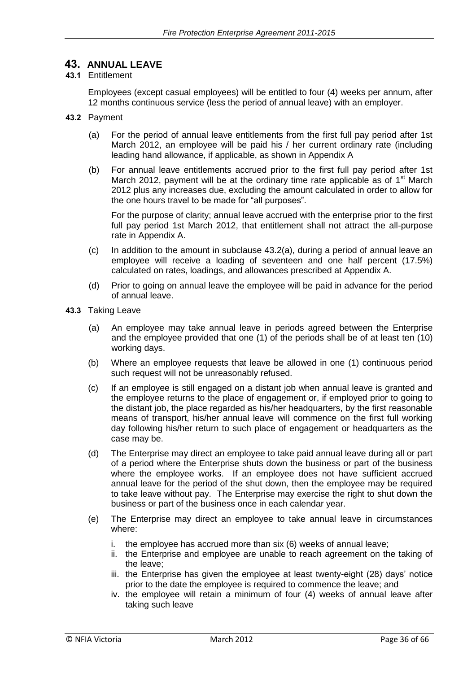### **43. ANNUAL LEAVE**

#### **43.1** Entitlement

Employees (except casual employees) will be entitled to four (4) weeks per annum, after 12 months continuous service (less the period of annual leave) with an employer.

- **43.2** Payment
	- (a) For the period of annual leave entitlements from the first full pay period after 1st March 2012, an employee will be paid his / her current ordinary rate (including leading hand allowance, if applicable, as shown in Appendix A
	- (b) For annual leave entitlements accrued prior to the first full pay period after 1st March 2012, payment will be at the ordinary time rate applicable as of  $1<sup>st</sup>$  March 2012 plus any increases due, excluding the amount calculated in order to allow for the one hours travel to be made for "all purposes".

For the purpose of clarity; annual leave accrued with the enterprise prior to the first full pay period 1st March 2012, that entitlement shall not attract the all-purpose rate in Appendix A.

- (c) In addition to the amount in subclause 43.2(a), during a period of annual leave an employee will receive a loading of seventeen and one half percent (17.5%) calculated on rates, loadings, and allowances prescribed at Appendix A.
- (d) Prior to going on annual leave the employee will be paid in advance for the period of annual leave.
- **43.3** Taking Leave
	- (a) An employee may take annual leave in periods agreed between the Enterprise and the employee provided that one (1) of the periods shall be of at least ten (10) working days.
	- (b) Where an employee requests that leave be allowed in one (1) continuous period such request will not be unreasonably refused.
	- (c) If an employee is still engaged on a distant job when annual leave is granted and the employee returns to the place of engagement or, if employed prior to going to the distant job, the place regarded as his/her headquarters, by the first reasonable means of transport, his/her annual leave will commence on the first full working day following his/her return to such place of engagement or headquarters as the case may be.
	- (d) The Enterprise may direct an employee to take paid annual leave during all or part of a period where the Enterprise shuts down the business or part of the business where the employee works. If an employee does not have sufficient accrued annual leave for the period of the shut down, then the employee may be required to take leave without pay. The Enterprise may exercise the right to shut down the business or part of the business once in each calendar year.
	- (e) The Enterprise may direct an employee to take annual leave in circumstances where:
		- i. the employee has accrued more than six (6) weeks of annual leave;
		- ii. the Enterprise and employee are unable to reach agreement on the taking of the leave;
		- iii. the Enterprise has given the employee at least twenty-eight (28) days' notice prior to the date the employee is required to commence the leave; and
		- iv. the employee will retain a minimum of four (4) weeks of annual leave after taking such leave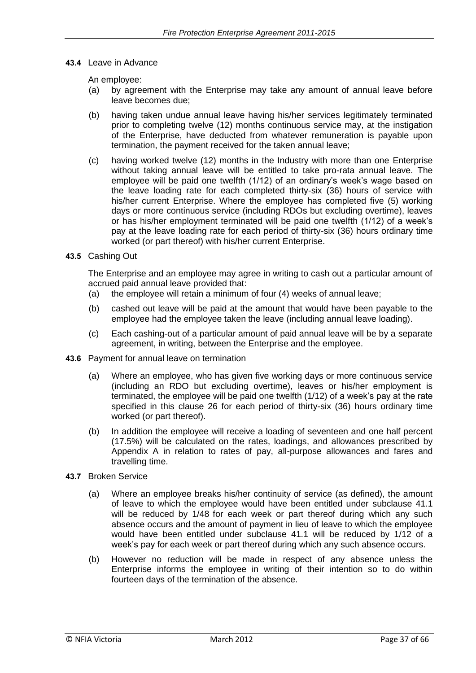**43.4** Leave in Advance

An employee:

- (a) by agreement with the Enterprise may take any amount of annual leave before leave becomes due;
- (b) having taken undue annual leave having his/her services legitimately terminated prior to completing twelve (12) months continuous service may, at the instigation of the Enterprise, have deducted from whatever remuneration is payable upon termination, the payment received for the taken annual leave;
- (c) having worked twelve (12) months in the Industry with more than one Enterprise without taking annual leave will be entitled to take pro-rata annual leave. The employee will be paid one twelfth (1/12) of an ordinary's week's wage based on the leave loading rate for each completed thirty-six (36) hours of service with his/her current Enterprise. Where the employee has completed five (5) working days or more continuous service (including RDOs but excluding overtime), leaves or has his/her employment terminated will be paid one twelfth (1/12) of a week's pay at the leave loading rate for each period of thirty-six (36) hours ordinary time worked (or part thereof) with his/her current Enterprise.
- **43.5** Cashing Out

The Enterprise and an employee may agree in writing to cash out a particular amount of accrued paid annual leave provided that:

- (a) the employee will retain a minimum of four (4) weeks of annual leave;
- (b) cashed out leave will be paid at the amount that would have been payable to the employee had the employee taken the leave (including annual leave loading).
- (c) Each cashing-out of a particular amount of paid annual leave will be by a separate agreement, in writing, between the Enterprise and the employee.
- **43.6** Payment for annual leave on termination
	- (a) Where an employee, who has given five working days or more continuous service (including an RDO but excluding overtime), leaves or his/her employment is terminated, the employee will be paid one twelfth (1/12) of a week's pay at the rate specified in this clause 26 for each period of thirty-six (36) hours ordinary time worked (or part thereof).
	- (b) In addition the employee will receive a loading of seventeen and one half percent (17.5%) will be calculated on the rates, loadings, and allowances prescribed by Appendix A in relation to rates of pay, all-purpose allowances and fares and travelling time.
- **43.7** Broken Service
	- (a) Where an employee breaks his/her continuity of service (as defined), the amount of leave to which the employee would have been entitled under subclause 41.1 will be reduced by 1/48 for each week or part thereof during which any such absence occurs and the amount of payment in lieu of leave to which the employee would have been entitled under subclause 41.1 will be reduced by 1/12 of a week's pay for each week or part thereof during which any such absence occurs.
	- (b) However no reduction will be made in respect of any absence unless the Enterprise informs the employee in writing of their intention so to do within fourteen days of the termination of the absence.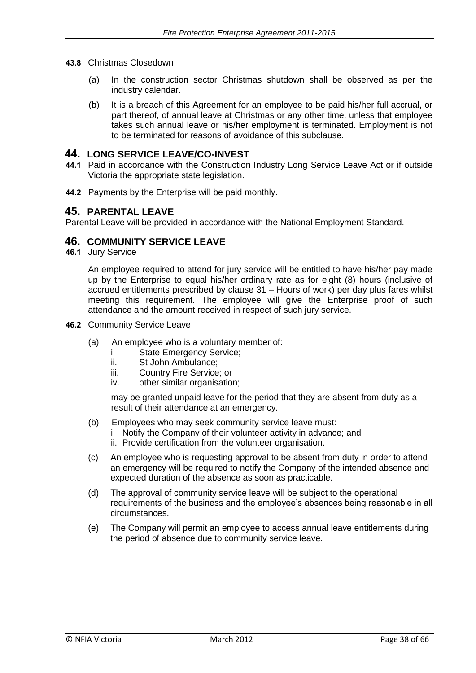- **43.8** Christmas Closedown
	- (a) In the construction sector Christmas shutdown shall be observed as per the industry calendar.
	- (b) It is a breach of this Agreement for an employee to be paid his/her full accrual, or part thereof, of annual leave at Christmas or any other time, unless that employee takes such annual leave or his/her employment is terminated. Employment is not to be terminated for reasons of avoidance of this subclause.

#### **44. LONG SERVICE LEAVE/CO-INVEST**

- **44.1** Paid in accordance with the Construction Industry Long Service Leave Act or if outside Victoria the appropriate state legislation.
- **44.2** Payments by the Enterprise will be paid monthly.

#### **45. PARENTAL LEAVE**

Parental Leave will be provided in accordance with the National Employment Standard.

#### **46. COMMUNITY SERVICE LEAVE**

**46.1** Jury Service

An employee required to attend for jury service will be entitled to have his/her pay made up by the Enterprise to equal his/her ordinary rate as for eight (8) hours (inclusive of accrued entitlements prescribed by clause 31 – Hours of work) per day plus fares whilst meeting this requirement. The employee will give the Enterprise proof of such attendance and the amount received in respect of such jury service.

- **46.2** Community Service Leave
	- (a) An employee who is a voluntary member of:
		- i. State Emergency Service;<br>ii. St John Ambulance:
		- St John Ambulance:
		- iii. Country Fire Service; or
		- iv. other similar organisation;

may be granted unpaid leave for the period that they are absent from duty as a result of their attendance at an emergency.

- (b) Employees who may seek community service leave must:
	- i. Notify the Company of their volunteer activity in advance; and
		- ii. Provide certification from the volunteer organisation.
- (c) An employee who is requesting approval to be absent from duty in order to attend an emergency will be required to notify the Company of the intended absence and expected duration of the absence as soon as practicable.
- (d) The approval of community service leave will be subject to the operational requirements of the business and the employee's absences being reasonable in all circumstances.
- (e) The Company will permit an employee to access annual leave entitlements during the period of absence due to community service leave.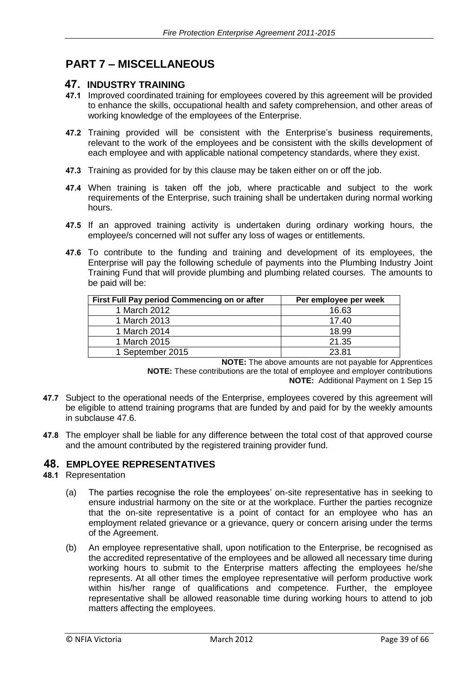### **PART 7 – MISCELLANEOUS**

#### **47. INDUSTRY TRAINING**

- **47.1** Improved coordinated training for employees covered by this agreement will be provided to enhance the skills, occupational health and safety comprehension, and other areas of working knowledge of the employees of the Enterprise.
- **47.2** Training provided will be consistent with the Enterprise's business requirements, relevant to the work of the employees and be consistent with the skills development of each employee and with applicable national competency standards, where they exist.
- **47.3** Training as provided for by this clause may be taken either on or off the job.
- **47.4** When training is taken off the job, where practicable and subject to the work requirements of the Enterprise, such training shall be undertaken during normal working hours.
- **47.5** If an approved training activity is undertaken during ordinary working hours, the employee/s concerned will not suffer any loss of wages or entitlements.
- **47.6** To contribute to the funding and training and development of its employees, the Enterprise will pay the following schedule of payments into the Plumbing Industry Joint Training Fund that will provide plumbing and plumbing related courses. The amounts to be paid will be:

| First Full Pay period Commencing on or after | Per employee per week |
|----------------------------------------------|-----------------------|
| 1 March 2012                                 | 16.63                 |
| 1 March 2013                                 | 17.40                 |
| 1 March 2014                                 | 18.99                 |
| 1 March 2015                                 | 21.35                 |
| 1 September 2015                             | 23.81                 |

**NOTE:** The above amounts are not payable for Apprentices **NOTE:** These contributions are the total of employee and employer contributions **NOTE:** Additional Payment on 1 Sep 15

- **47.7** Subject to the operational needs of the Enterprise, employees covered by this agreement will be eligible to attend training programs that are funded by and paid for by the weekly amounts in subclause 47.6.
- **47.8** The employer shall be liable for any difference between the total cost of that approved course and the amount contributed by the registered training provider fund.

#### **48. EMPLOYEE REPRESENTATIVES**

#### **48.1** Representation

- (a) The parties recognise the role the employees' on-site representative has in seeking to ensure industrial harmony on the site or at the workplace. Further the parties recognize that the on-site representative is a point of contact for an employee who has an employment related grievance or a grievance, query or concern arising under the terms of the Agreement.
- (b) An employee representative shall, upon notification to the Enterprise, be recognised as the accredited representative of the employees and be allowed all necessary time during working hours to submit to the Enterprise matters affecting the employees he/she represents. At all other times the employee representative will perform productive work within his/her range of qualifications and competence. Further, the employee representative shall be allowed reasonable time during working hours to attend to job matters affecting the employees.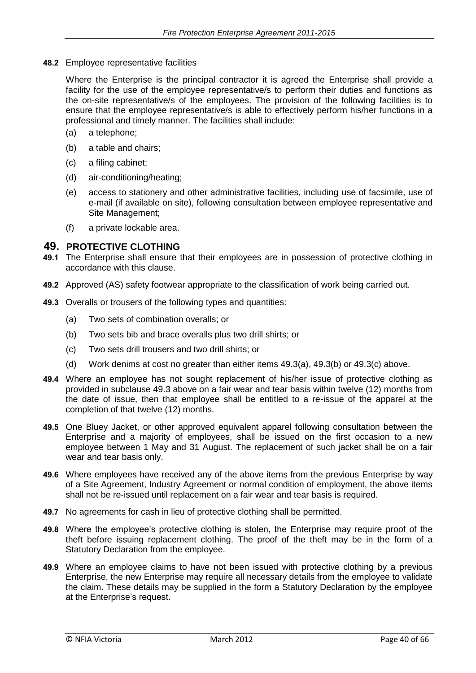**48.2** Employee representative facilities

Where the Enterprise is the principal contractor it is agreed the Enterprise shall provide a facility for the use of the employee representative/s to perform their duties and functions as the on-site representative/s of the employees. The provision of the following facilities is to ensure that the employee representative/s is able to effectively perform his/her functions in a professional and timely manner. The facilities shall include:

- (a) a telephone;
- (b) a table and chairs;
- (c) a filing cabinet;
- (d) air-conditioning/heating;
- (e) access to stationery and other administrative facilities, including use of facsimile, use of e-mail (if available on site), following consultation between employee representative and Site Management;
- (f) a private lockable area.

#### **49. PROTECTIVE CLOTHING**

- **49.1** The Enterprise shall ensure that their employees are in possession of protective clothing in accordance with this clause.
- **49.2** Approved (AS) safety footwear appropriate to the classification of work being carried out.
- **49.3** Overalls or trousers of the following types and quantities:
	- (a) Two sets of combination overalls; or
	- (b) Two sets bib and brace overalls plus two drill shirts; or
	- (c) Two sets drill trousers and two drill shirts; or
	- (d) Work denims at cost no greater than either items  $49.3(a)$ ,  $49.3(b)$  or  $49.3(c)$  above.
- **49.4** Where an employee has not sought replacement of his/her issue of protective clothing as provided in subclause 49.3 above on a fair wear and tear basis within twelve (12) months from the date of issue, then that employee shall be entitled to a re-issue of the apparel at the completion of that twelve (12) months.
- **49.5** One Bluey Jacket, or other approved equivalent apparel following consultation between the Enterprise and a majority of employees, shall be issued on the first occasion to a new employee between 1 May and 31 August. The replacement of such jacket shall be on a fair wear and tear basis only.
- **49.6** Where employees have received any of the above items from the previous Enterprise by way of a Site Agreement, Industry Agreement or normal condition of employment, the above items shall not be re-issued until replacement on a fair wear and tear basis is required.
- **49.7** No agreements for cash in lieu of protective clothing shall be permitted.
- **49.8** Where the employee's protective clothing is stolen, the Enterprise may require proof of the theft before issuing replacement clothing. The proof of the theft may be in the form of a Statutory Declaration from the employee.
- **49.9** Where an employee claims to have not been issued with protective clothing by a previous Enterprise, the new Enterprise may require all necessary details from the employee to validate the claim. These details may be supplied in the form a Statutory Declaration by the employee at the Enterprise's request.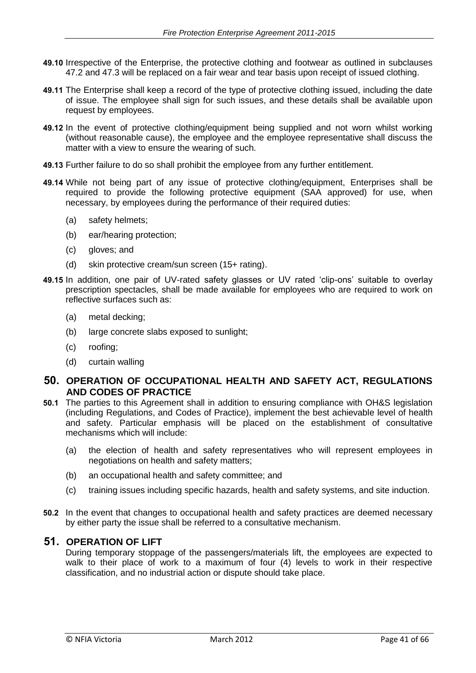- **49.10** Irrespective of the Enterprise, the protective clothing and footwear as outlined in subclauses 47.2 and 47.3 will be replaced on a fair wear and tear basis upon receipt of issued clothing.
- **49.11** The Enterprise shall keep a record of the type of protective clothing issued, including the date of issue. The employee shall sign for such issues, and these details shall be available upon request by employees.
- **49.12** In the event of protective clothing/equipment being supplied and not worn whilst working (without reasonable cause), the employee and the employee representative shall discuss the matter with a view to ensure the wearing of such.
- **49.13** Further failure to do so shall prohibit the employee from any further entitlement.
- **49.14** While not being part of any issue of protective clothing/equipment, Enterprises shall be required to provide the following protective equipment (SAA approved) for use, when necessary, by employees during the performance of their required duties:
	- (a) safety helmets;
	- (b) ear/hearing protection;
	- (c) gloves; and
	- (d) skin protective cream/sun screen (15+ rating).
- **49.15** In addition, one pair of UV-rated safety glasses or UV rated 'clip-ons' suitable to overlay prescription spectacles, shall be made available for employees who are required to work on reflective surfaces such as:
	- (a) metal decking;
	- (b) large concrete slabs exposed to sunlight;
	- (c) roofing;
	- (d) curtain walling

#### **50. OPERATION OF OCCUPATIONAL HEALTH AND SAFETY ACT, REGULATIONS AND CODES OF PRACTICE**

- **50.1** The parties to this Agreement shall in addition to ensuring compliance with OH&S legislation (including Regulations, and Codes of Practice), implement the best achievable level of health and safety. Particular emphasis will be placed on the establishment of consultative mechanisms which will include:
	- (a) the election of health and safety representatives who will represent employees in negotiations on health and safety matters;
	- (b) an occupational health and safety committee; and
	- (c) training issues including specific hazards, health and safety systems, and site induction.
- **50.2** In the event that changes to occupational health and safety practices are deemed necessary by either party the issue shall be referred to a consultative mechanism.

#### **51. OPERATION OF LIFT**

During temporary stoppage of the passengers/materials lift, the employees are expected to walk to their place of work to a maximum of four (4) levels to work in their respective classification, and no industrial action or dispute should take place.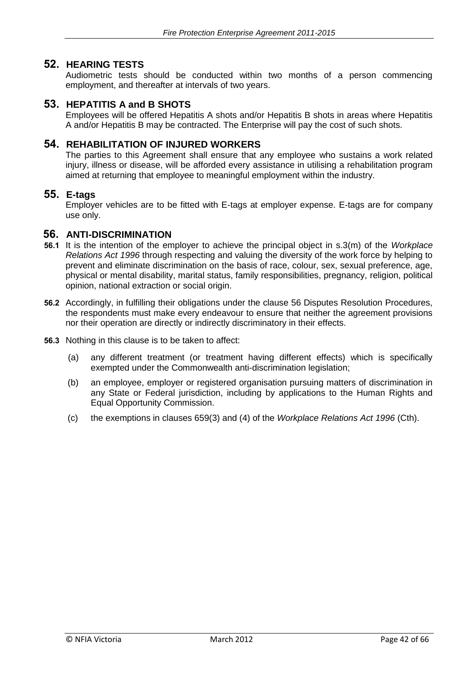### **52. HEARING TESTS**

Audiometric tests should be conducted within two months of a person commencing employment, and thereafter at intervals of two years.

#### **53. HEPATITIS A and B SHOTS**

Employees will be offered Hepatitis A shots and/or Hepatitis B shots in areas where Hepatitis A and/or Hepatitis B may be contracted. The Enterprise will pay the cost of such shots.

#### **54. REHABILITATION OF INJURED WORKERS**

The parties to this Agreement shall ensure that any employee who sustains a work related injury, illness or disease, will be afforded every assistance in utilising a rehabilitation program aimed at returning that employee to meaningful employment within the industry.

#### **55. E-tags**

Employer vehicles are to be fitted with E-tags at employer expense. E-tags are for company use only.

#### **56. ANTI-DISCRIMINATION**

- **56.1** It is the intention of the employer to achieve the principal object in s.3(m) of the *Workplace Relations Act 1996* through respecting and valuing the diversity of the work force by helping to prevent and eliminate discrimination on the basis of race, colour, sex, sexual preference, age, physical or mental disability, marital status, family responsibilities, pregnancy, religion, political opinion, national extraction or social origin.
- **56.2** Accordingly, in fulfilling their obligations under the clause 56 Disputes Resolution Procedures, the respondents must make every endeavour to ensure that neither the agreement provisions nor their operation are directly or indirectly discriminatory in their effects.
- **56.3** Nothing in this clause is to be taken to affect:
	- (a) any different treatment (or treatment having different effects) which is specifically exempted under the Commonwealth anti-discrimination legislation;
	- (b) an employee, employer or registered organisation pursuing matters of discrimination in any State or Federal jurisdiction, including by applications to the Human Rights and Equal Opportunity Commission.
	- (c) the exemptions in clauses 659(3) and (4) of the *Workplace Relations Act 1996* (Cth).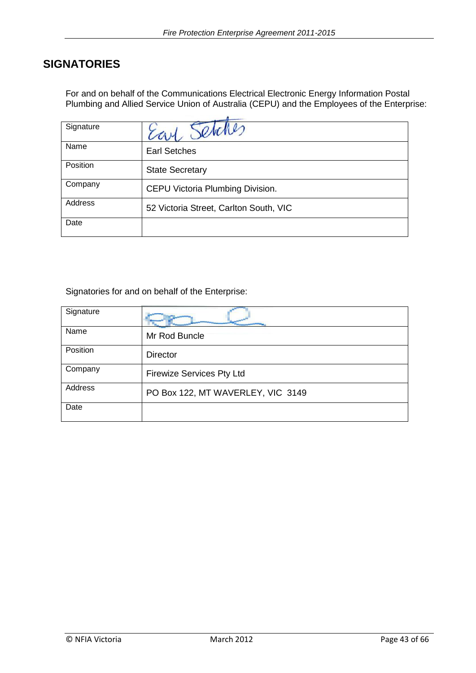### **SIGNATORIES**

For and on behalf of the Communications Electrical Electronic Energy Information Postal Plumbing and Allied Service Union of Australia (CEPU) and the Employees of the Enterprise:

| Signature |                                        |  |  |
|-----------|----------------------------------------|--|--|
| Name      | <b>Earl Setches</b>                    |  |  |
| Position  | <b>State Secretary</b>                 |  |  |
| Company   | CEPU Victoria Plumbing Division.       |  |  |
| Address   | 52 Victoria Street, Carlton South, VIC |  |  |
| Date      |                                        |  |  |

Signatories for and on behalf of the Enterprise:

| Signature |                                   |
|-----------|-----------------------------------|
| Name      | Mr Rod Buncle                     |
| Position  | <b>Director</b>                   |
| Company   | <b>Firewize Services Pty Ltd</b>  |
| Address   | PO Box 122, MT WAVERLEY, VIC 3149 |
| Date      |                                   |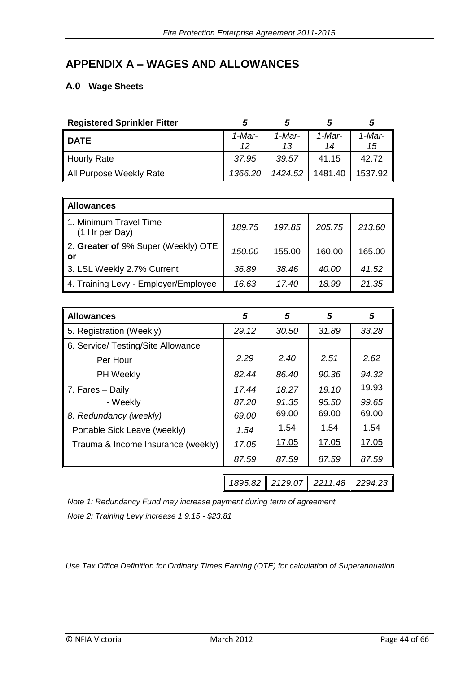### **APPENDIX A – WAGES AND ALLOWANCES**

### **A.0 Wage Sheets**

| <b>Registered Sprinkler Fitter</b> |              |              |              | 5               |
|------------------------------------|--------------|--------------|--------------|-----------------|
| <b>DATE</b>                        | 1-Mar-<br>12 | 1-Mar-<br>13 | 1-Mar-<br>14 | $1$ -Mar-<br>15 |
| Hourly Rate                        | 37.95        | 39.57        | 41.15        | 42.72           |
| All Purpose Weekly Rate            | 1366.20      | 1424.52      | 1481.40      | 1537.92         |

| <b>Allowances</b>                         |        |        |        |        |  |  |
|-------------------------------------------|--------|--------|--------|--------|--|--|
| 1. Minimum Travel Time<br>(1 Hr per Day)  | 189.75 | 197.85 | 205.75 | 213.60 |  |  |
| 2. Greater of 9% Super (Weekly) OTE<br>or | 150.00 | 155.00 | 160.00 | 165.00 |  |  |
| 3. LSL Weekly 2.7% Current                | 36.89  | 38.46  | 40.00  | 41.52  |  |  |
| 4. Training Levy - Employer/Employee      | 16.63  | 17.40  | 18.99  | 21.35  |  |  |

| <b>Allowances</b>                  | 5       | 5            | 5       | 5       |
|------------------------------------|---------|--------------|---------|---------|
| 5. Registration (Weekly)           | 29.12   | 30.50        | 31.89   | 33.28   |
| 6. Service/ Testing/Site Allowance |         |              |         |         |
| Per Hour                           | 2.29    | 2.40         | 2.51    | 2.62    |
| <b>PH Weekly</b>                   | 82.44   | 86.40        | 90.36   | 94.32   |
| 7. Fares - Daily                   | 17.44   | 18.27        | 19.10   | 19.93   |
| - Weekly                           | 87.20   | 91.35        | 95.50   | 99.65   |
| 8. Redundancy (weekly)             | 69.00   | 69.00        | 69.00   | 69.00   |
| Portable Sick Leave (weekly)       | 1.54    | 1.54         | 1.54    | 1.54    |
| Trauma & Income Insurance (weekly) | 17.05   | <u>17.05</u> | 17.05   | 17.05   |
|                                    | 87.59   | 87.59        | 87.59   | 87.59   |
|                                    |         |              |         |         |
|                                    | 1895.82 | 2129.07      | 2211.48 | 2294.23 |

*Note 1: Redundancy Fund may increase payment during term of agreement Note 2: Training Levy increase 1.9.15 - \$23.81*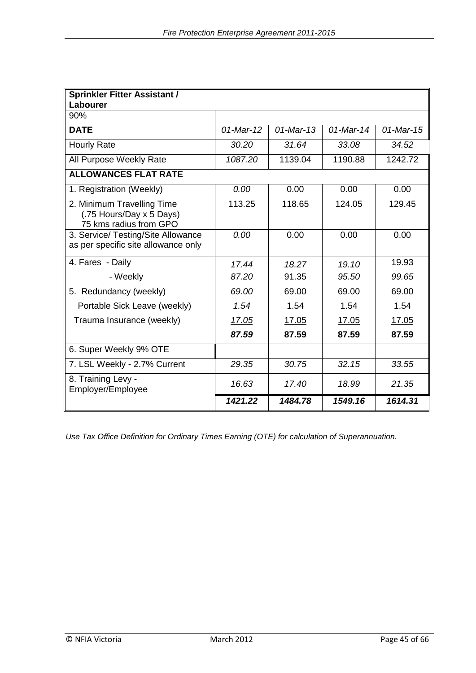| <b>Sprinkler Fitter Assistant /</b><br>Labourer                                  |              |              |              |              |
|----------------------------------------------------------------------------------|--------------|--------------|--------------|--------------|
| 90%                                                                              |              |              |              |              |
| <b>DATE</b>                                                                      | $01$ -Mar-12 | $01$ -Mar-13 | $01$ -Mar-14 | $01$ -Mar-15 |
| <b>Hourly Rate</b>                                                               | 30.20        | 31.64        | 33.08        | 34.52        |
| All Purpose Weekly Rate                                                          | 1087.20      | 1139.04      | 1190.88      | 1242.72      |
| <b>ALLOWANCES FLAT RATE</b>                                                      |              |              |              |              |
| 1. Registration (Weekly)                                                         | 0.00         | 0.00         | 0.00         | 0.00         |
| 2. Minimum Travelling Time<br>(.75 Hours/Day x 5 Days)<br>75 kms radius from GPO | 113.25       | 118.65       | 124.05       | 129.45       |
| 3. Service/ Testing/Site Allowance<br>as per specific site allowance only        | 0.00         | 0.00         | 0.00         | 0.00         |
| 4. Fares - Daily                                                                 | 17.44        | 18.27        | 19.10        | 19.93        |
| - Weekly                                                                         | 87.20        | 91.35        | 95.50        | 99.65        |
| 5. Redundancy (weekly)                                                           | 69.00        | 69.00        | 69.00        | 69.00        |
| Portable Sick Leave (weekly)                                                     | 1.54         | 1.54         | 1.54         | 1.54         |
| Trauma Insurance (weekly)                                                        | 17.05        | 17.05        | 17.05        | 17.05        |
|                                                                                  | 87.59        | 87.59        | 87.59        | 87.59        |
| 6. Super Weekly 9% OTE                                                           |              |              |              |              |
| 7. LSL Weekly - 2.7% Current                                                     | 29.35        | 30.75        | 32.15        | 33.55        |
| 8. Training Levy -<br>Employer/Employee                                          | 16.63        | 17.40        | 18.99        | 21.35        |
|                                                                                  | 1421.22      | 1484.78      | 1549.16      | 1614.31      |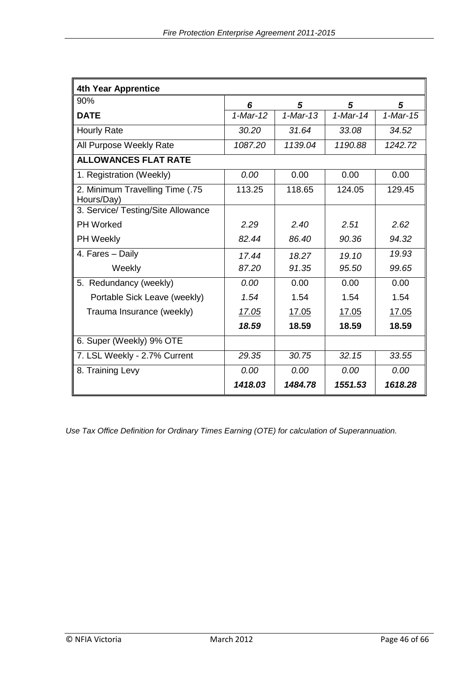| <b>4th Year Apprentice</b>                    |            |              |            |                        |
|-----------------------------------------------|------------|--------------|------------|------------------------|
| 90%                                           | 6          | 5            | 5          | 5                      |
| <b>DATE</b>                                   | $1-Mar-12$ | $1-Mar-13$   | $1-Mar-14$ | $\overline{1}$ -Mar-15 |
| <b>Hourly Rate</b>                            | 30.20      | 31.64        | 33.08      | 34.52                  |
| All Purpose Weekly Rate                       | 1087.20    | 1139.04      | 1190.88    | 1242.72                |
| <b>ALLOWANCES FLAT RATE</b>                   |            |              |            |                        |
| 1. Registration (Weekly)                      | 0.00       | 0.00         | 0.00       | 0.00                   |
| 2. Minimum Travelling Time (.75<br>Hours/Day) | 113.25     | 118.65       | 124.05     | 129.45                 |
| 3. Service/ Testing/Site Allowance            |            |              |            |                        |
| <b>PH Worked</b>                              | 2.29       | 2.40         | 2.51       | 2.62                   |
| PH Weekly                                     | 82.44      | 86.40        | 90.36      | 94.32                  |
| 4. Fares - Daily                              | 17.44      | 18.27        | 19.10      | 19.93                  |
| Weekly                                        | 87.20      | 91.35        | 95.50      | 99.65                  |
| 5. Redundancy (weekly)                        | 0.00       | 0.00         | 0.00       | 0.00                   |
| Portable Sick Leave (weekly)                  | 1.54       | 1.54         | 1.54       | 1.54                   |
| Trauma Insurance (weekly)                     | 17.05      | <u>17.05</u> | 17.05      | 17.05                  |
|                                               | 18.59      | 18.59        | 18.59      | 18.59                  |
| 6. Super (Weekly) 9% OTE                      |            |              |            |                        |
| 7. LSL Weekly - 2.7% Current                  | 29.35      | 30.75        | 32.15      | 33.55                  |
| 8. Training Levy                              | 0.00       | 0.00         | 0.00       | 0.00                   |
|                                               | 1418.03    | 1484.78      | 1551.53    | 1618.28                |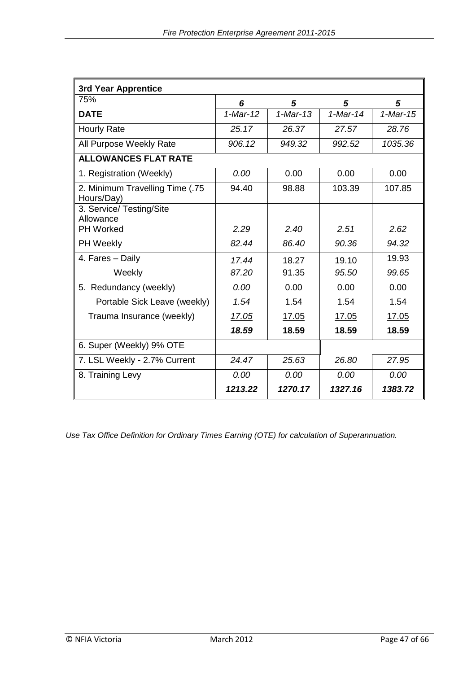| 3rd Year Apprentice                           |            |            |            |            |
|-----------------------------------------------|------------|------------|------------|------------|
| 75%                                           | 6          | 5          | 5          | 5          |
| <b>DATE</b>                                   | $1-Mar-12$ | $1-Mar-13$ | $1-Mar-14$ | $1-Mar-15$ |
| <b>Hourly Rate</b>                            | 25.17      | 26.37      | 27.57      | 28.76      |
| All Purpose Weekly Rate                       | 906.12     | 949.32     | 992.52     | 1035.36    |
| <b>ALLOWANCES FLAT RATE</b>                   |            |            |            |            |
| 1. Registration (Weekly)                      | 0.00       | 0.00       | 0.00       | 0.00       |
| 2. Minimum Travelling Time (.75<br>Hours/Day) | 94.40      | 98.88      | 103.39     | 107.85     |
| 3. Service/ Testing/Site<br>Allowance         |            |            |            |            |
| <b>PH Worked</b>                              | 2.29       | 2.40       | 2.51       | 2.62       |
| PH Weekly                                     | 82.44      | 86.40      | 90.36      | 94.32      |
| 4. Fares - Daily                              | 17.44      | 18.27      | 19.10      | 19.93      |
| Weekly                                        | 87.20      | 91.35      | 95.50      | 99.65      |
| 5. Redundancy (weekly)                        | 0.00       | 0.00       | 0.00       | 0.00       |
| Portable Sick Leave (weekly)                  | 1.54       | 1.54       | 1.54       | 1.54       |
| Trauma Insurance (weekly)                     | 17.05      | 17.05      | 17.05      | 17.05      |
|                                               | 18.59      | 18.59      | 18.59      | 18.59      |
| 6. Super (Weekly) 9% OTE                      |            |            |            |            |
| 7. LSL Weekly - 2.7% Current                  | 24.47      | 25.63      | 26.80      | 27.95      |
| 8. Training Levy                              | 0.00       | 0.00       | 0.00       | 0.00       |
|                                               | 1213.22    | 1270.17    | 1327.16    | 1383.72    |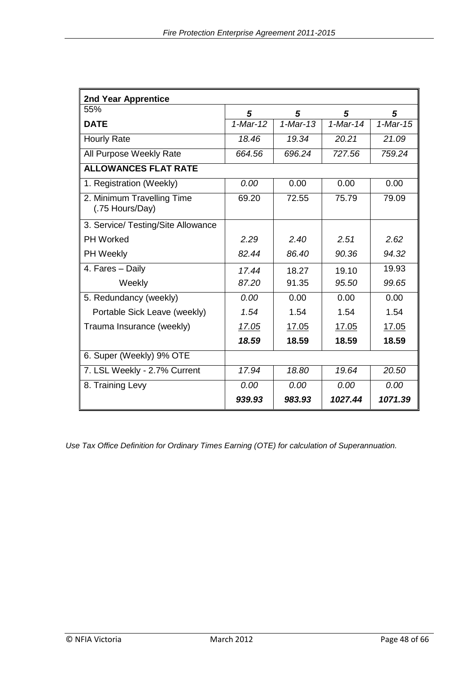| 2nd Year Apprentice                           |            |            |            |            |  |
|-----------------------------------------------|------------|------------|------------|------------|--|
| 55%                                           | 5          | 5          | 5          | 5          |  |
| <b>DATE</b>                                   | $1-Mar-12$ | $1-Mar-13$ | $1-Mar-14$ | $1-Mar-15$ |  |
| <b>Hourly Rate</b>                            | 18.46      | 19.34      | 20.21      | 21.09      |  |
| All Purpose Weekly Rate                       | 664.56     | 696.24     | 727.56     | 759.24     |  |
| <b>ALLOWANCES FLAT RATE</b>                   |            |            |            |            |  |
| 1. Registration (Weekly)                      | 0.00       | 0.00       | 0.00       | 0.00       |  |
| 2. Minimum Travelling Time<br>(.75 Hours/Day) | 69.20      | 72.55      | 75.79      | 79.09      |  |
| 3. Service/ Testing/Site Allowance            |            |            |            |            |  |
| <b>PH Worked</b>                              | 2.29       | 2.40       | 2.51       | 2.62       |  |
| PH Weekly                                     | 82.44      | 86.40      | 90.36      | 94.32      |  |
| 4. Fares - Daily                              | 17.44      | 18.27      | 19.10      | 19.93      |  |
| Weekly                                        | 87.20      | 91.35      | 95.50      | 99.65      |  |
| 5. Redundancy (weekly)                        | 0.00       | 0.00       | 0.00       | 0.00       |  |
| Portable Sick Leave (weekly)                  | 1.54       | 1.54       | 1.54       | 1.54       |  |
| Trauma Insurance (weekly)                     | 17.05      | 17.05      | 17.05      | 17.05      |  |
|                                               | 18.59      | 18.59      | 18.59      | 18.59      |  |
| 6. Super (Weekly) 9% OTE                      |            |            |            |            |  |
| 7. LSL Weekly - 2.7% Current                  | 17.94      | 18.80      | 19.64      | 20.50      |  |
| 8. Training Levy                              | 0.00       | 0.00       | 0.00       | 0.00       |  |
|                                               | 939.93     | 983.93     | 1027.44    | 1071.39    |  |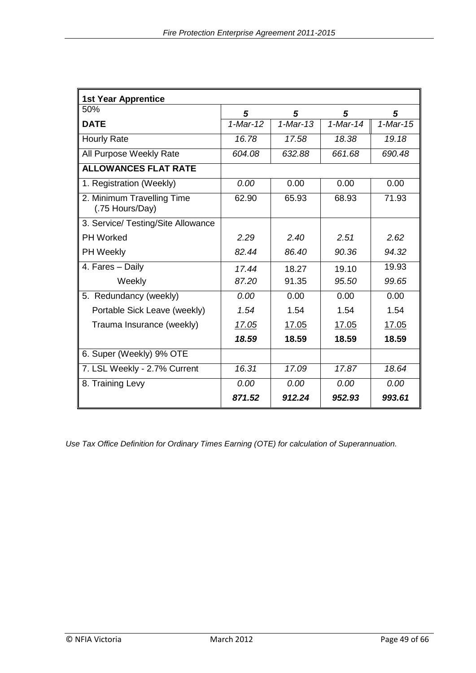| <b>1st Year Apprentice</b>                    |            |            |            |            |
|-----------------------------------------------|------------|------------|------------|------------|
| 50%                                           | 5          | 5          | 5          | 5          |
| <b>DATE</b>                                   | $1-Mar-12$ | $1-Mar-13$ | $1-Mar-14$ | $1-Mar-15$ |
| <b>Hourly Rate</b>                            | 16.78      | 17.58      | 18.38      | 19.18      |
| All Purpose Weekly Rate                       | 604.08     | 632.88     | 661.68     | 690.48     |
| <b>ALLOWANCES FLAT RATE</b>                   |            |            |            |            |
| 1. Registration (Weekly)                      | 0.00       | 0.00       | 0.00       | 0.00       |
| 2. Minimum Travelling Time<br>(.75 Hours/Day) | 62.90      | 65.93      | 68.93      | 71.93      |
| 3. Service/ Testing/Site Allowance            |            |            |            |            |
| <b>PH Worked</b>                              | 2.29       | 2.40       | 2.51       | 2.62       |
| PH Weekly                                     | 82.44      | 86.40      | 90.36      | 94.32      |
| 4. Fares - Daily                              | 17.44      | 18.27      | 19.10      | 19.93      |
| Weekly                                        | 87.20      | 91.35      | 95.50      | 99.65      |
| 5. Redundancy (weekly)                        | 0.00       | 0.00       | 0.00       | 0.00       |
| Portable Sick Leave (weekly)                  | 1.54       | 1.54       | 1.54       | 1.54       |
| Trauma Insurance (weekly)                     | 17.05      | 17.05      | 17.05      | 17.05      |
|                                               | 18.59      | 18.59      | 18.59      | 18.59      |
| 6. Super (Weekly) 9% OTE                      |            |            |            |            |
| 7. LSL Weekly - 2.7% Current                  | 16.31      | 17.09      | 17.87      | 18.64      |
| 8. Training Levy                              | 0.00       | 0.00       | 0.00       | 0.00       |
|                                               | 871.52     | 912.24     | 952.93     | 993.61     |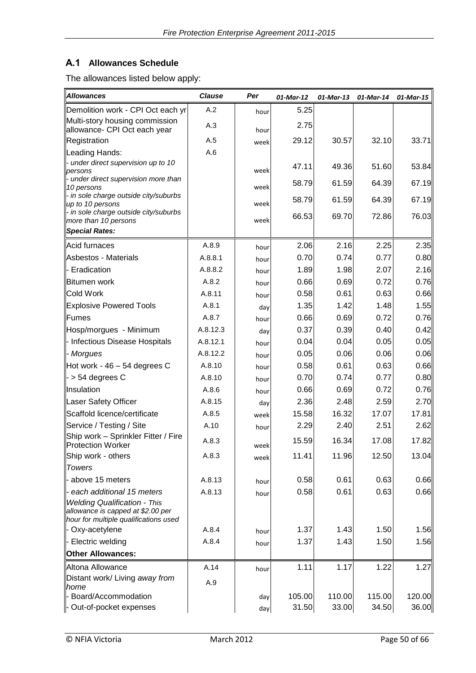### **A.1 Allowances Schedule**

The allowances listed below apply:

| Allowances                                                                                                        | <b>Clause</b> | Per  | 01-Mar-12 | 01-Mar-13 | 01-Mar-14 | 01-Mar-15 |
|-------------------------------------------------------------------------------------------------------------------|---------------|------|-----------|-----------|-----------|-----------|
| Demolition work - CPI Oct each yr                                                                                 | A.2           | hour | 5.25      |           |           |           |
| Multi-story housing commission<br>allowance- CPI Oct each year                                                    | A.3           | hour | 2.75      |           |           |           |
| Registration                                                                                                      | A.5           | week | 29.12     | 30.57     | 32.10     | 33.71     |
| Leading Hands:                                                                                                    | A.6           |      |           |           |           |           |
| - under direct supervision up to 10<br>persons                                                                    |               | week | 47.11     | 49.36     | 51.60     | 53.84     |
| - under direct supervision more than<br>10 persons                                                                |               | week | 58.79     | 61.59     | 64.39     | 67.19     |
| - in sole charge outside city/suburbs<br>up to 10 persons                                                         |               | week | 58.79     | 61.59     | 64.39     | 67.19     |
| - in sole charge outside city/suburbs<br>more than 10 persons                                                     |               | week | 66.53     | 69.70     | 72.86     | 76.03     |
| <b>Special Rates:</b>                                                                                             |               |      |           |           |           |           |
| Acid furnaces                                                                                                     | A.8.9         | hour | 2.06      | 2.16      | 2.25      | 2.35      |
| Asbestos - Materials                                                                                              | A.8.8.1       | hour | 0.70      | 0.74      | 0.77      | 0.80      |
| - Eradication                                                                                                     | A.8.8.2       | hour | 1.89      | 1.98      | 2.07      | 2.16      |
| llBitumen work                                                                                                    | A.8.2         | hour | 0.66      | 0.69      | 0.72      | 0.76      |
| Cold Work                                                                                                         | A.8.11        | hour | 0.58      | 0.61      | 0.63      | 0.66      |
| Explosive Powered Tools                                                                                           | A.8.1         | day  | 1.35      | 1.42      | 1.48      | 1.55      |
| Fumes                                                                                                             | A.8.7         | hour | 0.66      | 0.69      | 0.72      | 0.76      |
| Hosp/morgues - Minimum                                                                                            | A.8.12.3      | day  | 0.37      | 0.39      | 0.40      | 0.42      |
| - Infectious Disease Hospitals                                                                                    | A.8.12.1      | hour | 0.04      | 0.04      | 0.05      | 0.05      |
| - Morgues                                                                                                         | A.8.12.2      | hour | 0.05      | 0.06      | 0.06      | 0.06      |
| Hot work - 46 – 54 degrees C                                                                                      | A.8.10        | hour | 0.58      | 0.61      | 0.63      | 0.66      |
| $\vert$ - > 54 degrees C                                                                                          | A.8.10        | hour | 0.70      | 0.74      | 0.77      | 0.80      |
| <b>Insulation</b>                                                                                                 | A.8.6         | hour | 0.66      | 0.69      | 0.72      | 0.76      |
| Laser Safety Officer                                                                                              | A.8.15        | day  | 2.36      | 2.48      | 2.59      | 2.70      |
| Scaffold licence/certificate                                                                                      | A.8.5         | week | 15.58     | 16.32     | 17.07     | 17.81     |
| Service / Testing / Site                                                                                          | A.10          | hour | 2.29      | 2.40      | 2.51      | 2.62      |
| Ship work - Sprinkler Fitter / Fire<br>Protection Worker                                                          | A.8.3         | week | 15.59     | 16.34     | 17.08     | 17.82     |
| Ship work - others                                                                                                | A.8.3         | week | 11.41     | 11.96     | 12.50     | 13.04     |
| Towers                                                                                                            |               |      |           |           |           |           |
| above 15 meters                                                                                                   | A.8.13        | hour | 0.58      | 0.61      | 0.63      | 0.66      |
| each additional 15 meters                                                                                         | A.8.13        | hour | 0.58      | 0.61      | 0.63      | 0.66      |
| <b>Welding Qualification - This</b><br>allowance is capped at \$2.00 per<br>hour for multiple qualifications used |               |      |           |           |           |           |
| - Oxy-acetylene                                                                                                   | A.8.4         | hour | 1.37      | 1.43      | 1.50      | 1.56      |
| - Electric welding                                                                                                | A.8.4         | hour | 1.37      | 1.43      | 1.50      | 1.56      |
| <b>Other Allowances:</b>                                                                                          |               |      |           |           |           |           |
| Altona Allowance                                                                                                  | A.14          | hour | 1.11      | 1.17      | 1.22      | 1.27      |
| Distant work/ Living away from<br><i>home</i>                                                                     | A.9           |      |           |           |           |           |
| Board/Accommodation                                                                                               |               | day  | 105.00    | 110.00    | 115.00    | 120.00    |
| - Out-of-pocket expenses                                                                                          |               | day  | 31.50     | 33.00     | 34.50     | 36.00     |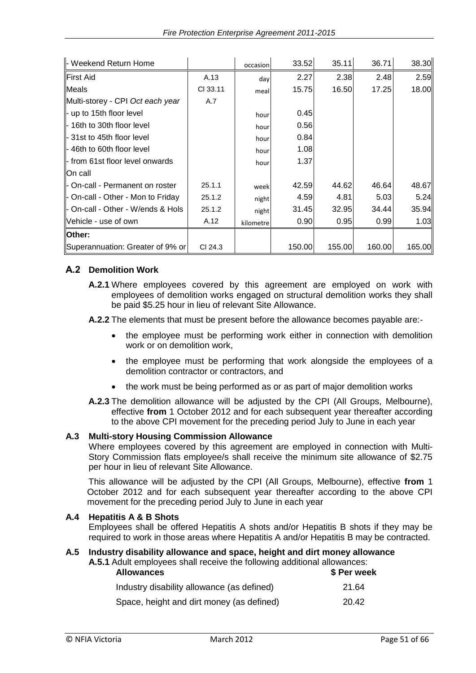| - Weekend Return Home             |          | occasion  | 33.52  | 35.11  | 36.71  | 38.30  |
|-----------------------------------|----------|-----------|--------|--------|--------|--------|
| <b>First Aid</b>                  | A.13     | day       | 2.27   | 2.38   | 2.48   | 2.59   |
| <b>Meals</b>                      | CI 33.11 | meal      | 15.75  | 16.50  | 17.25  | 18.00  |
| Multi-storey - CPI Oct each year  | A.7      |           |        |        |        |        |
| $\vert$ - up to 15th floor level  |          | hour      | 0.45   |        |        |        |
| ll- 16th to 30th floor level      |          | hour      | 0.56   |        |        |        |
| - 31st to 45th floor level        |          | hour      | 0.84   |        |        |        |
| ll- 46th to 60th floor level      |          | hour      | 1.08   |        |        |        |
| ll- from 61st floor level onwards |          | hour      | 1.37   |        |        |        |
| On call                           |          |           |        |        |        |        |
| - On-call - Permanent on roster   | 25.1.1   | week      | 42.59  | 44.62  | 46.64  | 48.67  |
| - On-call - Other - Mon to Friday | 25.1.2   | night     | 4.59   | 4.81   | 5.03   | 5.24   |
| - On-call - Other - W/ends & Hols | 25.1.2   | night     | 31.45  | 32.95  | 34.44  | 35.94  |
| llVehicle - use of own            | A.12     | kilometre | 0.90   | 0.95   | 0.99   | 1.03   |
| Other:                            |          |           |        |        |        |        |
| Superannuation: Greater of 9% or  | CI 24.3  |           | 150.00 | 155.00 | 160.00 | 165.00 |

#### **A.2 Demolition Work**

**A.2.1** Where employees covered by this agreement are employed on work with employees of demolition works engaged on structural demolition works they shall be paid \$5.25 hour in lieu of relevant Site Allowance.

**A.2.2** The elements that must be present before the allowance becomes payable are:-

- the employee must be performing work either in connection with demolition work or on demolition work,
- the employee must be performing that work alongside the employees of a demolition contractor or contractors, and
- the work must be being performed as or as part of major demolition works
- **A.2.3** The demolition allowance will be adjusted by the CPI (All Groups, Melbourne), effective **from** 1 October 2012 and for each subsequent year thereafter according to the above CPI movement for the preceding period July to June in each year

#### **A.3 Multi-story Housing Commission Allowance**

Where employees covered by this agreement are employed in connection with Multi-Story Commission flats employee/s shall receive the minimum site allowance of \$2.75 per hour in lieu of relevant Site Allowance.

This allowance will be adjusted by the CPI (All Groups, Melbourne), effective **from** 1 October 2012 and for each subsequent year thereafter according to the above CPI movement for the preceding period July to June in each year

#### **A.4 Hepatitis A & B Shots**

Employees shall be offered Hepatitis A shots and/or Hepatitis B shots if they may be required to work in those areas where Hepatitis A and/or Hepatitis B may be contracted.

#### **A.5 Industry disability allowance and space, height and dirt money allowance A.5.1** Adult employees shall receive the following additional allowances:

| <b>Allowances</b>                          | \$ Per week |
|--------------------------------------------|-------------|
| Industry disability allowance (as defined) | 21.64       |
| Space, height and dirt money (as defined)  | 20.42       |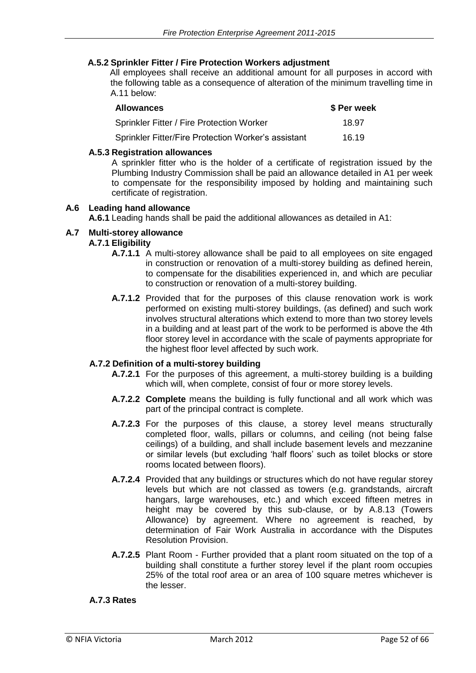#### **A.5.2 Sprinkler Fitter / Fire Protection Workers adjustment**

All employees shall receive an additional amount for all purposes in accord with the following table as a consequence of alteration of the minimum travelling time in A.11 below:

| <b>Allowances</b>                                   | \$ Per week |
|-----------------------------------------------------|-------------|
| <b>Sprinkler Fitter / Fire Protection Worker</b>    | 18.97       |
| Sprinkler Fitter/Fire Protection Worker's assistant | 16.19       |

#### **A.5.3 Registration allowances**

A sprinkler fitter who is the holder of a certificate of registration issued by the Plumbing Industry Commission shall be paid an allowance detailed in A1 per week to compensate for the responsibility imposed by holding and maintaining such certificate of registration.

#### **A.6 Leading hand allowance**

**A.6.1** Leading hands shall be paid the additional allowances as detailed in A1:

### **A.7 Multi-storey allowance**

#### **A.7.1 Eligibility**

- **A.7.1.1** A multi-storey allowance shall be paid to all employees on site engaged in construction or renovation of a multi-storey building as defined herein, to compensate for the disabilities experienced in, and which are peculiar to construction or renovation of a multi-storey building.
- **A.7.1.2** Provided that for the purposes of this clause renovation work is work performed on existing multi-storey buildings, (as defined) and such work involves structural alterations which extend to more than two storey levels in a building and at least part of the work to be performed is above the 4th floor storey level in accordance with the scale of payments appropriate for the highest floor level affected by such work.

#### **A.7.2 Definition of a multi-storey building**

- **A.7.2.1** For the purposes of this agreement, a multi-storey building is a building which will, when complete, consist of four or more storey levels.
- **A.7.2.2 Complete** means the building is fully functional and all work which was part of the principal contract is complete.
- **A.7.2.3** For the purposes of this clause, a storey level means structurally completed floor, walls, pillars or columns, and ceiling (not being false ceilings) of a building, and shall include basement levels and mezzanine or similar levels (but excluding 'half floors' such as toilet blocks or store rooms located between floors).
- **A.7.2.4** Provided that any buildings or structures which do not have regular storey levels but which are not classed as towers (e.g. grandstands, aircraft hangars, large warehouses, etc.) and which exceed fifteen metres in height may be covered by this sub-clause, or by A.8.13 (Towers Allowance) by agreement. Where no agreement is reached, by determination of Fair Work Australia in accordance with the Disputes Resolution Provision.
- **A.7.2.5** Plant Room Further provided that a plant room situated on the top of a building shall constitute a further storey level if the plant room occupies 25% of the total roof area or an area of 100 square metres whichever is the lesser.

#### **A.7.3 Rates**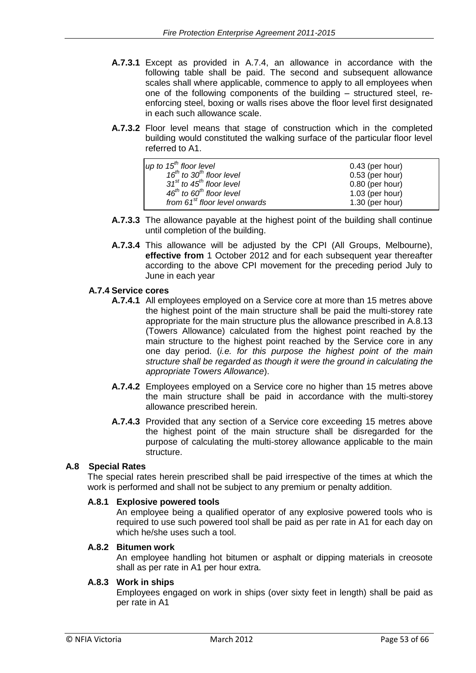- **A.7.3.1** Except as provided in A.7.4, an allowance in accordance with the following table shall be paid. The second and subsequent allowance scales shall where applicable, commence to apply to all employees when one of the following components of the building – structured steel, reenforcing steel, boxing or walls rises above the floor level first designated in each such allowance scale.
- **A.7.3.2** Floor level means that stage of construction which in the completed building would constituted the walking surface of the particular floor level referred to A1.

| up to $15th$ floor level                         | $0.43$ (per hour) |
|--------------------------------------------------|-------------------|
| 16 <sup>th</sup> to 30 <sup>th</sup> floor level | $0.53$ (per hour) |
| $31st$ to 45 <sup>th</sup> floor level           | $0.80$ (per hour) |
| $46^{th}$ to $60^{th}$ floor level               | $1.03$ (per hour) |
| from 61 <sup>st</sup> floor level onwards        | $1.30$ (per hour) |

- **A.7.3.3** The allowance payable at the highest point of the building shall continue until completion of the building.
- **A.7.3.4** This allowance will be adjusted by the CPI (All Groups, Melbourne), **effective from** 1 October 2012 and for each subsequent year thereafter according to the above CPI movement for the preceding period July to June in each year

#### **A.7.4 Service cores**

- **A.7.4.1** All employees employed on a Service core at more than 15 metres above the highest point of the main structure shall be paid the multi-storey rate appropriate for the main structure plus the allowance prescribed in A.8.13 (Towers Allowance) calculated from the highest point reached by the main structure to the highest point reached by the Service core in any one day period. (*i.e. for this purpose the highest point of the main structure shall be regarded as though it were the ground in calculating the appropriate Towers Allowance*).
- **A.7.4.2** Employees employed on a Service core no higher than 15 metres above the main structure shall be paid in accordance with the multi-storey allowance prescribed herein.
- **A.7.4.3** Provided that any section of a Service core exceeding 15 metres above the highest point of the main structure shall be disregarded for the purpose of calculating the multi-storey allowance applicable to the main structure.

#### **A.8 Special Rates**

The special rates herein prescribed shall be paid irrespective of the times at which the work is performed and shall not be subject to any premium or penalty addition.

#### **A.8.1 Explosive powered tools**

An employee being a qualified operator of any explosive powered tools who is required to use such powered tool shall be paid as per rate in A1 for each day on which he/she uses such a tool.

#### **A.8.2 Bitumen work**

An employee handling hot bitumen or asphalt or dipping materials in creosote shall as per rate in A1 per hour extra.

#### **A.8.3 Work in ships**

Employees engaged on work in ships (over sixty feet in length) shall be paid as per rate in A1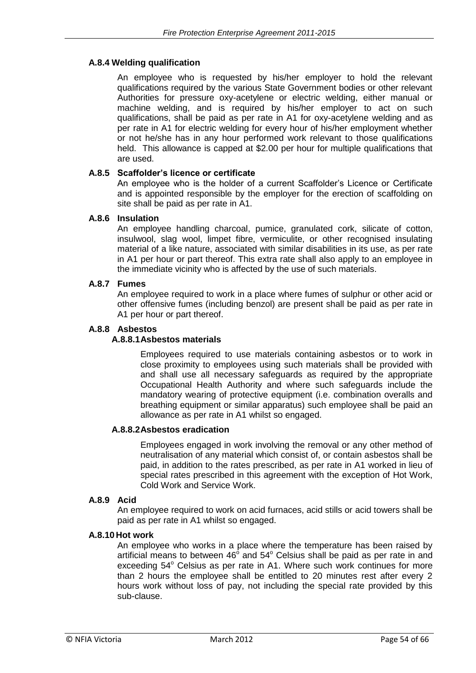#### **A.8.4 Welding qualification**

An employee who is requested by his/her employer to hold the relevant qualifications required by the various State Government bodies or other relevant Authorities for pressure oxy-acetylene or electric welding, either manual or machine welding, and is required by his/her employer to act on such qualifications, shall be paid as per rate in A1 for oxy-acetylene welding and as per rate in A1 for electric welding for every hour of his/her employment whether or not he/she has in any hour performed work relevant to those qualifications held. This allowance is capped at \$2.00 per hour for multiple qualifications that are used.

#### **A.8.5 Scaffolder's licence or certificate**

An employee who is the holder of a current Scaffolder's Licence or Certificate and is appointed responsible by the employer for the erection of scaffolding on site shall be paid as per rate in A1.

#### **A.8.6 Insulation**

An employee handling charcoal, pumice, granulated cork, silicate of cotton, insulwool, slag wool, limpet fibre, vermiculite, or other recognised insulating material of a like nature, associated with similar disabilities in its use, as per rate in A1 per hour or part thereof. This extra rate shall also apply to an employee in the immediate vicinity who is affected by the use of such materials.

#### **A.8.7 Fumes**

An employee required to work in a place where fumes of sulphur or other acid or other offensive fumes (including benzol) are present shall be paid as per rate in A1 per hour or part thereof.

#### **A.8.8 Asbestos**

#### **A.8.8.1Asbestos materials**

Employees required to use materials containing asbestos or to work in close proximity to employees using such materials shall be provided with and shall use all necessary safeguards as required by the appropriate Occupational Health Authority and where such safeguards include the mandatory wearing of protective equipment (i.e. combination overalls and breathing equipment or similar apparatus) such employee shall be paid an allowance as per rate in A1 whilst so engaged.

#### **A.8.8.2Asbestos eradication**

Employees engaged in work involving the removal or any other method of neutralisation of any material which consist of, or contain asbestos shall be paid, in addition to the rates prescribed, as per rate in A1 worked in lieu of special rates prescribed in this agreement with the exception of Hot Work, Cold Work and Service Work.

#### **A.8.9 Acid**

An employee required to work on acid furnaces, acid stills or acid towers shall be paid as per rate in A1 whilst so engaged.

#### **A.8.10 Hot work**

An employee who works in a place where the temperature has been raised by artificial means to between  $46^{\circ}$  and  $54^{\circ}$  Celsius shall be paid as per rate in and exceeding 54° Celsius as per rate in A1. Where such work continues for more than 2 hours the employee shall be entitled to 20 minutes rest after every 2 hours work without loss of pay, not including the special rate provided by this sub-clause.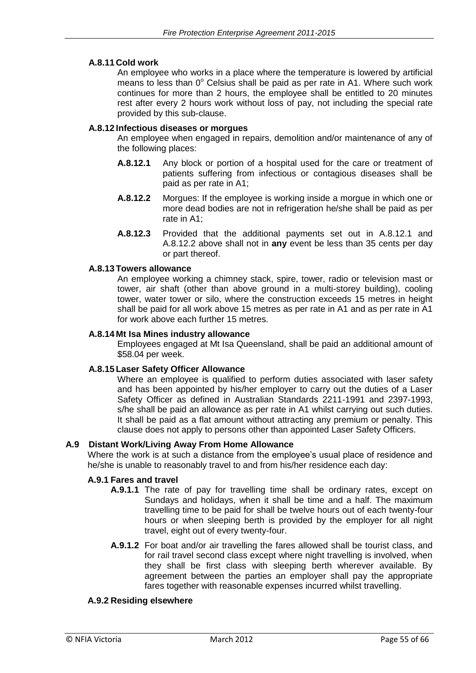#### **A.8.11 Cold work**

An employee who works in a place where the temperature is lowered by artificial means to less than  $0^{\circ}$  Celsius shall be paid as per rate in A1. Where such work continues for more than 2 hours, the employee shall be entitled to 20 minutes rest after every 2 hours work without loss of pay, not including the special rate provided by this sub-clause.

#### **A.8.12 Infectious diseases or morgues**

An employee when engaged in repairs, demolition and/or maintenance of any of the following places:

- **A.8.12.1** Any block or portion of a hospital used for the care or treatment of patients suffering from infectious or contagious diseases shall be paid as per rate in A1;
- **A.8.12.2** Morgues: If the employee is working inside a morgue in which one or more dead bodies are not in refrigeration he/she shall be paid as per rate in A1;
- **A.8.12.3** Provided that the additional payments set out in A.8.12.1 and A.8.12.2 above shall not in **any** event be less than 35 cents per day or part thereof.

#### **A.8.13 Towers allowance**

An employee working a chimney stack, spire, tower, radio or television mast or tower, air shaft (other than above ground in a multi-storey building), cooling tower, water tower or silo, where the construction exceeds 15 metres in height shall be paid for all work above 15 metres as per rate in A1 and as per rate in A1 for work above each further 15 metres.

#### **A.8.14 Mt Isa Mines industry allowance**

Employees engaged at Mt Isa Queensland, shall be paid an additional amount of \$58.04 per week.

#### **A.8.15 Laser Safety Officer Allowance**

Where an employee is qualified to perform duties associated with laser safety and has been appointed by his/her employer to carry out the duties of a Laser Safety Officer as defined in Australian Standards 2211-1991 and 2397-1993, s/he shall be paid an allowance as per rate in A1 whilst carrying out such duties. It shall be paid as a flat amount without attracting any premium or penalty. This clause does not apply to persons other than appointed Laser Safety Officers.

#### **A.9 Distant Work/Living Away From Home Allowance**

Where the work is at such a distance from the employee's usual place of residence and he/she is unable to reasonably travel to and from his/her residence each day:

#### **A.9.1 Fares and travel**

- **A.9.1.1** The rate of pay for travelling time shall be ordinary rates, except on Sundays and holidays, when it shall be time and a half. The maximum travelling time to be paid for shall be twelve hours out of each twenty-four hours or when sleeping berth is provided by the employer for all night travel, eight out of every twenty-four.
- **A.9.1.2** For boat and/or air travelling the fares allowed shall be tourist class, and for rail travel second class except where night travelling is involved, when they shall be first class with sleeping berth wherever available. By agreement between the parties an employer shall pay the appropriate fares together with reasonable expenses incurred whilst travelling.

#### **A.9.2 Residing elsewhere**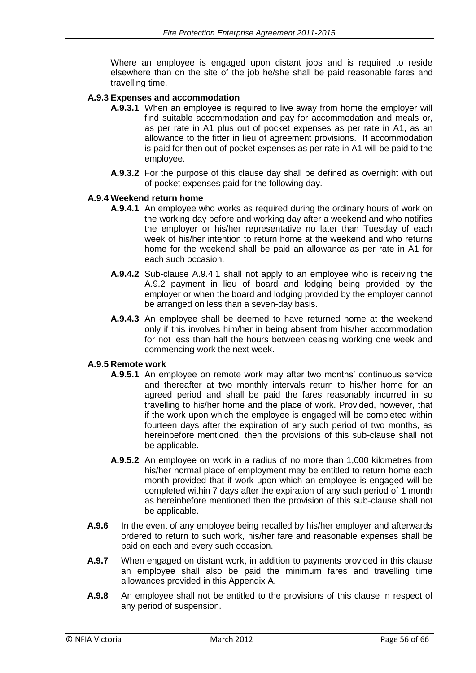Where an employee is engaged upon distant jobs and is required to reside elsewhere than on the site of the job he/she shall be paid reasonable fares and travelling time.

#### **A.9.3 Expenses and accommodation**

- **A.9.3.1** When an employee is required to live away from home the employer will find suitable accommodation and pay for accommodation and meals or, as per rate in A1 plus out of pocket expenses as per rate in A1, as an allowance to the fitter in lieu of agreement provisions. If accommodation is paid for then out of pocket expenses as per rate in A1 will be paid to the employee.
- **A.9.3.2** For the purpose of this clause day shall be defined as overnight with out of pocket expenses paid for the following day.

#### **A.9.4 Weekend return home**

- **A.9.4.1** An employee who works as required during the ordinary hours of work on the working day before and working day after a weekend and who notifies the employer or his/her representative no later than Tuesday of each week of his/her intention to return home at the weekend and who returns home for the weekend shall be paid an allowance as per rate in A1 for each such occasion.
- **A.9.4.2** Sub-clause A.9.4.1 shall not apply to an employee who is receiving the A.9.2 payment in lieu of board and lodging being provided by the employer or when the board and lodging provided by the employer cannot be arranged on less than a seven-day basis.
- **A.9.4.3** An employee shall be deemed to have returned home at the weekend only if this involves him/her in being absent from his/her accommodation for not less than half the hours between ceasing working one week and commencing work the next week.

#### **A.9.5 Remote work**

- **A.9.5.1** An employee on remote work may after two months' continuous service and thereafter at two monthly intervals return to his/her home for an agreed period and shall be paid the fares reasonably incurred in so travelling to his/her home and the place of work. Provided, however, that if the work upon which the employee is engaged will be completed within fourteen days after the expiration of any such period of two months, as hereinbefore mentioned, then the provisions of this sub-clause shall not be applicable.
- **A.9.5.2** An employee on work in a radius of no more than 1,000 kilometres from his/her normal place of employment may be entitled to return home each month provided that if work upon which an employee is engaged will be completed within 7 days after the expiration of any such period of 1 month as hereinbefore mentioned then the provision of this sub-clause shall not be applicable.
- **A.9.6** In the event of any employee being recalled by his/her employer and afterwards ordered to return to such work, his/her fare and reasonable expenses shall be paid on each and every such occasion.
- **A.9.7** When engaged on distant work, in addition to payments provided in this clause an employee shall also be paid the minimum fares and travelling time allowances provided in this Appendix A.
- **A.9.8** An employee shall not be entitled to the provisions of this clause in respect of any period of suspension.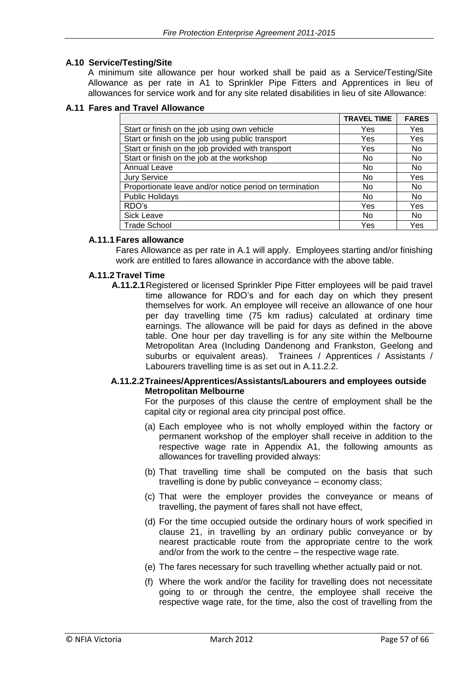#### **A.10 Service/Testing/Site**

A minimum site allowance per hour worked shall be paid as a Service/Testing/Site Allowance as per rate in A1 to Sprinkler Pipe Fitters and Apprentices in lieu of allowances for service work and for any site related disabilities in lieu of site Allowance:

#### **A.11 Fares and Travel Allowance**

|                                                         | <b>TRAVEL TIME</b> | <b>FARES</b> |
|---------------------------------------------------------|--------------------|--------------|
| Start or finish on the job using own vehicle            | Yes                | Yes          |
| Start or finish on the job using public transport       | Yes                | Yes          |
| Start or finish on the job provided with transport      | Yes                | No           |
| Start or finish on the job at the workshop              | No                 | No           |
| <b>Annual Leave</b>                                     | No.                | No.          |
| <b>Jury Service</b>                                     | No.                | Yes          |
| Proportionate leave and/or notice period on termination | No                 | No           |
| <b>Public Holidays</b>                                  | No                 | No           |
| RDO's                                                   | Yes                | Yes          |
| Sick Leave                                              | No                 | No           |
| <b>Trade School</b>                                     | Yes                | Yes          |

#### **A.11.1 Fares allowance**

Fares Allowance as per rate in A.1 will apply. Employees starting and/or finishing work are entitled to fares allowance in accordance with the above table.

#### **A.11.2 Travel Time**

**A.11.2.1**Registered or licensed Sprinkler Pipe Fitter employees will be paid travel time allowance for RDO's and for each day on which they present themselves for work. An employee will receive an allowance of one hour per day travelling time (75 km radius) calculated at ordinary time earnings. The allowance will be paid for days as defined in the above table. One hour per day travelling is for any site within the Melbourne Metropolitan Area (Including Dandenong and Frankston, Geelong and suburbs or equivalent areas). Trainees / Apprentices / Assistants / Labourers travelling time is as set out in A.11.2.2.

#### **A.11.2.2Trainees/Apprentices/Assistants/Labourers and employees outside Metropolitan Melbourne**

For the purposes of this clause the centre of employment shall be the capital city or regional area city principal post office.

- (a) Each employee who is not wholly employed within the factory or permanent workshop of the employer shall receive in addition to the respective wage rate in Appendix A1, the following amounts as allowances for travelling provided always:
- (b) That travelling time shall be computed on the basis that such travelling is done by public conveyance – economy class;
- (c) That were the employer provides the conveyance or means of travelling, the payment of fares shall not have effect,
- (d) For the time occupied outside the ordinary hours of work specified in clause 21, in travelling by an ordinary public conveyance or by nearest practicable route from the appropriate centre to the work and/or from the work to the centre – the respective wage rate.
- (e) The fares necessary for such travelling whether actually paid or not.
- (f) Where the work and/or the facility for travelling does not necessitate going to or through the centre, the employee shall receive the respective wage rate, for the time, also the cost of travelling from the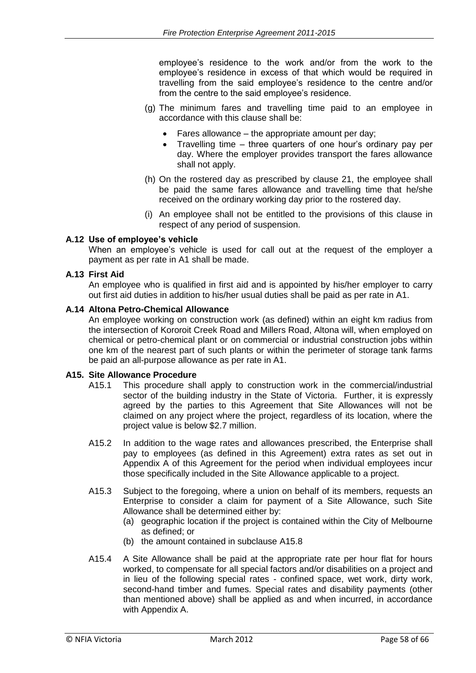employee's residence to the work and/or from the work to the employee's residence in excess of that which would be required in travelling from the said employee's residence to the centre and/or from the centre to the said employee's residence.

- (g) The minimum fares and travelling time paid to an employee in accordance with this clause shall be:
	- Fares allowance the appropriate amount per day;
	- Travelling time three quarters of one hour's ordinary pay per day. Where the employer provides transport the fares allowance shall not apply.
- (h) On the rostered day as prescribed by clause 21, the employee shall be paid the same fares allowance and travelling time that he/she received on the ordinary working day prior to the rostered day.
- (i) An employee shall not be entitled to the provisions of this clause in respect of any period of suspension.

#### **A.12 Use of employee's vehicle**

When an employee's vehicle is used for call out at the request of the employer a payment as per rate in A1 shall be made.

#### **A.13 First Aid**

An employee who is qualified in first aid and is appointed by his/her employer to carry out first aid duties in addition to his/her usual duties shall be paid as per rate in A1.

#### **A.14 Altona Petro-Chemical Allowance**

An employee working on construction work (as defined) within an eight km radius from the intersection of Kororoit Creek Road and Millers Road, Altona will, when employed on chemical or petro-chemical plant or on commercial or industrial construction jobs within one km of the nearest part of such plants or within the perimeter of storage tank farms be paid an all-purpose allowance as per rate in A1.

#### **A15. Site Allowance Procedure**

- A15.1 This procedure shall apply to construction work in the commercial/industrial sector of the building industry in the State of Victoria. Further, it is expressly agreed by the parties to this Agreement that Site Allowances will not be claimed on any project where the project, regardless of its location, where the project value is below \$2.7 million.
- A15.2 In addition to the wage rates and allowances prescribed, the Enterprise shall pay to employees (as defined in this Agreement) extra rates as set out in Appendix A of this Agreement for the period when individual employees incur those specifically included in the Site Allowance applicable to a project.
- A15.3 Subject to the foregoing, where a union on behalf of its members, requests an Enterprise to consider a claim for payment of a Site Allowance, such Site Allowance shall be determined either by:
	- (a) geographic location if the project is contained within the City of Melbourne as defined; or
	- (b) the amount contained in subclause A15.8
- A15.4 A Site Allowance shall be paid at the appropriate rate per hour flat for hours worked, to compensate for all special factors and/or disabilities on a project and in lieu of the following special rates - confined space, wet work, dirty work, second-hand timber and fumes. Special rates and disability payments (other than mentioned above) shall be applied as and when incurred, in accordance with Appendix A.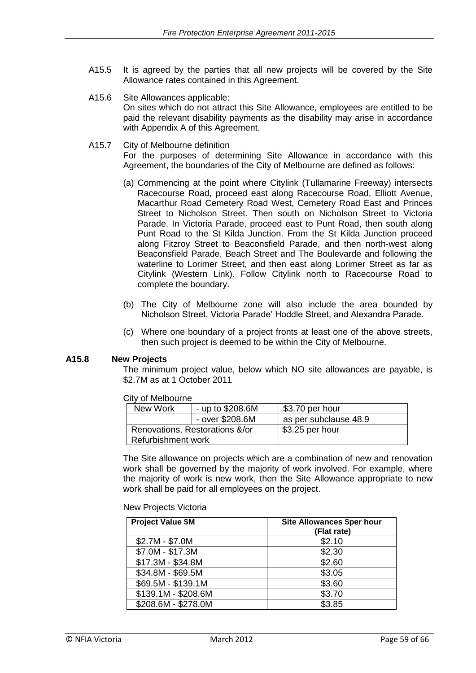- A15.5 It is agreed by the parties that all new projects will be covered by the Site Allowance rates contained in this Agreement.
- A15.6 Site Allowances applicable: On sites which do not attract this Site Allowance, employees are entitled to be paid the relevant disability payments as the disability may arise in accordance with Appendix A of this Agreement.
- A15.7 City of Melbourne definition For the purposes of determining Site Allowance in accordance with this Agreement, the boundaries of the City of Melbourne are defined as follows:
	- (a) Commencing at the point where Citylink (Tullamarine Freeway) intersects Racecourse Road, proceed east along Racecourse Road, Elliott Avenue, Macarthur Road Cemetery Road West, Cemetery Road East and Princes Street to Nicholson Street. Then south on Nicholson Street to Victoria Parade. In Victoria Parade, proceed east to Punt Road, then south along Punt Road to the St Kilda Junction. From the St Kilda Junction proceed along Fitzroy Street to Beaconsfield Parade, and then north-west along Beaconsfield Parade, Beach Street and The Boulevarde and following the waterline to Lorimer Street, and then east along Lorimer Street as far as Citylink (Western Link). Follow Citylink north to Racecourse Road to complete the boundary.
	- (b) The City of Melbourne zone will also include the area bounded by Nicholson Street, Victoria Parade' Hoddle Street, and Alexandra Parade.
	- (c) Where one boundary of a project fronts at least one of the above streets, then such project is deemed to be within the City of Melbourne.

#### **A15.8 New Projects**

The minimum project value, below which NO site allowances are payable, is \$2.7M as at 1 October 2011

City of Melbourne

| New Work                       | - up to $$208.6M$ | \$3.70 per hour       |
|--------------------------------|-------------------|-----------------------|
|                                | - over \$208.6M   | as per subclause 48.9 |
| Renovations, Restorations &/or |                   | \$3.25 per hour       |
| Refurbishment work             |                   |                       |

The Site allowance on projects which are a combination of new and renovation work shall be governed by the majority of work involved. For example, where the majority of work is new work, then the Site Allowance appropriate to new work shall be paid for all employees on the project.

#### New Projects Victoria

| <b>Project Value \$M</b> | <b>Site Allowances \$per hour</b><br>(Flat rate) |
|--------------------------|--------------------------------------------------|
| $$2.7M - $7.0M$          | \$2.10                                           |
| \$7.0M - \$17.3M         | \$2.30                                           |
| \$17.3M - \$34.8M        | \$2.60                                           |
| \$34.8M - \$69.5M        | \$3.05                                           |
| \$69.5M - \$139.1M       | \$3.60                                           |
| \$139.1M - \$208.6M      | \$3.70                                           |
| \$208.6M - \$278.0M      | \$3.85                                           |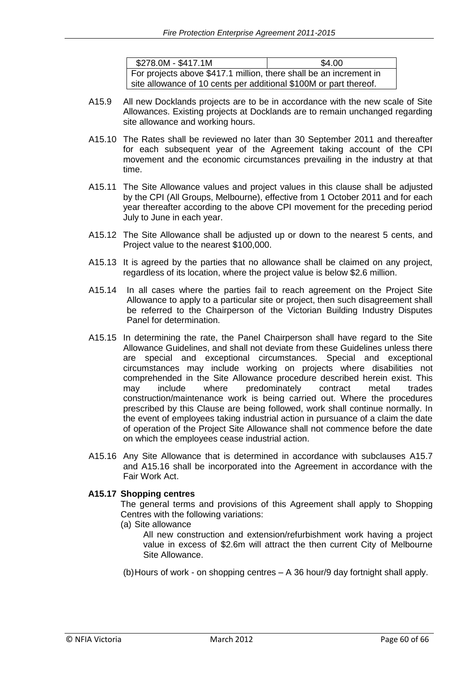| \$278.0M - \$417.1M                                                | \$4.00 |
|--------------------------------------------------------------------|--------|
| For projects above \$417.1 million, there shall be an increment in |        |
| site allowance of 10 cents per additional \$100M or part thereof.  |        |

- A15.9 All new Docklands projects are to be in accordance with the new scale of Site Allowances. Existing projects at Docklands are to remain unchanged regarding site allowance and working hours.
- A15.10 The Rates shall be reviewed no later than 30 September 2011 and thereafter for each subsequent year of the Agreement taking account of the CPI movement and the economic circumstances prevailing in the industry at that time.
- A15.11 The Site Allowance values and project values in this clause shall be adjusted by the CPI (All Groups, Melbourne), effective from 1 October 2011 and for each year thereafter according to the above CPI movement for the preceding period July to June in each year.
- A15.12 The Site Allowance shall be adjusted up or down to the nearest 5 cents, and Project value to the nearest \$100,000.
- A15.13 It is agreed by the parties that no allowance shall be claimed on any project, regardless of its location, where the project value is below \$2.6 million.
- A15.14 In all cases where the parties fail to reach agreement on the Project Site Allowance to apply to a particular site or project, then such disagreement shall be referred to the Chairperson of the Victorian Building Industry Disputes Panel for determination.
- A15.15 In determining the rate, the Panel Chairperson shall have regard to the Site Allowance Guidelines, and shall not deviate from these Guidelines unless there are special and exceptional circumstances. Special and exceptional circumstances may include working on projects where disabilities not comprehended in the Site Allowance procedure described herein exist. This may include where predominately contract metal trades construction/maintenance work is being carried out. Where the procedures prescribed by this Clause are being followed, work shall continue normally. In the event of employees taking industrial action in pursuance of a claim the date of operation of the Project Site Allowance shall not commence before the date on which the employees cease industrial action.
- A15.16 Any Site Allowance that is determined in accordance with subclauses A15.7 and A15.16 shall be incorporated into the Agreement in accordance with the Fair Work Act.

#### **A15.17 Shopping centres**

The general terms and provisions of this Agreement shall apply to Shopping Centres with the following variations:

(a) Site allowance

All new construction and extension/refurbishment work having a project value in excess of \$2.6m will attract the then current City of Melbourne Site Allowance.

(b)Hours of work - on shopping centres – A 36 hour/9 day fortnight shall apply.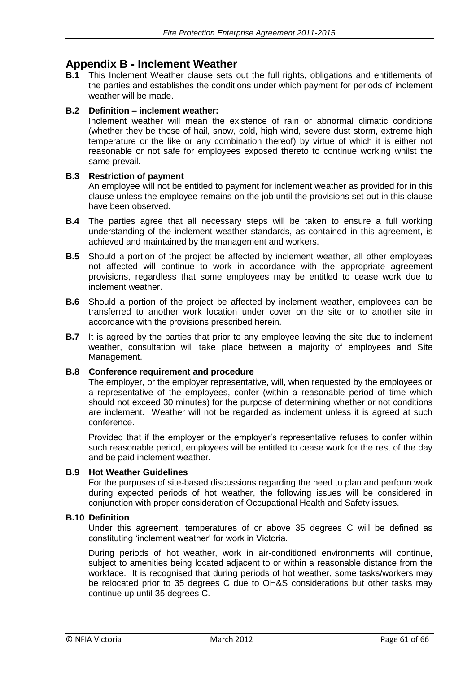### **Appendix B - Inclement Weather**

**B.1** This Inclement Weather clause sets out the full rights, obligations and entitlements of the parties and establishes the conditions under which payment for periods of inclement weather will be made.

#### **B.2 Definition – inclement weather:**

Inclement weather will mean the existence of rain or abnormal climatic conditions (whether they be those of hail, snow, cold, high wind, severe dust storm, extreme high temperature or the like or any combination thereof) by virtue of which it is either not reasonable or not safe for employees exposed thereto to continue working whilst the same prevail.

#### **B.3 Restriction of payment**

An employee will not be entitled to payment for inclement weather as provided for in this clause unless the employee remains on the job until the provisions set out in this clause have been observed.

- **B.4** The parties agree that all necessary steps will be taken to ensure a full working understanding of the inclement weather standards, as contained in this agreement, is achieved and maintained by the management and workers.
- **B.5** Should a portion of the project be affected by inclement weather, all other employees not affected will continue to work in accordance with the appropriate agreement provisions, regardless that some employees may be entitled to cease work due to inclement weather.
- **B.6** Should a portion of the project be affected by inclement weather, employees can be transferred to another work location under cover on the site or to another site in accordance with the provisions prescribed herein.
- **B.7** It is agreed by the parties that prior to any employee leaving the site due to inclement weather, consultation will take place between a majority of employees and Site Management.

#### **B.8 Conference requirement and procedure**

The employer, or the employer representative, will, when requested by the employees or a representative of the employees, confer (within a reasonable period of time which should not exceed 30 minutes) for the purpose of determining whether or not conditions are inclement. Weather will not be regarded as inclement unless it is agreed at such conference.

Provided that if the employer or the employer's representative refuses to confer within such reasonable period, employees will be entitled to cease work for the rest of the day and be paid inclement weather.

#### **B.9 Hot Weather Guidelines**

For the purposes of site-based discussions regarding the need to plan and perform work during expected periods of hot weather, the following issues will be considered in conjunction with proper consideration of Occupational Health and Safety issues.

#### **B.10 Definition**

Under this agreement, temperatures of or above 35 degrees C will be defined as constituting 'inclement weather' for work in Victoria.

During periods of hot weather, work in air-conditioned environments will continue, subject to amenities being located adjacent to or within a reasonable distance from the workface. It is recognised that during periods of hot weather, some tasks/workers may be relocated prior to 35 degrees C due to OH&S considerations but other tasks may continue up until 35 degrees C.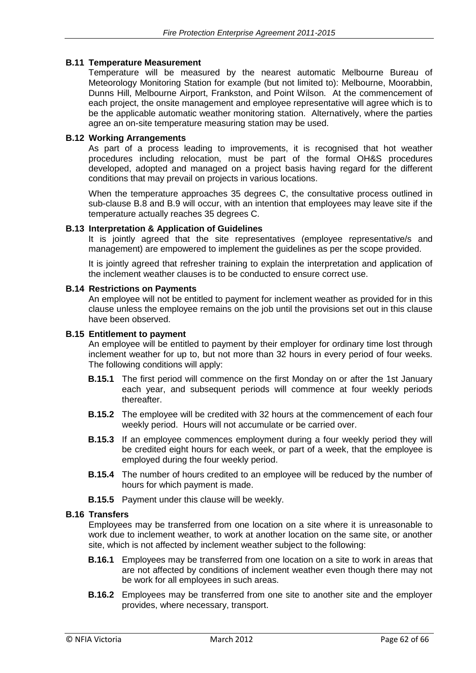#### **B.11 Temperature Measurement**

Temperature will be measured by the nearest automatic Melbourne Bureau of Meteorology Monitoring Station for example (but not limited to): Melbourne, Moorabbin, Dunns Hill, Melbourne Airport, Frankston, and Point Wilson. At the commencement of each project, the onsite management and employee representative will agree which is to be the applicable automatic weather monitoring station. Alternatively, where the parties agree an on-site temperature measuring station may be used.

#### **B.12 Working Arrangements**

As part of a process leading to improvements, it is recognised that hot weather procedures including relocation, must be part of the formal OH&S procedures developed, adopted and managed on a project basis having regard for the different conditions that may prevail on projects in various locations.

When the temperature approaches 35 degrees C, the consultative process outlined in sub-clause B.8 and B.9 will occur, with an intention that employees may leave site if the temperature actually reaches 35 degrees C.

#### **B.13 Interpretation & Application of Guidelines**

It is jointly agreed that the site representatives (employee representative/s and management) are empowered to implement the guidelines as per the scope provided.

It is jointly agreed that refresher training to explain the interpretation and application of the inclement weather clauses is to be conducted to ensure correct use.

#### **B.14 Restrictions on Payments**

An employee will not be entitled to payment for inclement weather as provided for in this clause unless the employee remains on the job until the provisions set out in this clause have been observed.

#### **B.15 Entitlement to payment**

An employee will be entitled to payment by their employer for ordinary time lost through inclement weather for up to, but not more than 32 hours in every period of four weeks. The following conditions will apply:

- **B.15.1** The first period will commence on the first Monday on or after the 1st January each year, and subsequent periods will commence at four weekly periods thereafter.
- **B.15.2** The employee will be credited with 32 hours at the commencement of each four weekly period. Hours will not accumulate or be carried over.
- **B.15.3** If an employee commences employment during a four weekly period they will be credited eight hours for each week, or part of a week, that the employee is employed during the four weekly period.
- **B.15.4** The number of hours credited to an employee will be reduced by the number of hours for which payment is made.
- **B.15.5** Payment under this clause will be weekly.

#### **B.16 Transfers**

Employees may be transferred from one location on a site where it is unreasonable to work due to inclement weather, to work at another location on the same site, or another site, which is not affected by inclement weather subject to the following:

- **B.16.1** Employees may be transferred from one location on a site to work in areas that are not affected by conditions of inclement weather even though there may not be work for all employees in such areas.
- **B.16.2** Employees may be transferred from one site to another site and the employer provides, where necessary, transport.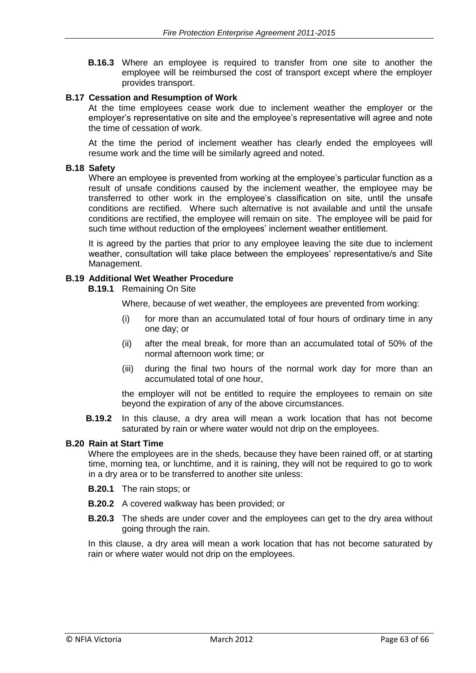**B.16.3** Where an employee is required to transfer from one site to another the employee will be reimbursed the cost of transport except where the employer provides transport.

#### **B.17 Cessation and Resumption of Work**

At the time employees cease work due to inclement weather the employer or the employer's representative on site and the employee's representative will agree and note the time of cessation of work.

At the time the period of inclement weather has clearly ended the employees will resume work and the time will be similarly agreed and noted.

#### **B.18 Safety**

Where an employee is prevented from working at the employee's particular function as a result of unsafe conditions caused by the inclement weather, the employee may be transferred to other work in the employee's classification on site, until the unsafe conditions are rectified. Where such alternative is not available and until the unsafe conditions are rectified, the employee will remain on site. The employee will be paid for such time without reduction of the employees' inclement weather entitlement.

It is agreed by the parties that prior to any employee leaving the site due to inclement weather, consultation will take place between the employees' representative/s and Site Management.

#### **B.19 Additional Wet Weather Procedure**

**B.19.1** Remaining On Site

Where, because of wet weather, the employees are prevented from working:

- (i) for more than an accumulated total of four hours of ordinary time in any one day; or
- (ii) after the meal break, for more than an accumulated total of 50% of the normal afternoon work time; or
- (iii) during the final two hours of the normal work day for more than an accumulated total of one hour,

the employer will not be entitled to require the employees to remain on site beyond the expiration of any of the above circumstances.

**B.19.2** In this clause, a dry area will mean a work location that has not become saturated by rain or where water would not drip on the employees.

#### **B.20 Rain at Start Time**

Where the employees are in the sheds, because they have been rained off, or at starting time, morning tea, or lunchtime, and it is raining, they will not be required to go to work in a dry area or to be transferred to another site unless:

- **B.20.1** The rain stops; or
- **B.20.2** A covered walkway has been provided; or
- **B.20.3** The sheds are under cover and the employees can get to the dry area without going through the rain.

In this clause, a dry area will mean a work location that has not become saturated by rain or where water would not drip on the employees.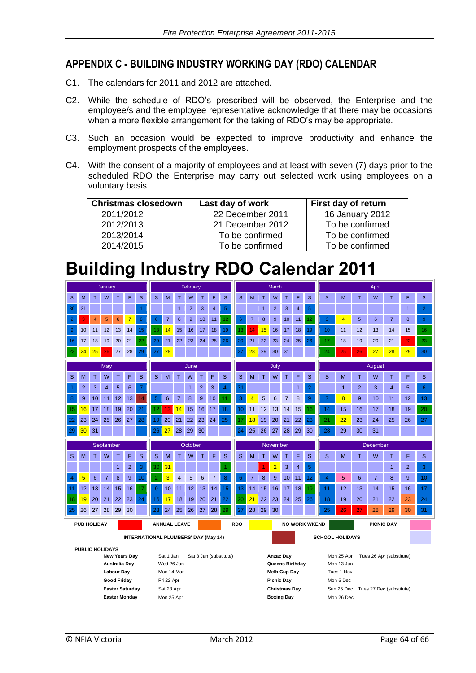### **APPENDIX C - BUILDING INDUSTRY WORKING DAY (RDO) CALENDAR**

- C1. The calendars for 2011 and 2012 are attached.
- C2. While the schedule of RDO's prescribed will be observed, the Enterprise and the employee/s and the employee representative acknowledge that there may be occasions when a more flexible arrangement for the taking of RDO's may be appropriate.
- C3. Such an occasion would be expected to improve productivity and enhance the employment prospects of the employees.
- C4. With the consent of a majority of employees and at least with seven (7) days prior to the scheduled RDO the Enterprise may carry out selected work using employees on a voluntary basis.

| <b>Christmas closedown</b> | Last day of work | First day of return    |
|----------------------------|------------------|------------------------|
| 2011/2012                  | 22 December 2011 | <b>16 January 2012</b> |
| 2012/2013                  | 21 December 2012 | To be confirmed        |
| 2013/2014                  | To be confirmed  | To be confirmed        |
| 2014/2015                  | To be confirmed  | To be confirmed        |

## **Building Industry RDO Calendar 2011**

| January                                                               |                |    |                         |                 |                | February         |                  |                                           |                |                                                                    |                |                  | March                  |                |                  |                |                |                  |                | April          |                                        |                |                |                |                |                |                |
|-----------------------------------------------------------------------|----------------|----|-------------------------|-----------------|----------------|------------------|------------------|-------------------------------------------|----------------|--------------------------------------------------------------------|----------------|------------------|------------------------|----------------|------------------|----------------|----------------|------------------|----------------|----------------|----------------------------------------|----------------|----------------|----------------|----------------|----------------|----------------|
| $\mathbf{s}$                                                          | M              | T. | W                       | T               | F              | $\mathbf{s}$     | $\mathbf{s}$     | M                                         | T.             | W                                                                  | T              | F                | $\mathbf{s}$           | S              | M                | T              | W              | T                | F              | $\mathbf{s}$   | S                                      | M              | T              | W              | T.             | F              | S              |
| 30                                                                    | 31             |    |                         |                 |                |                  |                  |                                           | $\mathbf{1}$   | $\overline{2}$                                                     | 3              | 4                | 5                      |                |                  | $\mathbf{1}$   | $\overline{2}$ | 3                | $\overline{4}$ | 5              |                                        |                |                |                |                | $\mathbf{1}$   | $\overline{2}$ |
| $\overline{2}$                                                        | R              | 4  | 5                       | $6\phantom{1}6$ | $\overline{7}$ | $\boldsymbol{8}$ | $\boldsymbol{6}$ | $\overline{7}$                            | 8              | 9                                                                  | 10             | 11               | 12                     | $6\phantom{1}$ | $\overline{7}$   | 8              | 9              | 10               | 11             | 12             | 3                                      | 4              | 5              | 6              | $\overline{7}$ | 8              | 9              |
| 9                                                                     | 10             | 11 | 12                      | 13              | 14             | 15               | 13               | 14                                        | 15             | 16                                                                 | 17             | 18               | 19                     | 13             | 14               | 15             | 16             | 17               | 18             | 19             | 10 <sup>°</sup>                        | 11             | 12             | 13             | 14             | 15             | 16             |
| 16                                                                    | 17             | 18 | 19                      | 20              | 21             | 22               | 20               | 21                                        | 22             | 23                                                                 | 24             | 25               | 26                     | 20             | 21               | 22             | 23             | 24               | 25             | 26             | 17                                     | 18             | 19             | 20             | 21             | 22             | 23             |
| 23                                                                    | 24             | 25 | 26                      | 27              | 28             | 29               | 27               | 28                                        |                |                                                                    |                |                  |                        | 27             | 28               | 29             | 30             | 31               |                |                | 24                                     | 25             | 26             | 27             | 28             | 29             | 30             |
|                                                                       |                |    | May                     |                 |                |                  |                  |                                           |                | June                                                               |                |                  |                        | July           |                  |                |                |                  |                |                | August                                 |                |                |                |                |                |                |
| S                                                                     | М              | т  | W                       | Τ               | F              | S                | S                | M                                         | т              | W                                                                  | T              | F                | S                      | S              | M                | Τ              | W              | Τ                | F              | S              | S                                      | M              | Τ              | W              | T              | F              | S              |
|                                                                       | $\overline{2}$ | 3  | $\overline{\mathbf{4}}$ | 5               | 6              |                  |                  |                                           |                | $\mathbf{1}$                                                       | $\overline{2}$ | 3                | $\overline{4}$         | 31             |                  |                |                |                  | $\mathbf{1}$   | $\overline{2}$ |                                        | $\mathbf{1}$   | $\overline{2}$ | 3              | 4              | 5              | 6              |
| 8                                                                     | 9              | 10 | 11                      | 12              | 13             | 14               | 5                | 6                                         | $\overline{7}$ | 8                                                                  | 9              | 10 <sup>10</sup> | 11                     | 3              | 4                | 5              | 6              | $\overline{7}$   | 8              | 9              | $\overline{7}$                         | $\overline{8}$ | 9              | 10             | 11             | 12             | 13             |
| 15                                                                    | 16             | 17 | 18                      | 19              | 20             | 21               | 12               | 13                                        | 14             | 15 <sub>15</sub>                                                   | 16             | 17               | 18                     | 10             | 11               | 12             | 13             | 14               | 15             | 16             | 14                                     | 15             | 16             | 17             | 18             | 19             | 20             |
| 22                                                                    | 23             | 24 | 25                      | 26              | 27             | 28               | 19               | 20                                        | 21             | 22                                                                 | 23             | 24               | 25                     | 17             | 18               | 19             | 20             | 21               | 22             | 23             | 21                                     | 22             | 23             | 24             | 25             | 26             | 27             |
| 29                                                                    | 30             | 31 |                         |                 |                |                  | 26               | 27                                        | 28             | 29                                                                 | 30             |                  |                        | 24             | 25               | 26             | 27             | 28               | 29             | 30             | 28                                     | 29             | 30             | 31             |                |                |                |
|                                                                       |                |    |                         |                 |                |                  |                  |                                           |                |                                                                    |                |                  |                        |                |                  |                |                |                  |                |                |                                        |                |                |                |                |                |                |
|                                                                       |                |    | September               |                 |                |                  |                  |                                           |                | October                                                            |                |                  |                        | November       |                  |                |                |                  |                |                | December                               |                |                |                |                |                |                |
| S                                                                     | M              | т  | W                       | Т               | F              | S                | S                | M                                         | т              | W                                                                  | т              | F                | S                      | S              | M                | T              | W              | т                | F              | S              | S                                      | M              | T              | W              | T              | F              | S              |
|                                                                       |                |    |                         | $\mathbf{1}$    | $\overline{2}$ | 3                | 30               | 31                                        |                |                                                                    |                |                  |                        |                |                  | $\overline{1}$ | $\overline{2}$ | 3                | 4              | 5              |                                        |                |                |                | $\mathbf{1}$   | $\overline{2}$ | 3              |
| 4                                                                     | 5              | 6  | $\overline{7}$          | 8               | 9              | 10               | $\overline{2}$   | 3                                         | $\overline{4}$ | 5                                                                  | 6              | $\overline{7}$   | 8                      | 6              | 7                | 8              | 9              | 10 <sup>10</sup> | 11             | 12             | $\overline{4}$                         | 5              | 6              | $\overline{7}$ | 8              | 9              | 10             |
| 11                                                                    | 12             | 13 | 14                      | 15              | 16             | 17               | 9                | 10 <sup>°</sup>                           | 11             | 12                                                                 | 13             | 14               | 15                     | 13             | 14               | 15             | 16             | 17               | 18             | 19             | 11                                     | 12             | 13             | 14             | 15             | 16             | 17             |
| 18                                                                    | 19             | 20 | 21                      | 22              | 23             | 24               | 16               | 17                                        | 18             | 19                                                                 | 20             | 21               | 22                     | 20             | 21               | 22             | 23             | 24               | 25             | 26             | 18                                     | 19             | 20             | 21             | 22             | 23             | 24             |
| 25                                                                    | 26             | 27 | 28                      | 29              | 30             |                  | 23               | 24                                        | 25             | 26                                                                 | 27             | 28               | 29                     | 27             | 28               | 29             | 30             |                  |                |                | 25                                     | 26             | 27             | 28             | 29             | 30             | 31             |
| <b>PUB HOLIDAY</b><br><b>ANNUAL LEAVE</b>                             |                |    |                         |                 |                | <b>RDO</b>       |                  | <b>PICNIC DAY</b><br><b>NO WORK WKEND</b> |                |                                                                    |                |                  |                        |                |                  |                |                |                  |                |                |                                        |                |                |                |                |                |                |
| <b>INTERNATIONAL PLUMBERS' DAY (May 14)</b>                           |                |    |                         |                 |                |                  |                  | <b>SCHOOL HOLIDAYS</b>                    |                |                                                                    |                |                  |                        |                |                  |                |                |                  |                |                |                                        |                |                |                |                |                |                |
| <b>PUBLIC HOLIDAYS</b>                                                |                |    |                         |                 |                |                  |                  |                                           |                |                                                                    |                |                  |                        |                |                  |                |                |                  |                |                |                                        |                |                |                |                |                |                |
|                                                                       |                |    |                         | New Years Day   |                |                  |                  | Sat 1 Jan                                 |                |                                                                    |                |                  | Sat 3 Jan (substitute) |                | <b>Anzac Day</b> |                |                |                  |                |                | Mon 25 Apr<br>Tues 26 Apr (substitute) |                |                |                |                |                |                |
| Wed 26 Jan<br><b>Australia Day</b><br><b>Labour Day</b><br>Mon 14 Mar |                |    |                         |                 |                |                  |                  |                                           |                | Queens Birthday<br>Mon 13 Jun<br><b>Melb Cup Day</b><br>Tues 1 Nov |                |                  |                        |                |                  |                |                |                  |                |                |                                        |                |                |                |                |                |                |

**Good Friday** Fri 22 Apr **Picnic Day** Mon 5 Dec

**Easter Monday** Mon 25 Apr **Boxing Day Boxing Day** Mon 26 Dec

**Easter Saturday** Sat 23 Apr **Christmas Day** Sun 25 Dec Tues 27 Dec (substitute)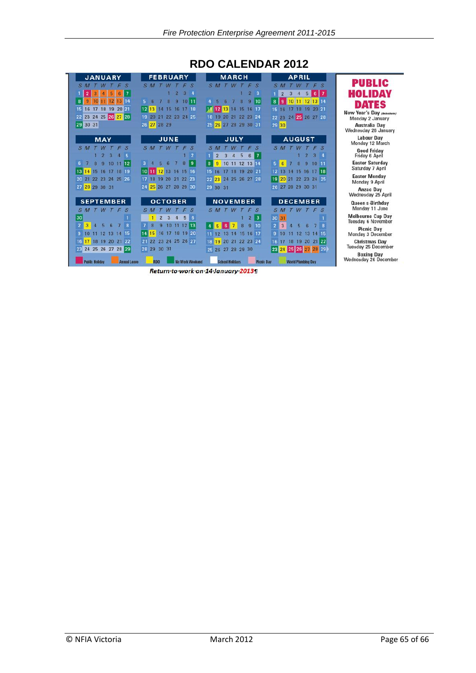

### **RDO CALENDAR 2012**

Return-to-work-on-14-January-2013¶